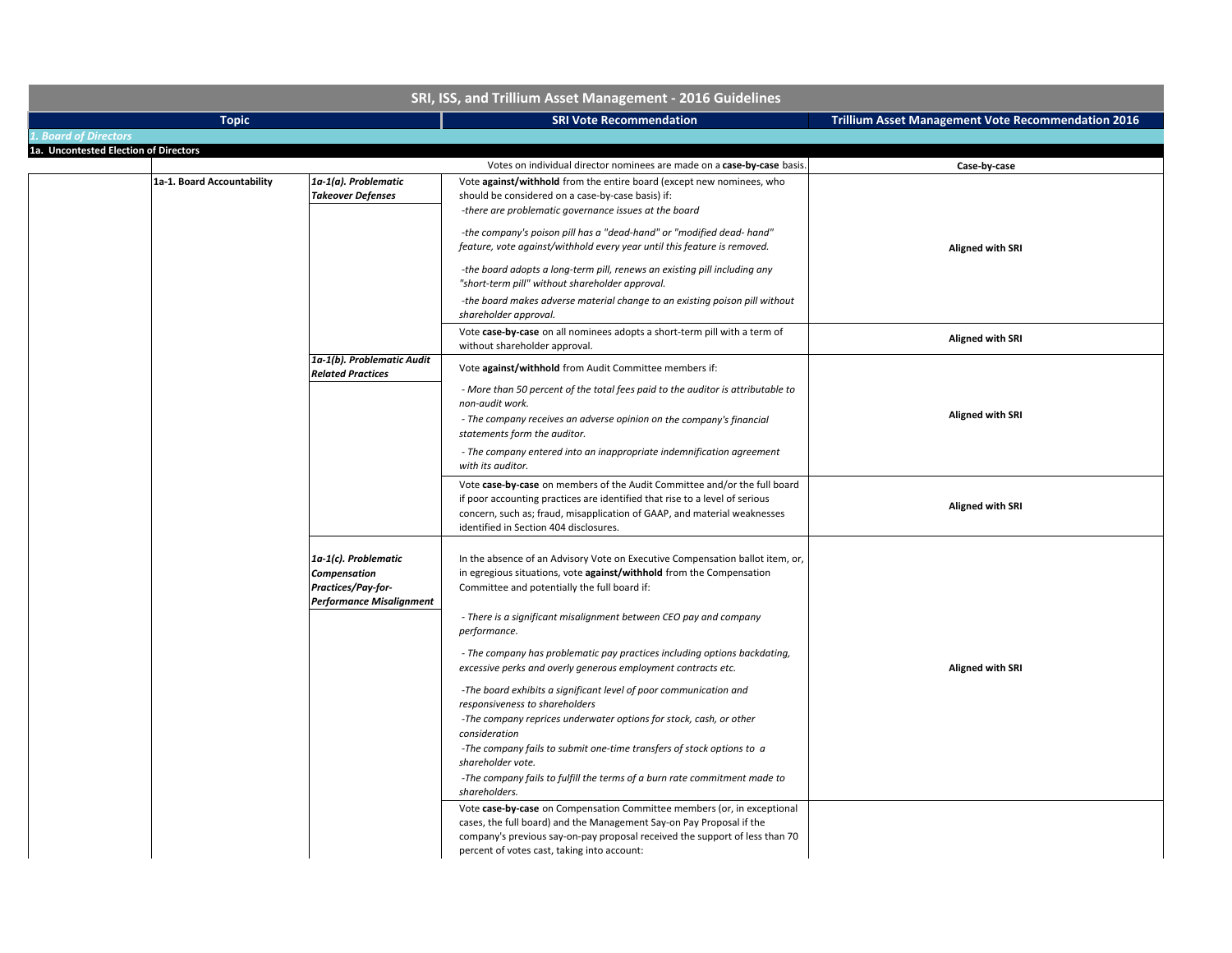| SRI, ISS, and Trillium Asset Management - 2016 Guidelines |                            |                                                                                        |                                                                                                                                                                                                                                                                                                                                                                                                                                                                                                                                                                                                                                                                                                                                                                                                                                    |                                                           |
|-----------------------------------------------------------|----------------------------|----------------------------------------------------------------------------------------|------------------------------------------------------------------------------------------------------------------------------------------------------------------------------------------------------------------------------------------------------------------------------------------------------------------------------------------------------------------------------------------------------------------------------------------------------------------------------------------------------------------------------------------------------------------------------------------------------------------------------------------------------------------------------------------------------------------------------------------------------------------------------------------------------------------------------------|-----------------------------------------------------------|
|                                                           | <b>Topic</b>               |                                                                                        | <b>SRI Vote Recommendation</b>                                                                                                                                                                                                                                                                                                                                                                                                                                                                                                                                                                                                                                                                                                                                                                                                     | <b>Trillium Asset Management Vote Recommendation 2016</b> |
| <b>1. Board of Directors</b>                              |                            |                                                                                        |                                                                                                                                                                                                                                                                                                                                                                                                                                                                                                                                                                                                                                                                                                                                                                                                                                    |                                                           |
| 1a. Uncontested Election of Directors                     |                            |                                                                                        |                                                                                                                                                                                                                                                                                                                                                                                                                                                                                                                                                                                                                                                                                                                                                                                                                                    |                                                           |
|                                                           |                            |                                                                                        | Votes on individual director nominees are made on a case-by-case basis.                                                                                                                                                                                                                                                                                                                                                                                                                                                                                                                                                                                                                                                                                                                                                            | Case-by-case                                              |
|                                                           | 1a-1. Board Accountability | 1a-1(a). Problematic<br><b>Takeover Defenses</b>                                       | Vote against/withhold from the entire board (except new nominees, who<br>should be considered on a case-by-case basis) if:<br>-there are problematic governance issues at the board                                                                                                                                                                                                                                                                                                                                                                                                                                                                                                                                                                                                                                                |                                                           |
|                                                           |                            |                                                                                        | -the company's poison pill has a "dead-hand" or "modified dead- hand"<br>feature, vote against/withhold every year until this feature is removed.<br>-the board adopts a long-term pill, renews an existing pill including any<br>"short-term pill" without shareholder approval.<br>-the board makes adverse material change to an existing poison pill without                                                                                                                                                                                                                                                                                                                                                                                                                                                                   | <b>Aligned with SRI</b>                                   |
|                                                           |                            |                                                                                        | shareholder approval.<br>Vote case-by-case on all nominees adopts a short-term pill with a term of<br>without shareholder approval.                                                                                                                                                                                                                                                                                                                                                                                                                                                                                                                                                                                                                                                                                                | <b>Aligned with SRI</b>                                   |
|                                                           |                            | 1a-1(b). Problematic Audit<br><b>Related Practices</b>                                 | Vote against/withhold from Audit Committee members if:<br>- More than 50 percent of the total fees paid to the auditor is attributable to<br>non-audit work.<br>- The company receives an adverse opinion on the company's financial<br>statements form the auditor.<br>- The company entered into an inappropriate indemnification agreement<br>with its auditor.                                                                                                                                                                                                                                                                                                                                                                                                                                                                 | <b>Aligned with SRI</b>                                   |
|                                                           |                            |                                                                                        | Vote case-by-case on members of the Audit Committee and/or the full board<br>if poor accounting practices are identified that rise to a level of serious<br>concern, such as; fraud, misapplication of GAAP, and material weaknesses<br>identified in Section 404 disclosures.                                                                                                                                                                                                                                                                                                                                                                                                                                                                                                                                                     | <b>Aligned with SRI</b>                                   |
|                                                           |                            | 1a-1(c). Problematic<br>Compensation<br>Practices/Pay-for-<br>Performance Misalignment | In the absence of an Advisory Vote on Executive Compensation ballot item, or,<br>in egregious situations, vote against/withhold from the Compensation<br>Committee and potentially the full board if:<br>- There is a significant misalignment between CEO pay and company<br>performance.<br>- The company has problematic pay practices including options backdating,<br>excessive perks and overly generous employment contracts etc.<br>-The board exhibits a significant level of poor communication and<br>responsiveness to shareholders<br>-The company reprices underwater options for stock, cash, or other<br>consideration<br>-The company fails to submit one-time transfers of stock options to a<br>shareholder vote.<br>-The company fails to fulfill the terms of a burn rate commitment made to<br>shareholders. | <b>Aligned with SRI</b>                                   |
|                                                           |                            |                                                                                        | Vote case-by-case on Compensation Committee members (or, in exceptional<br>cases, the full board) and the Management Say-on Pay Proposal if the<br>company's previous say-on-pay proposal received the support of less than 70<br>percent of votes cast, taking into account:                                                                                                                                                                                                                                                                                                                                                                                                                                                                                                                                                      |                                                           |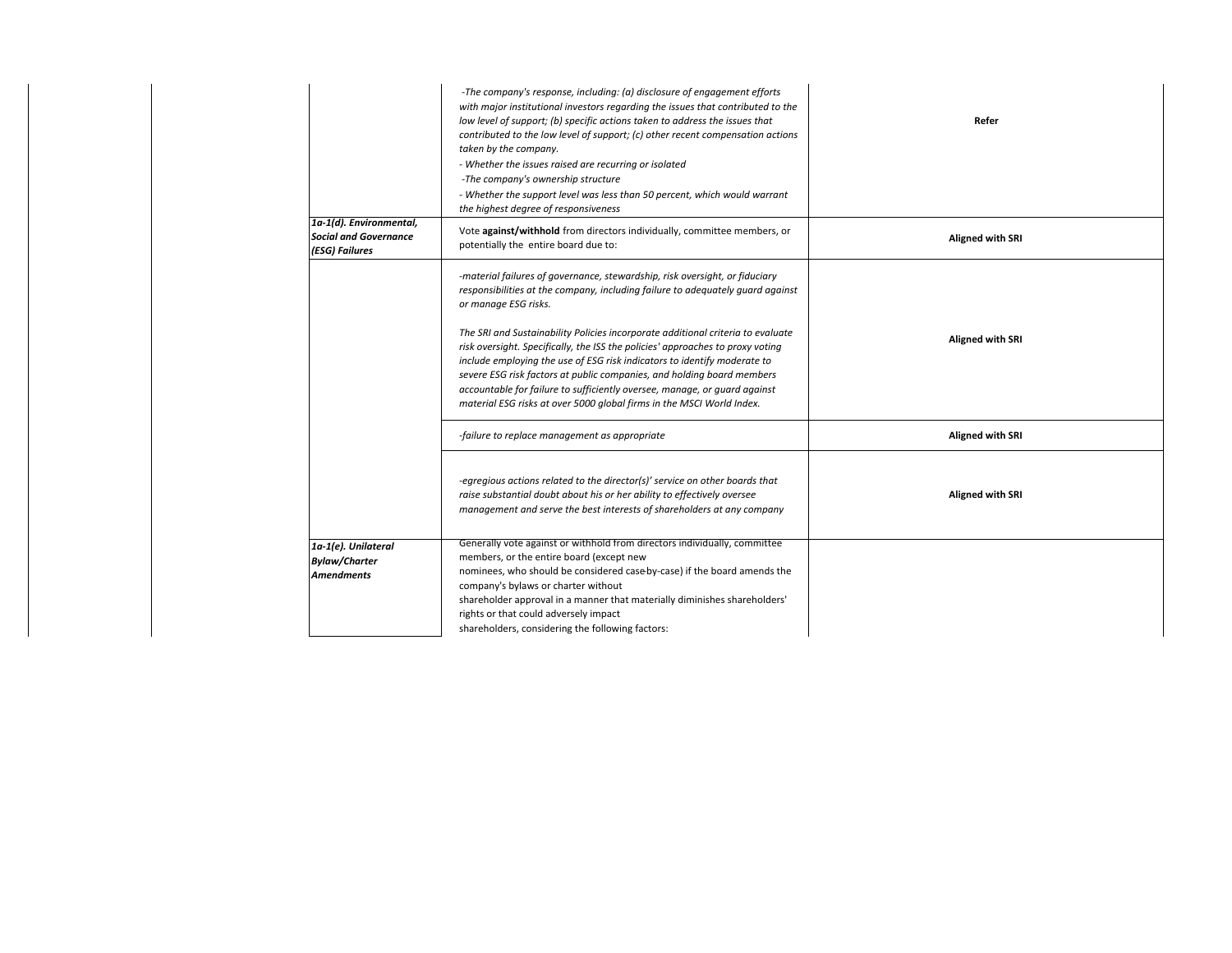|                                                                           | -The company's response, including: (a) disclosure of engagement efforts<br>with major institutional investors regarding the issues that contributed to the<br>low level of support; (b) specific actions taken to address the issues that<br>contributed to the low level of support; (c) other recent compensation actions<br>taken by the company.<br>- Whether the issues raised are recurring or isolated<br>-The company's ownership structure<br>- Whether the support level was less than 50 percent, which would warrant<br>the highest degree of responsiveness                                                                                              | Refer                   |
|---------------------------------------------------------------------------|------------------------------------------------------------------------------------------------------------------------------------------------------------------------------------------------------------------------------------------------------------------------------------------------------------------------------------------------------------------------------------------------------------------------------------------------------------------------------------------------------------------------------------------------------------------------------------------------------------------------------------------------------------------------|-------------------------|
| 1a-1(d). Environmental,<br><b>Social and Governance</b><br>(ESG) Failures | Vote against/withhold from directors individually, committee members, or<br>potentially the entire board due to:                                                                                                                                                                                                                                                                                                                                                                                                                                                                                                                                                       | <b>Aligned with SRI</b> |
|                                                                           | -material failures of governance, stewardship, risk oversight, or fiduciary<br>responsibilities at the company, including failure to adequately guard against<br>or manage ESG risks.<br>The SRI and Sustainability Policies incorporate additional criteria to evaluate<br>risk oversight. Specifically, the ISS the policies' approaches to proxy voting<br>include employing the use of ESG risk indicators to identify moderate to<br>severe ESG risk factors at public companies, and holding board members<br>accountable for failure to sufficiently oversee, manage, or guard against<br>material ESG risks at over 5000 global firms in the MSCI World Index. | <b>Aligned with SRI</b> |
|                                                                           | -failure to replace management as appropriate                                                                                                                                                                                                                                                                                                                                                                                                                                                                                                                                                                                                                          | <b>Aligned with SRI</b> |
|                                                                           | -egregious actions related to the director(s)' service on other boards that<br>raise substantial doubt about his or her ability to effectively oversee<br>management and serve the best interests of shareholders at any company                                                                                                                                                                                                                                                                                                                                                                                                                                       | <b>Aligned with SRI</b> |
| 1a-1(e). Unilateral<br><b>Bylaw/Charter</b><br><b>Amendments</b>          | Generally vote against or withhold from directors individually, committee<br>members, or the entire board (except new<br>nominees, who should be considered case by-case) if the board amends the<br>company's bylaws or charter without<br>shareholder approval in a manner that materially diminishes shareholders'<br>rights or that could adversely impact<br>shareholders, considering the following factors:                                                                                                                                                                                                                                                     |                         |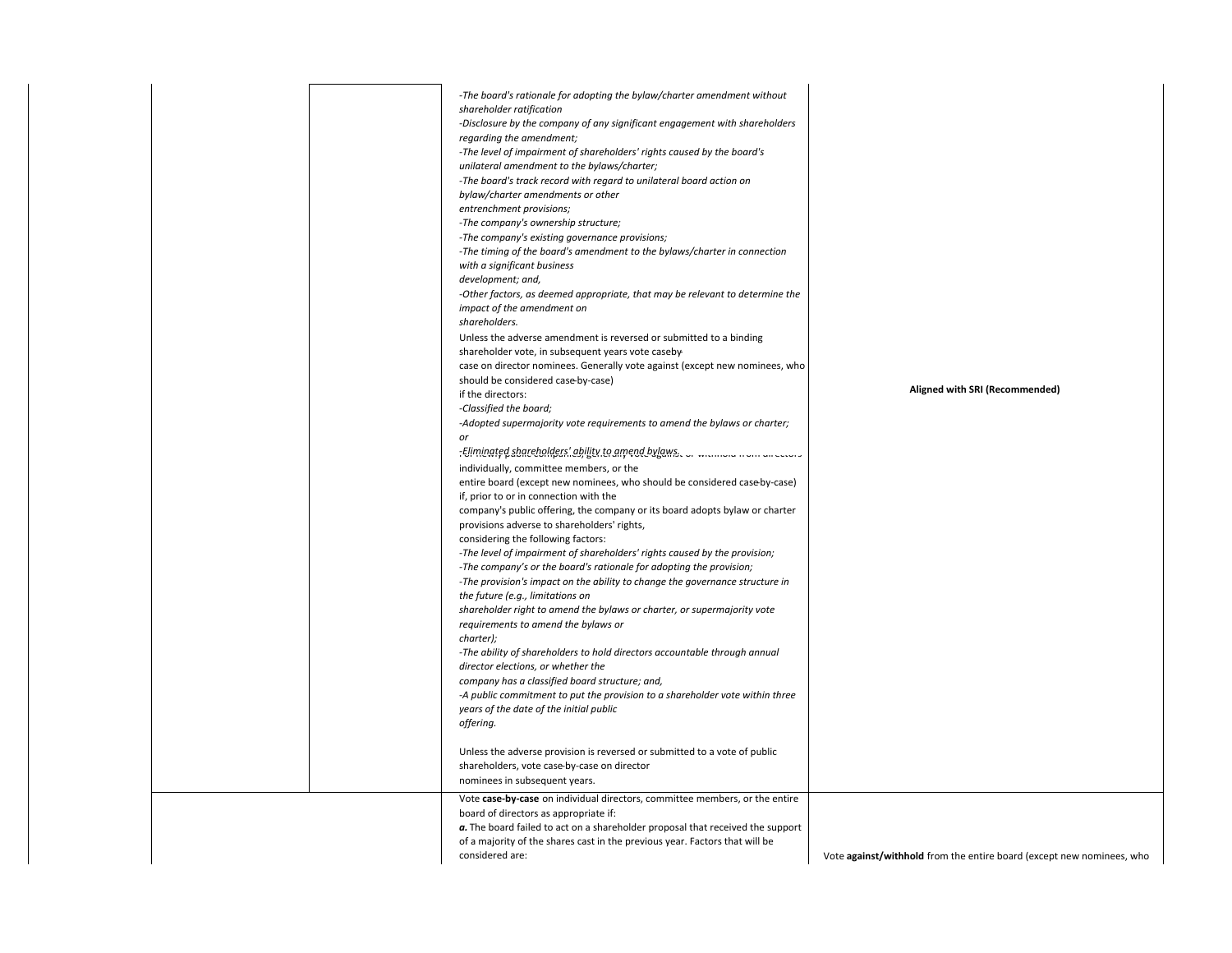|  | -The board's rationale for adopting the bylaw/charter amendment without<br>shareholder ratification<br>-Disclosure by the company of any significant engagement with shareholders<br>regarding the amendment;<br>-The level of impairment of shareholders' rights caused by the board's<br>unilateral amendment to the bylaws/charter;<br>-The board's track record with regard to unilateral board action on<br>bylaw/charter amendments or other<br>entrenchment provisions;<br>-The company's ownership structure;<br>-The company's existing governance provisions;<br>-The timing of the board's amendment to the bylaws/charter in connection<br>with a significant business<br>development; and,<br>-Other factors, as deemed appropriate, that may be relevant to determine the<br>impact of the amendment on<br>shareholders.<br>Unless the adverse amendment is reversed or submitted to a binding<br>shareholder vote, in subsequent years vote caseby-<br>case on director nominees. Generally vote against (except new nominees, who<br>should be considered case-by-case)<br>if the directors:<br>-Classified the board;<br>-Adopted supermajority vote requirements to amend the bylaws or charter;<br>or<br>individually, committee members, or the<br>entire board (except new nominees, who should be considered case by-case)<br>if, prior to or in connection with the<br>company's public offering, the company or its board adopts bylaw or charter<br>provisions adverse to shareholders' rights,<br>considering the following factors:<br>-The level of impairment of shareholders' rights caused by the provision;<br>-The company's or the board's rationale for adopting the provision;<br>-The provision's impact on the ability to change the governance structure in<br>the future (e.g., limitations on<br>shareholder right to amend the bylaws or charter, or supermajority vote<br>requirements to amend the bylaws or<br>charter);<br>-The ability of shareholders to hold directors accountable through annual<br>director elections, or whether the<br>company has a classified board structure; and,<br>-A public commitment to put the provision to a shareholder vote within three<br>years of the date of the initial public<br>offering.<br>Unless the adverse provision is reversed or submitted to a vote of public<br>shareholders, vote case-by-case on director<br>nominees in subsequent years.<br>Vote case-by-case on individual directors, committee members, or the entire<br>board of directors as appropriate if: | Aligned with SRI (Recommended)                                        |
|--|-------------------------------------------------------------------------------------------------------------------------------------------------------------------------------------------------------------------------------------------------------------------------------------------------------------------------------------------------------------------------------------------------------------------------------------------------------------------------------------------------------------------------------------------------------------------------------------------------------------------------------------------------------------------------------------------------------------------------------------------------------------------------------------------------------------------------------------------------------------------------------------------------------------------------------------------------------------------------------------------------------------------------------------------------------------------------------------------------------------------------------------------------------------------------------------------------------------------------------------------------------------------------------------------------------------------------------------------------------------------------------------------------------------------------------------------------------------------------------------------------------------------------------------------------------------------------------------------------------------------------------------------------------------------------------------------------------------------------------------------------------------------------------------------------------------------------------------------------------------------------------------------------------------------------------------------------------------------------------------------------------------------------------------------------------------------------------------------------------------------------------------------------------------------------------------------------------------------------------------------------------------------------------------------------------------------------------------------------------------------------------------------------------------------------------------------------------------------------------------------------------------------------------------------------------------------------|-----------------------------------------------------------------------|
|  | a. The board failed to act on a shareholder proposal that received the support<br>of a majority of the shares cast in the previous year. Factors that will be<br>considered are:                                                                                                                                                                                                                                                                                                                                                                                                                                                                                                                                                                                                                                                                                                                                                                                                                                                                                                                                                                                                                                                                                                                                                                                                                                                                                                                                                                                                                                                                                                                                                                                                                                                                                                                                                                                                                                                                                                                                                                                                                                                                                                                                                                                                                                                                                                                                                                                        | Vote against/withhold from the entire board (except new nominees, who |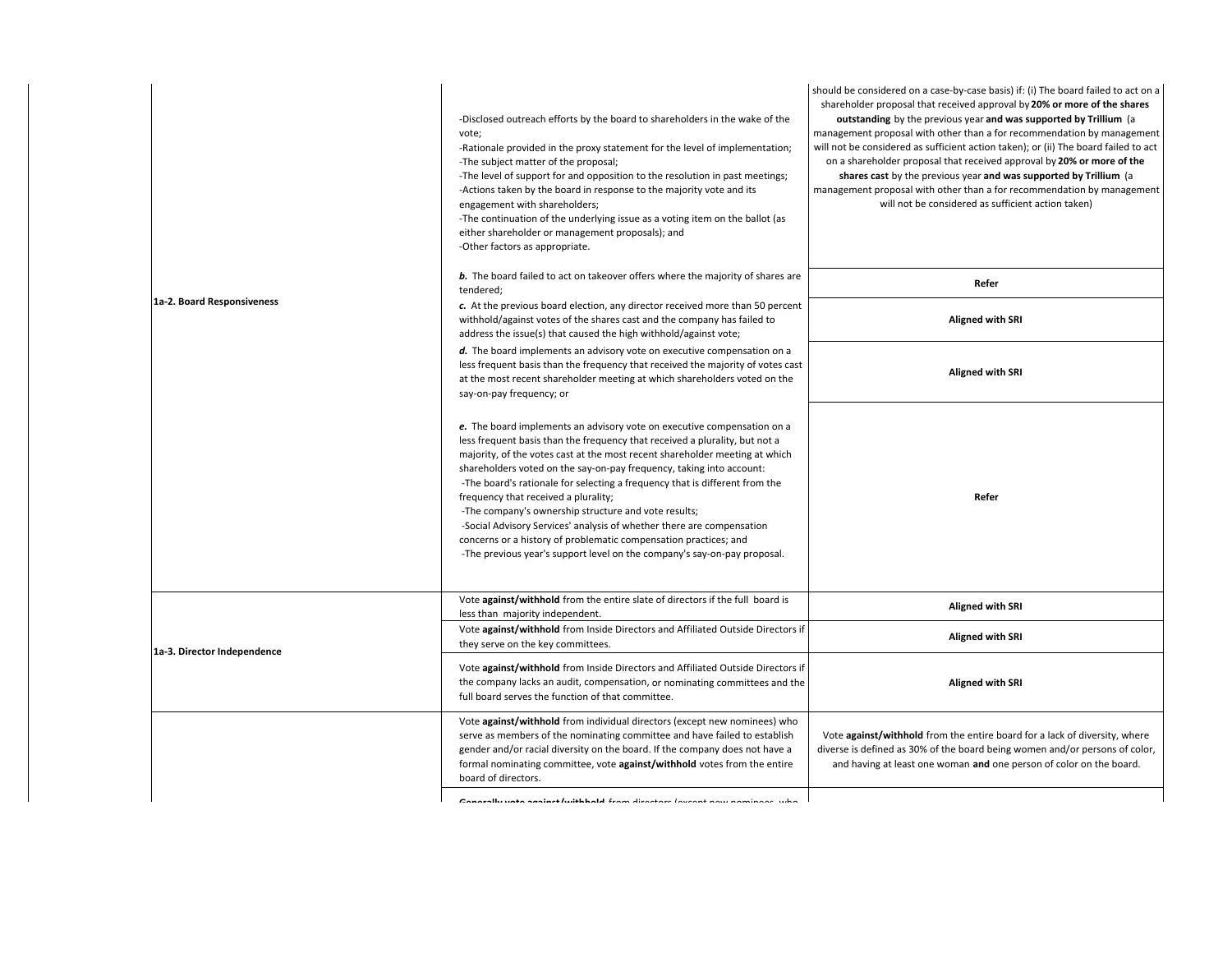|                             | -Disclosed outreach efforts by the board to shareholders in the wake of the<br>vote;<br>-Rationale provided in the proxy statement for the level of implementation;<br>-The subject matter of the proposal;<br>-The level of support for and opposition to the resolution in past meetings;<br>-Actions taken by the board in response to the majority vote and its<br>engagement with shareholders;<br>-The continuation of the underlying issue as a voting item on the ballot (as<br>either shareholder or management proposals); and<br>-Other factors as appropriate.                                                                                                                                            | should be considered on a case-by-case basis) if: (i) The board failed to act on a<br>shareholder proposal that received approval by 20% or more of the shares<br>outstanding by the previous year and was supported by Trillium (a<br>management proposal with other than a for recommendation by management<br>will not be considered as sufficient action taken); or (ii) The board failed to act<br>on a shareholder proposal that received approval by 20% or more of the<br>shares cast by the previous year and was supported by Trillium (a<br>management proposal with other than a for recommendation by management<br>will not be considered as sufficient action taken) |
|-----------------------------|-----------------------------------------------------------------------------------------------------------------------------------------------------------------------------------------------------------------------------------------------------------------------------------------------------------------------------------------------------------------------------------------------------------------------------------------------------------------------------------------------------------------------------------------------------------------------------------------------------------------------------------------------------------------------------------------------------------------------|-------------------------------------------------------------------------------------------------------------------------------------------------------------------------------------------------------------------------------------------------------------------------------------------------------------------------------------------------------------------------------------------------------------------------------------------------------------------------------------------------------------------------------------------------------------------------------------------------------------------------------------------------------------------------------------|
|                             | b. The board failed to act on takeover offers where the majority of shares are<br>tendered;                                                                                                                                                                                                                                                                                                                                                                                                                                                                                                                                                                                                                           | Refer                                                                                                                                                                                                                                                                                                                                                                                                                                                                                                                                                                                                                                                                               |
| 1a-2. Board Responsiveness  | c. At the previous board election, any director received more than 50 percent<br>withhold/against votes of the shares cast and the company has failed to<br>address the issue(s) that caused the high withhold/against vote;                                                                                                                                                                                                                                                                                                                                                                                                                                                                                          | Aligned with SRI                                                                                                                                                                                                                                                                                                                                                                                                                                                                                                                                                                                                                                                                    |
|                             | d. The board implements an advisory vote on executive compensation on a<br>less frequent basis than the frequency that received the majority of votes cast<br>at the most recent shareholder meeting at which shareholders voted on the<br>say-on-pay frequency; or                                                                                                                                                                                                                                                                                                                                                                                                                                                   | <b>Aligned with SRI</b>                                                                                                                                                                                                                                                                                                                                                                                                                                                                                                                                                                                                                                                             |
|                             | e. The board implements an advisory vote on executive compensation on a<br>less frequent basis than the frequency that received a plurality, but not a<br>majority, of the votes cast at the most recent shareholder meeting at which<br>shareholders voted on the say-on-pay frequency, taking into account:<br>-The board's rationale for selecting a frequency that is different from the<br>frequency that received a plurality;<br>-The company's ownership structure and vote results;<br>-Social Advisory Services' analysis of whether there are compensation<br>concerns or a history of problematic compensation practices; and<br>-The previous year's support level on the company's say-on-pay proposal. | Refer                                                                                                                                                                                                                                                                                                                                                                                                                                                                                                                                                                                                                                                                               |
|                             | Vote against/withhold from the entire slate of directors if the full board is<br>less than majority independent.                                                                                                                                                                                                                                                                                                                                                                                                                                                                                                                                                                                                      | <b>Aligned with SRI</b>                                                                                                                                                                                                                                                                                                                                                                                                                                                                                                                                                                                                                                                             |
| 1a-3. Director Independence | Vote against/withhold from Inside Directors and Affiliated Outside Directors if<br>they serve on the key committees.                                                                                                                                                                                                                                                                                                                                                                                                                                                                                                                                                                                                  | <b>Aligned with SRI</b>                                                                                                                                                                                                                                                                                                                                                                                                                                                                                                                                                                                                                                                             |
|                             | Vote against/withhold from Inside Directors and Affiliated Outside Directors if<br>the company lacks an audit, compensation, or nominating committees and the<br>full board serves the function of that committee.                                                                                                                                                                                                                                                                                                                                                                                                                                                                                                    | <b>Aligned with SRI</b>                                                                                                                                                                                                                                                                                                                                                                                                                                                                                                                                                                                                                                                             |
|                             | Vote against/withhold from individual directors (except new nominees) who<br>serve as members of the nominating committee and have failed to establish<br>gender and/or racial diversity on the board. If the company does not have a<br>formal nominating committee, vote against/withhold votes from the entire<br>board of directors.                                                                                                                                                                                                                                                                                                                                                                              | Vote against/withhold from the entire board for a lack of diversity, where<br>diverse is defined as 30% of the board being women and/or persons of color,<br>and having at least one woman and one person of color on the board.                                                                                                                                                                                                                                                                                                                                                                                                                                                    |
|                             | Concuellu unto conjunt luithheald from directors (ovenut nou inominese, who                                                                                                                                                                                                                                                                                                                                                                                                                                                                                                                                                                                                                                           |                                                                                                                                                                                                                                                                                                                                                                                                                                                                                                                                                                                                                                                                                     |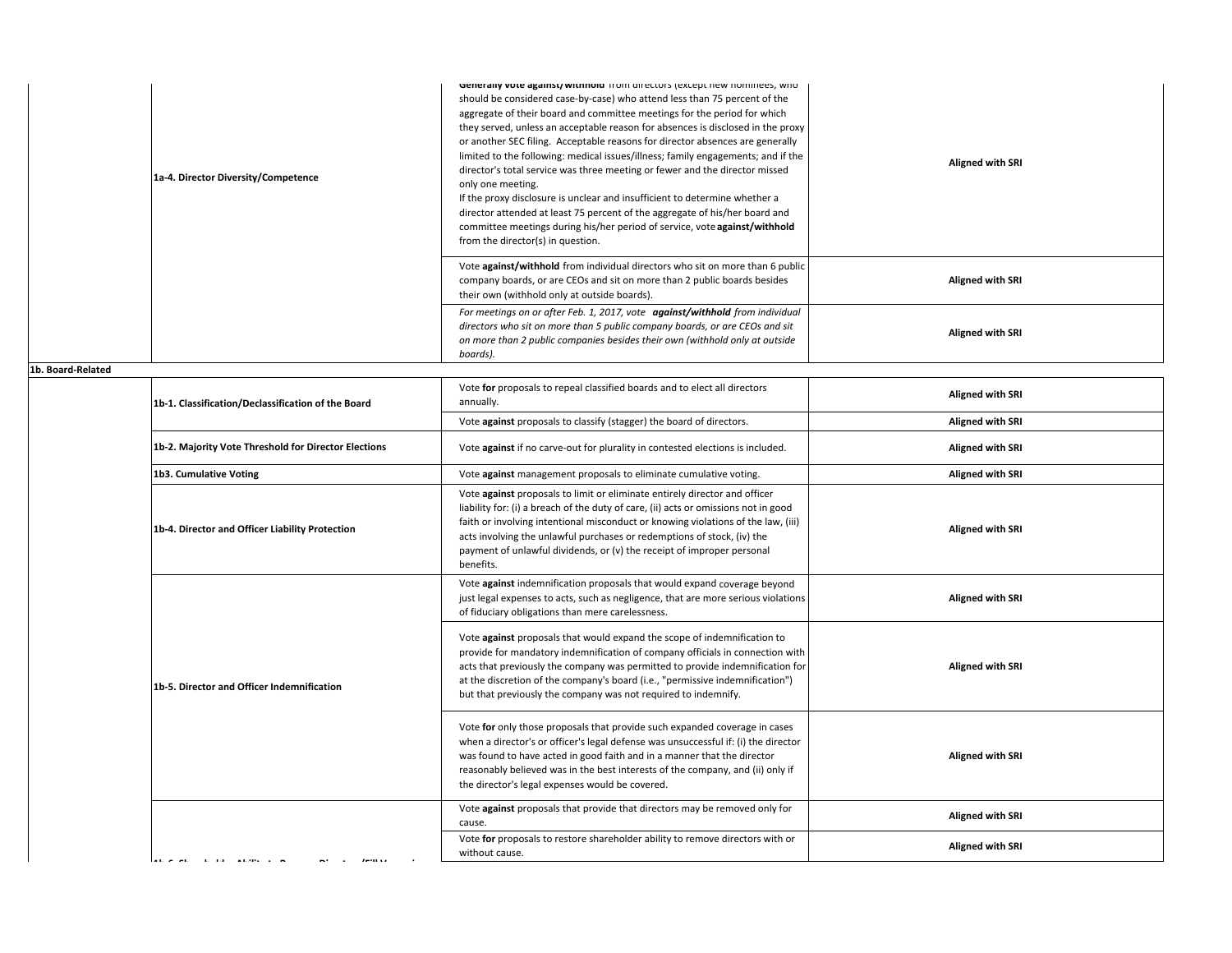| 1a-4. Director Diversity/Competence | <b>Generally vote against/withhold</b> from directors (except new nominees, who<br>should be considered case-by-case) who attend less than 75 percent of the<br>aggregate of their board and committee meetings for the period for which<br>they served, unless an acceptable reason for absences is disclosed in the proxy<br>or another SEC filing. Acceptable reasons for director absences are generally<br>limited to the following: medical issues/illness; family engagements; and if the<br>director's total service was three meeting or fewer and the director missed<br>only one meeting.<br>If the proxy disclosure is unclear and insufficient to determine whether a<br>director attended at least 75 percent of the aggregate of his/her board and<br>committee meetings during his/her period of service, vote against/withhold<br>from the director(s) in question. | <b>Aligned with SRI</b> |
|-------------------------------------|--------------------------------------------------------------------------------------------------------------------------------------------------------------------------------------------------------------------------------------------------------------------------------------------------------------------------------------------------------------------------------------------------------------------------------------------------------------------------------------------------------------------------------------------------------------------------------------------------------------------------------------------------------------------------------------------------------------------------------------------------------------------------------------------------------------------------------------------------------------------------------------|-------------------------|
|                                     | Vote against/withhold from individual directors who sit on more than 6 public<br>company boards, or are CEOs and sit on more than 2 public boards besides<br>their own (withhold only at outside boards).                                                                                                                                                                                                                                                                                                                                                                                                                                                                                                                                                                                                                                                                            | <b>Aligned with SRI</b> |
|                                     | For meetings on or after Feb. 1, 2017, vote against/withhold from individual<br>directors who sit on more than 5 public company boards, or are CEOs and sit<br>on more than 2 public companies besides their own (withhold only at outside<br>boards).                                                                                                                                                                                                                                                                                                                                                                                                                                                                                                                                                                                                                               | <b>Aligned with SRI</b> |

**1b. Board‐Related**

| 1b-1. Classification/Declassification of the Board   | Vote for proposals to repeal classified boards and to elect all directors<br>annually.                                                                                                                                                                                                                                                                                                                                   | <b>Aligned with SRI</b> |
|------------------------------------------------------|--------------------------------------------------------------------------------------------------------------------------------------------------------------------------------------------------------------------------------------------------------------------------------------------------------------------------------------------------------------------------------------------------------------------------|-------------------------|
|                                                      | Vote against proposals to classify (stagger) the board of directors.                                                                                                                                                                                                                                                                                                                                                     | <b>Aligned with SRI</b> |
| 1b-2. Majority Vote Threshold for Director Elections | Vote against if no carve-out for plurality in contested elections is included.                                                                                                                                                                                                                                                                                                                                           | <b>Aligned with SRI</b> |
| 1b3. Cumulative Voting                               | Vote against management proposals to eliminate cumulative voting.                                                                                                                                                                                                                                                                                                                                                        | <b>Aligned with SRI</b> |
| 1b-4. Director and Officer Liability Protection      | Vote against proposals to limit or eliminate entirely director and officer<br>liability for: (i) a breach of the duty of care, (ii) acts or omissions not in good<br>faith or involving intentional misconduct or knowing violations of the law, (iii)<br>acts involving the unlawful purchases or redemptions of stock, (iv) the<br>payment of unlawful dividends, or (v) the receipt of improper personal<br>benefits. | <b>Aligned with SRI</b> |
|                                                      | Vote against indemnification proposals that would expand coverage beyond<br>just legal expenses to acts, such as negligence, that are more serious violations<br>of fiduciary obligations than mere carelessness.                                                                                                                                                                                                        | <b>Aligned with SRI</b> |
| 1b-5. Director and Officer Indemnification           | Vote against proposals that would expand the scope of indemnification to<br>provide for mandatory indemnification of company officials in connection with<br>acts that previously the company was permitted to provide indemnification for<br>at the discretion of the company's board (i.e., "permissive indemnification")<br>but that previously the company was not required to indemnify.                            | <b>Aligned with SRI</b> |
|                                                      | Vote for only those proposals that provide such expanded coverage in cases<br>when a director's or officer's legal defense was unsuccessful if: (i) the director<br>was found to have acted in good faith and in a manner that the director<br>reasonably believed was in the best interests of the company, and (ii) only if<br>the director's legal expenses would be covered.                                         | <b>Aligned with SRI</b> |
|                                                      | Vote against proposals that provide that directors may be removed only for<br>cause.                                                                                                                                                                                                                                                                                                                                     | <b>Aligned with SRI</b> |
|                                                      | Vote for proposals to restore shareholder ability to remove directors with or<br>without cause.                                                                                                                                                                                                                                                                                                                          | <b>Aligned with SRI</b> |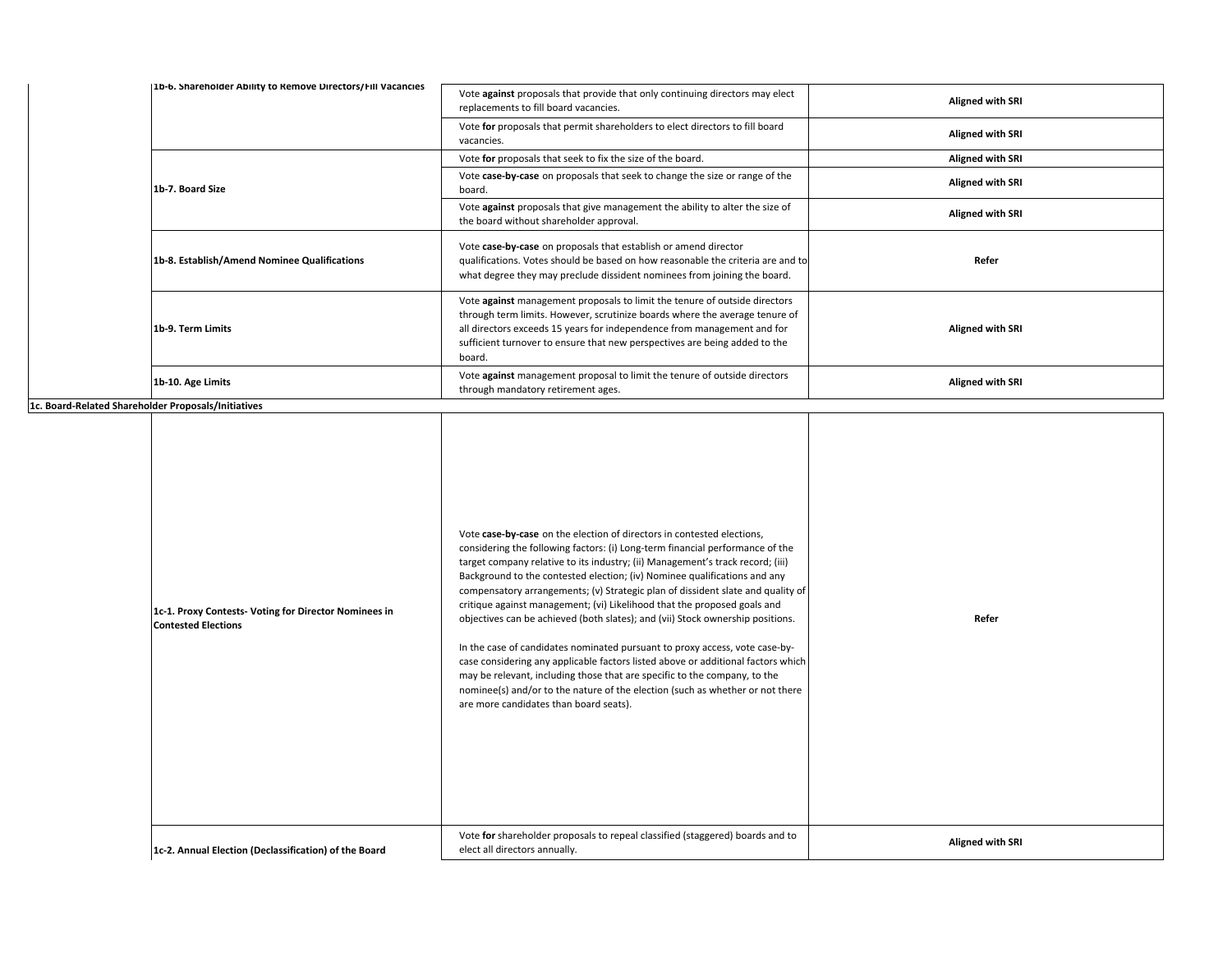| [1b-6. Shareholder Ability to Remove Directors/Fill Vacancies | Vote against proposals that provide that only continuing directors may elect<br>replacements to fill board vacancies.                                                                                                                                                                                                        | Aligned with SRI        |
|---------------------------------------------------------------|------------------------------------------------------------------------------------------------------------------------------------------------------------------------------------------------------------------------------------------------------------------------------------------------------------------------------|-------------------------|
|                                                               | Vote for proposals that permit shareholders to elect directors to fill board<br>vacancies.                                                                                                                                                                                                                                   | <b>Aligned with SRI</b> |
|                                                               | Vote for proposals that seek to fix the size of the board.                                                                                                                                                                                                                                                                   | <b>Aligned with SRI</b> |
| 1b-7. Board Size                                              | Vote case-by-case on proposals that seek to change the size or range of the<br>board.                                                                                                                                                                                                                                        | <b>Aligned with SRI</b> |
|                                                               | Vote against proposals that give management the ability to alter the size of<br>the board without shareholder approval.                                                                                                                                                                                                      | <b>Aligned with SRI</b> |
| 1b-8. Establish/Amend Nominee Qualifications                  | Vote case-by-case on proposals that establish or amend director<br>qualifications. Votes should be based on how reasonable the criteria are and to<br>what degree they may preclude dissident nominees from joining the board.                                                                                               | Refer                   |
| 1b-9. Term Limits                                             | Vote against management proposals to limit the tenure of outside directors<br>through term limits. However, scrutinize boards where the average tenure of<br>all directors exceeds 15 years for independence from management and for<br>sufficient turnover to ensure that new perspectives are being added to the<br>board. | <b>Aligned with SRI</b> |
| 1b-10. Age Limits                                             | Vote against management proposal to limit the tenure of outside directors<br>through mandatory retirement ages.                                                                                                                                                                                                              | Aligned with SRI        |

**1c. Board‐Related Shareholder Proposals/Initiatives**

| noider Proposais/Initiatives                                                        |                                                                                                                                                                                                                                                                                                                                                                                                                                                                                                                                                                                                                                                                                                                                                                                                                                                                                                                                                    |                         |
|-------------------------------------------------------------------------------------|----------------------------------------------------------------------------------------------------------------------------------------------------------------------------------------------------------------------------------------------------------------------------------------------------------------------------------------------------------------------------------------------------------------------------------------------------------------------------------------------------------------------------------------------------------------------------------------------------------------------------------------------------------------------------------------------------------------------------------------------------------------------------------------------------------------------------------------------------------------------------------------------------------------------------------------------------|-------------------------|
| 1c-1. Proxy Contests- Voting for Director Nominees in<br><b>Contested Elections</b> | Vote case-by-case on the election of directors in contested elections,<br>considering the following factors: (i) Long-term financial performance of the<br>target company relative to its industry; (ii) Management's track record; (iii)<br>Background to the contested election; (iv) Nominee qualifications and any<br>compensatory arrangements; (v) Strategic plan of dissident slate and quality of<br>critique against management; (vi) Likelihood that the proposed goals and<br>objectives can be achieved (both slates); and (vii) Stock ownership positions.<br>In the case of candidates nominated pursuant to proxy access, vote case-by-<br>case considering any applicable factors listed above or additional factors which<br>may be relevant, including those that are specific to the company, to the<br>nominee(s) and/or to the nature of the election (such as whether or not there<br>are more candidates than board seats). | Refer                   |
| 1c-2. Annual Election (Declassification) of the Board                               | Vote for shareholder proposals to repeal classified (staggered) boards and to<br>elect all directors annually.                                                                                                                                                                                                                                                                                                                                                                                                                                                                                                                                                                                                                                                                                                                                                                                                                                     | <b>Aligned with SRI</b> |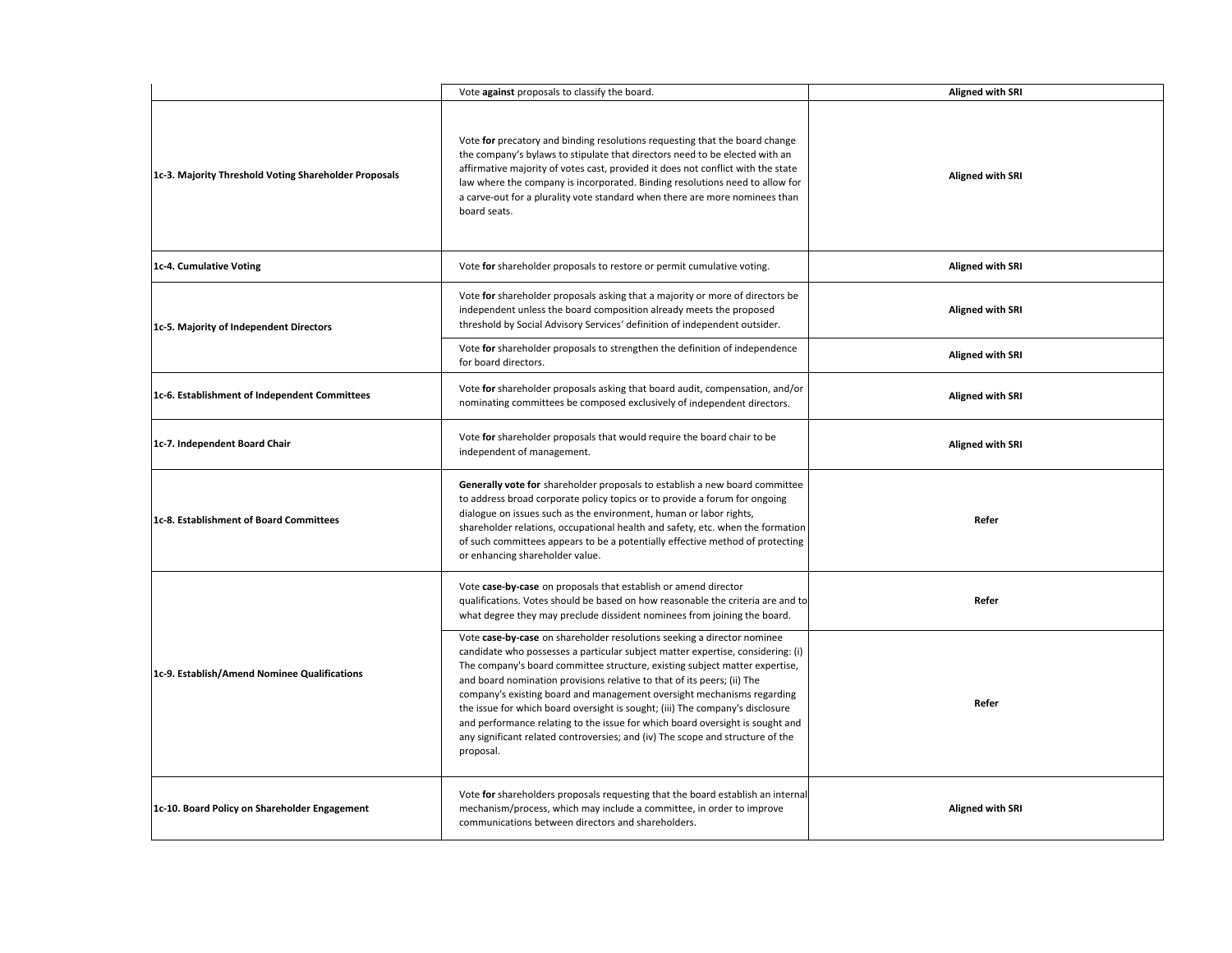|                                                       | Vote against proposals to classify the board.                                                                                                                                                                                                                                                                                                                                                                                                                                                                                                                                                                                                                   | <b>Aligned with SRI</b> |
|-------------------------------------------------------|-----------------------------------------------------------------------------------------------------------------------------------------------------------------------------------------------------------------------------------------------------------------------------------------------------------------------------------------------------------------------------------------------------------------------------------------------------------------------------------------------------------------------------------------------------------------------------------------------------------------------------------------------------------------|-------------------------|
| 1c-3. Majority Threshold Voting Shareholder Proposals | Vote for precatory and binding resolutions requesting that the board change<br>the company's bylaws to stipulate that directors need to be elected with an<br>affirmative majority of votes cast, provided it does not conflict with the state<br>law where the company is incorporated. Binding resolutions need to allow for<br>a carve-out for a plurality vote standard when there are more nominees than<br>board seats.                                                                                                                                                                                                                                   | <b>Aligned with SRI</b> |
| 1c-4. Cumulative Voting                               | Vote for shareholder proposals to restore or permit cumulative voting.                                                                                                                                                                                                                                                                                                                                                                                                                                                                                                                                                                                          | <b>Aligned with SRI</b> |
| 1c-5. Majority of Independent Directors               | Vote for shareholder proposals asking that a majority or more of directors be<br>independent unless the board composition already meets the proposed<br>threshold by Social Advisory Services' definition of independent outsider.                                                                                                                                                                                                                                                                                                                                                                                                                              | <b>Aligned with SRI</b> |
|                                                       | Vote for shareholder proposals to strengthen the definition of independence<br>for board directors.                                                                                                                                                                                                                                                                                                                                                                                                                                                                                                                                                             | <b>Aligned with SRI</b> |
| 1c-6. Establishment of Independent Committees         | Vote for shareholder proposals asking that board audit, compensation, and/or<br>nominating committees be composed exclusively of independent directors.                                                                                                                                                                                                                                                                                                                                                                                                                                                                                                         | <b>Aligned with SRI</b> |
| 1c-7. Independent Board Chair                         | Vote for shareholder proposals that would require the board chair to be<br>independent of management.                                                                                                                                                                                                                                                                                                                                                                                                                                                                                                                                                           | <b>Aligned with SRI</b> |
| 1c-8. Establishment of Board Committees               | Generally vote for shareholder proposals to establish a new board committee<br>to address broad corporate policy topics or to provide a forum for ongoing<br>dialogue on issues such as the environment, human or labor rights,<br>shareholder relations, occupational health and safety, etc. when the formation<br>of such committees appears to be a potentially effective method of protecting<br>or enhancing shareholder value.                                                                                                                                                                                                                           | Refer                   |
|                                                       | Vote case-by-case on proposals that establish or amend director<br>qualifications. Votes should be based on how reasonable the criteria are and to<br>what degree they may preclude dissident nominees from joining the board.                                                                                                                                                                                                                                                                                                                                                                                                                                  | Refer                   |
| 1c-9. Establish/Amend Nominee Qualifications          | Vote case-by-case on shareholder resolutions seeking a director nominee<br>candidate who possesses a particular subject matter expertise, considering: (i)<br>The company's board committee structure, existing subject matter expertise,<br>and board nomination provisions relative to that of its peers; (ii) The<br>company's existing board and management oversight mechanisms regarding<br>the issue for which board oversight is sought; (iii) The company's disclosure<br>and performance relating to the issue for which board oversight is sought and<br>any significant related controversies; and (iv) The scope and structure of the<br>proposal. | Refer                   |
| 1c-10. Board Policy on Shareholder Engagement         | Vote for shareholders proposals requesting that the board establish an internal<br>mechanism/process, which may include a committee, in order to improve<br>communications between directors and shareholders.                                                                                                                                                                                                                                                                                                                                                                                                                                                  | <b>Aligned with SRI</b> |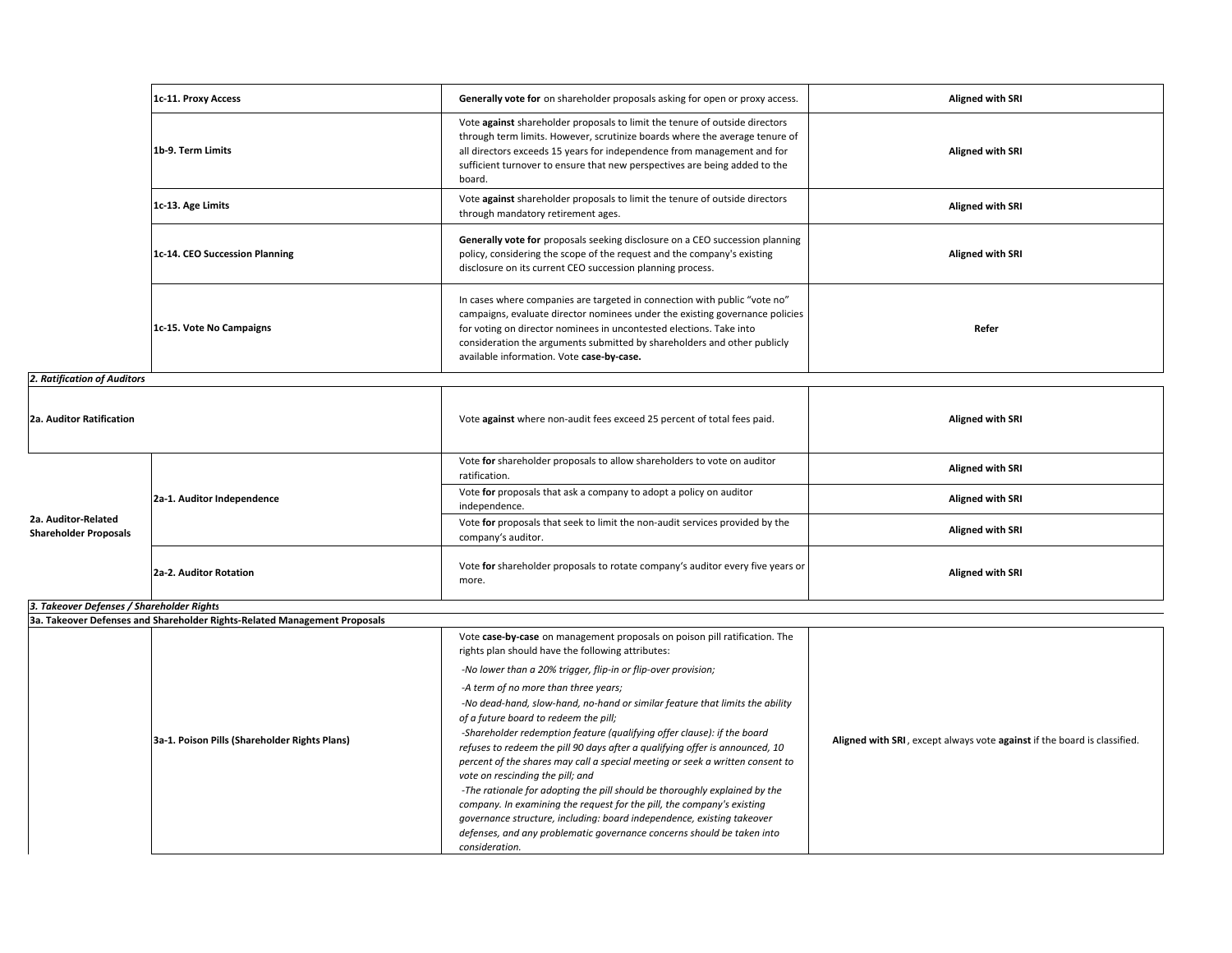|                                                     | 1c-11. Proxy Access                                                       | Generally vote for on shareholder proposals asking for open or proxy access.                                                                                                                                                                                                                                                                              | <b>Aligned with SRI</b> |
|-----------------------------------------------------|---------------------------------------------------------------------------|-----------------------------------------------------------------------------------------------------------------------------------------------------------------------------------------------------------------------------------------------------------------------------------------------------------------------------------------------------------|-------------------------|
|                                                     | 1b-9. Term Limits                                                         | Vote against shareholder proposals to limit the tenure of outside directors<br>through term limits. However, scrutinize boards where the average tenure of<br>all directors exceeds 15 years for independence from management and for<br>sufficient turnover to ensure that new perspectives are being added to the<br>board.                             | <b>Aligned with SRI</b> |
|                                                     | 1c-13. Age Limits                                                         | Vote against shareholder proposals to limit the tenure of outside directors<br>through mandatory retirement ages.                                                                                                                                                                                                                                         | Aligned with SRI        |
|                                                     | 1c-14. CEO Succession Planning                                            | Generally vote for proposals seeking disclosure on a CEO succession planning<br>policy, considering the scope of the request and the company's existing<br>disclosure on its current CEO succession planning process.                                                                                                                                     | <b>Aligned with SRI</b> |
|                                                     | 1c-15. Vote No Campaigns                                                  | In cases where companies are targeted in connection with public "vote no"<br>campaigns, evaluate director nominees under the existing governance policies<br>for voting on director nominees in uncontested elections. Take into<br>consideration the arguments submitted by shareholders and other publicly<br>available information. Vote case-by-case. | Refer                   |
| 2. Ratification of Auditors                         |                                                                           |                                                                                                                                                                                                                                                                                                                                                           |                         |
| 2a. Auditor Ratification                            |                                                                           | Vote against where non-audit fees exceed 25 percent of total fees paid.                                                                                                                                                                                                                                                                                   | <b>Aligned with SRI</b> |
|                                                     | 2a-1. Auditor Independence                                                | Vote for shareholder proposals to allow shareholders to vote on auditor<br>ratification.                                                                                                                                                                                                                                                                  | <b>Aligned with SRI</b> |
|                                                     |                                                                           | Vote for proposals that ask a company to adopt a policy on auditor<br>independence.                                                                                                                                                                                                                                                                       | <b>Aligned with SRI</b> |
| 2a. Auditor-Related<br><b>Shareholder Proposals</b> |                                                                           | Vote for proposals that seek to limit the non-audit services provided by the<br>company's auditor.                                                                                                                                                                                                                                                        | <b>Aligned with SRI</b> |
|                                                     | 2a-2. Auditor Rotation                                                    | Vote for shareholder proposals to rotate company's auditor every five years or<br>more.                                                                                                                                                                                                                                                                   | <b>Aligned with SRI</b> |
| 3. Takeover Defenses / Shareholder Rights           |                                                                           |                                                                                                                                                                                                                                                                                                                                                           |                         |
|                                                     | 3a. Takeover Defenses and Shareholder Rights-Related Management Proposals |                                                                                                                                                                                                                                                                                                                                                           |                         |
|                                                     |                                                                           | Vote case-by-case on management proposals on poison pill ratification. The<br>rights plan should have the following attributes:                                                                                                                                                                                                                           |                         |
|                                                     |                                                                           | -No lower than a 20% trigger, flip-in or flip-over provision;                                                                                                                                                                                                                                                                                             |                         |
|                                                     |                                                                           | -A term of no more than three years;                                                                                                                                                                                                                                                                                                                      |                         |

|                                               | -A term of no more than three years;                                          |                                                                          |
|-----------------------------------------------|-------------------------------------------------------------------------------|--------------------------------------------------------------------------|
|                                               | -No dead-hand, slow-hand, no-hand or similar feature that limits the ability  |                                                                          |
|                                               | of a future board to redeem the pill;                                         |                                                                          |
|                                               | -Shareholder redemption feature (qualifying offer clause): if the board       | Aligned with SRI, except always vote against if the board is classified. |
| 3a-1. Poison Pills (Shareholder Rights Plans) | refuses to redeem the pill 90 days after a qualifying offer is announced, 10  |                                                                          |
|                                               | percent of the shares may call a special meeting or seek a written consent to |                                                                          |
|                                               | vote on rescinding the pill; and                                              |                                                                          |
|                                               | -The rationale for adopting the pill should be thoroughly explained by the    |                                                                          |
|                                               | company. In examining the request for the pill, the company's existing        |                                                                          |
|                                               | governance structure, including: board independence, existing takeover        |                                                                          |
|                                               | defenses, and any problematic governance concerns should be taken into        |                                                                          |
|                                               | consideration.                                                                |                                                                          |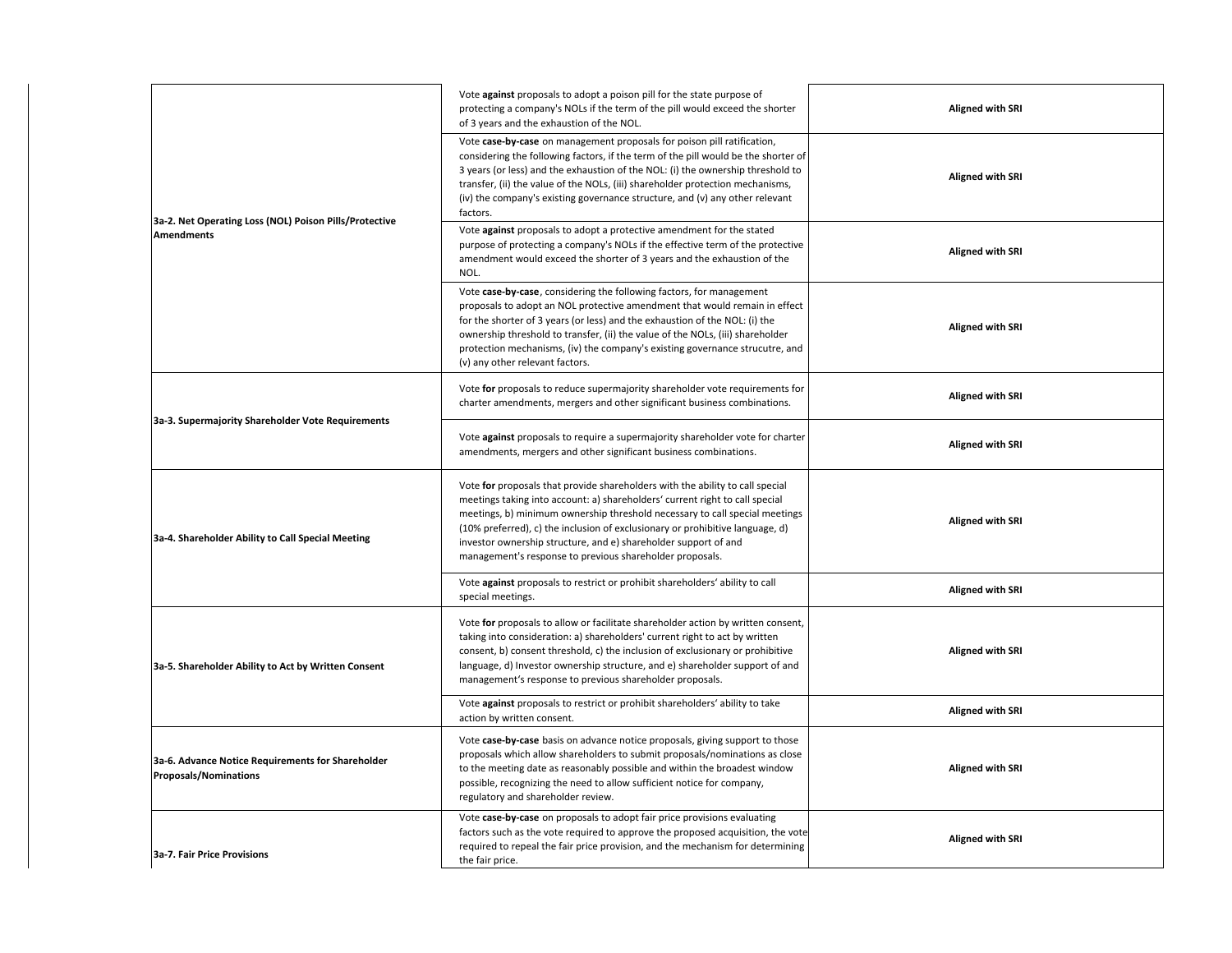|                                                                                   | Vote against proposals to adopt a poison pill for the state purpose of<br>protecting a company's NOLs if the term of the pill would exceed the shorter<br>of 3 years and the exhaustion of the NOL.                                                                                                                                                                                                                                                          | <b>Aligned with SRI</b> |
|-----------------------------------------------------------------------------------|--------------------------------------------------------------------------------------------------------------------------------------------------------------------------------------------------------------------------------------------------------------------------------------------------------------------------------------------------------------------------------------------------------------------------------------------------------------|-------------------------|
| 3a-2. Net Operating Loss (NOL) Poison Pills/Protective                            | Vote case-by-case on management proposals for poison pill ratification,<br>considering the following factors, if the term of the pill would be the shorter of<br>3 years (or less) and the exhaustion of the NOL: (i) the ownership threshold to<br>transfer, (ii) the value of the NOLs, (iii) shareholder protection mechanisms,<br>(iv) the company's existing governance structure, and (v) any other relevant<br>factors.                               | <b>Aligned with SRI</b> |
| <b>Amendments</b>                                                                 | Vote against proposals to adopt a protective amendment for the stated<br>purpose of protecting a company's NOLs if the effective term of the protective<br>amendment would exceed the shorter of 3 years and the exhaustion of the<br>NOL.                                                                                                                                                                                                                   | <b>Aligned with SRI</b> |
|                                                                                   | Vote case-by-case, considering the following factors, for management<br>proposals to adopt an NOL protective amendment that would remain in effect<br>for the shorter of 3 years (or less) and the exhaustion of the NOL: (i) the<br>ownership threshold to transfer, (ii) the value of the NOLs, (iii) shareholder<br>protection mechanisms, (iv) the company's existing governance strucutre, and<br>(v) any other relevant factors.                       | <b>Aligned with SRI</b> |
|                                                                                   | Vote for proposals to reduce supermajority shareholder vote requirements for<br>charter amendments, mergers and other significant business combinations.                                                                                                                                                                                                                                                                                                     | <b>Aligned with SRI</b> |
| 3a-3. Supermajority Shareholder Vote Requirements                                 | Vote against proposals to require a supermajority shareholder vote for charter<br>amendments, mergers and other significant business combinations.                                                                                                                                                                                                                                                                                                           | <b>Aligned with SRI</b> |
| 3a-4. Shareholder Ability to Call Special Meeting                                 | Vote for proposals that provide shareholders with the ability to call special<br>meetings taking into account: a) shareholders' current right to call special<br>meetings, b) minimum ownership threshold necessary to call special meetings<br>(10% preferred), c) the inclusion of exclusionary or prohibitive language, d)<br>investor ownership structure, and e) shareholder support of and<br>management's response to previous shareholder proposals. | <b>Aligned with SRI</b> |
|                                                                                   | Vote against proposals to restrict or prohibit shareholders' ability to call<br>special meetings.                                                                                                                                                                                                                                                                                                                                                            | <b>Aligned with SRI</b> |
| 3a-5. Shareholder Ability to Act by Written Consent                               | Vote for proposals to allow or facilitate shareholder action by written consent,<br>taking into consideration: a) shareholders' current right to act by written<br>consent, b) consent threshold, c) the inclusion of exclusionary or prohibitive<br>language, d) Investor ownership structure, and e) shareholder support of and<br>management's response to previous shareholder proposals.                                                                | <b>Aligned with SRI</b> |
|                                                                                   | Vote against proposals to restrict or prohibit shareholders' ability to take<br>action by written consent.                                                                                                                                                                                                                                                                                                                                                   | <b>Aligned with SRI</b> |
| 3a-6. Advance Notice Requirements for Shareholder<br><b>Proposals/Nominations</b> | Vote case-by-case basis on advance notice proposals, giving support to those<br>proposals which allow shareholders to submit proposals/nominations as close<br>to the meeting date as reasonably possible and within the broadest window<br>possible, recognizing the need to allow sufficient notice for company,<br>regulatory and shareholder review.                                                                                                     | <b>Aligned with SRI</b> |
| <b>3a-7. Fair Price Provisions</b>                                                | Vote case-by-case on proposals to adopt fair price provisions evaluating<br>factors such as the vote required to approve the proposed acquisition, the vote<br>required to repeal the fair price provision, and the mechanism for determining<br>the fair price.                                                                                                                                                                                             | <b>Aligned with SRI</b> |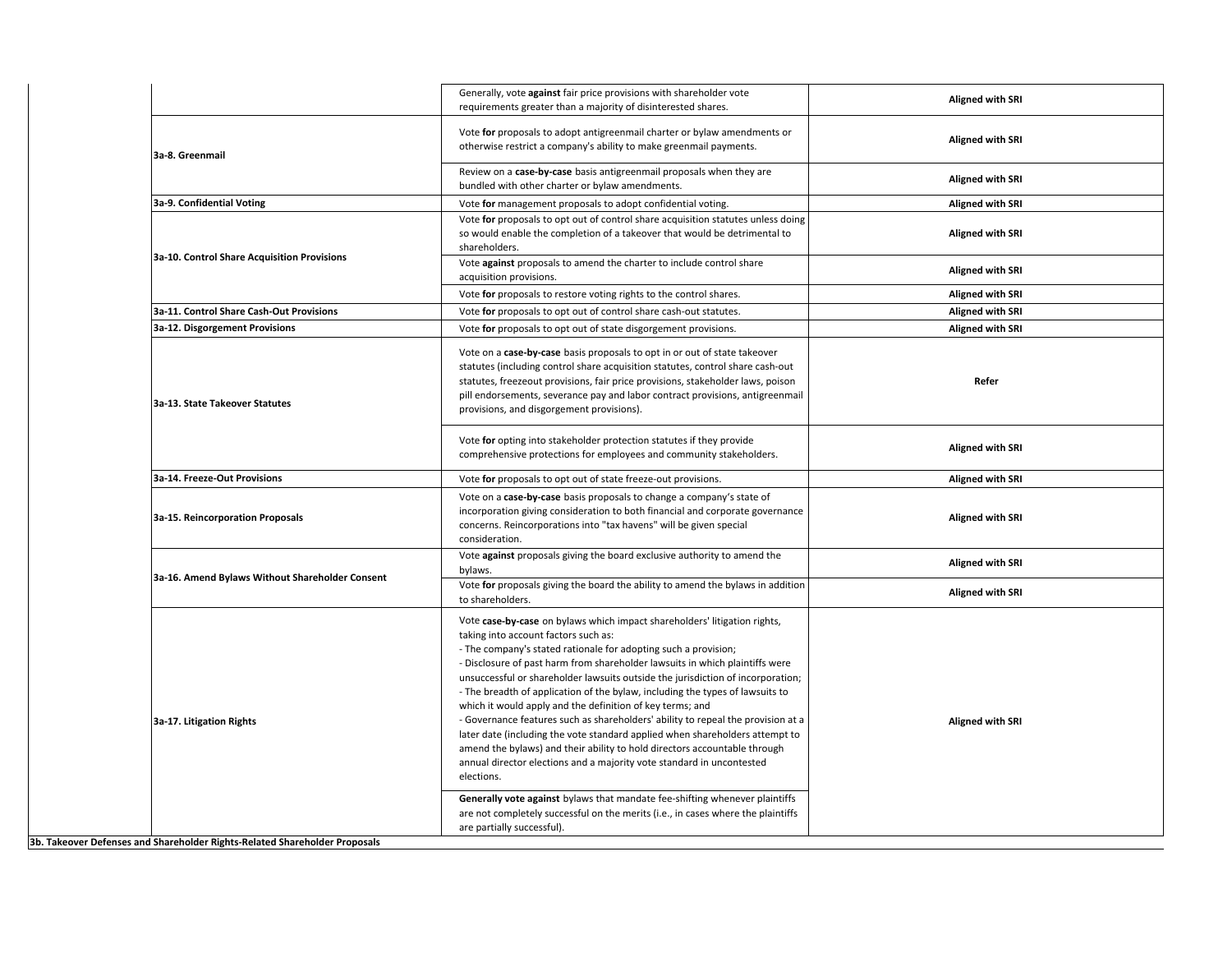|                                                                            | Generally, vote against fair price provisions with shareholder vote<br>requirements greater than a majority of disinterested shares.                                                                                                                                                                                                                                                                                                                                                                                                                                                                                                                                                                                                                                                                                                          | <b>Aligned with SRI</b> |
|----------------------------------------------------------------------------|-----------------------------------------------------------------------------------------------------------------------------------------------------------------------------------------------------------------------------------------------------------------------------------------------------------------------------------------------------------------------------------------------------------------------------------------------------------------------------------------------------------------------------------------------------------------------------------------------------------------------------------------------------------------------------------------------------------------------------------------------------------------------------------------------------------------------------------------------|-------------------------|
| 3a-8. Greenmail                                                            | Vote for proposals to adopt antigreenmail charter or bylaw amendments or<br>otherwise restrict a company's ability to make greenmail payments.                                                                                                                                                                                                                                                                                                                                                                                                                                                                                                                                                                                                                                                                                                | <b>Aligned with SRI</b> |
|                                                                            | Review on a case-by-case basis antigreenmail proposals when they are<br>bundled with other charter or bylaw amendments.                                                                                                                                                                                                                                                                                                                                                                                                                                                                                                                                                                                                                                                                                                                       | <b>Aligned with SRI</b> |
| 3a-9. Confidential Voting                                                  | Vote for management proposals to adopt confidential voting.                                                                                                                                                                                                                                                                                                                                                                                                                                                                                                                                                                                                                                                                                                                                                                                   | <b>Aligned with SRI</b> |
| 3a-10. Control Share Acquisition Provisions                                | Vote for proposals to opt out of control share acquisition statutes unless doing<br>so would enable the completion of a takeover that would be detrimental to<br>shareholders.                                                                                                                                                                                                                                                                                                                                                                                                                                                                                                                                                                                                                                                                | <b>Aligned with SRI</b> |
|                                                                            | Vote against proposals to amend the charter to include control share<br>acquisition provisions.                                                                                                                                                                                                                                                                                                                                                                                                                                                                                                                                                                                                                                                                                                                                               | <b>Aligned with SRI</b> |
|                                                                            | Vote for proposals to restore voting rights to the control shares.                                                                                                                                                                                                                                                                                                                                                                                                                                                                                                                                                                                                                                                                                                                                                                            | <b>Aligned with SRI</b> |
| 3a-11. Control Share Cash-Out Provisions                                   | Vote for proposals to opt out of control share cash-out statutes.                                                                                                                                                                                                                                                                                                                                                                                                                                                                                                                                                                                                                                                                                                                                                                             | <b>Aligned with SRI</b> |
| 3a-12. Disgorgement Provisions                                             | Vote for proposals to opt out of state disgorgement provisions.                                                                                                                                                                                                                                                                                                                                                                                                                                                                                                                                                                                                                                                                                                                                                                               | <b>Aligned with SRI</b> |
| 3a-13. State Takeover Statutes                                             | Vote on a case-by-case basis proposals to opt in or out of state takeover<br>statutes (including control share acquisition statutes, control share cash-out<br>statutes, freezeout provisions, fair price provisions, stakeholder laws, poison<br>pill endorsements, severance pay and labor contract provisions, antigreenmail<br>provisions, and disgorgement provisions).                                                                                                                                                                                                                                                                                                                                                                                                                                                                  | Refer                   |
|                                                                            | Vote for opting into stakeholder protection statutes if they provide<br>comprehensive protections for employees and community stakeholders.                                                                                                                                                                                                                                                                                                                                                                                                                                                                                                                                                                                                                                                                                                   | <b>Aligned with SRI</b> |
| 3a-14. Freeze-Out Provisions                                               | Vote for proposals to opt out of state freeze-out provisions.                                                                                                                                                                                                                                                                                                                                                                                                                                                                                                                                                                                                                                                                                                                                                                                 | <b>Aligned with SRI</b> |
| 3a-15. Reincorporation Proposals                                           | Vote on a case-by-case basis proposals to change a company's state of<br>incorporation giving consideration to both financial and corporate governance<br>concerns. Reincorporations into "tax havens" will be given special<br>consideration.                                                                                                                                                                                                                                                                                                                                                                                                                                                                                                                                                                                                | <b>Aligned with SRI</b> |
| 3a-16. Amend Bylaws Without Shareholder Consent                            | Vote against proposals giving the board exclusive authority to amend the<br>bylaws.                                                                                                                                                                                                                                                                                                                                                                                                                                                                                                                                                                                                                                                                                                                                                           | <b>Aligned with SRI</b> |
|                                                                            | Vote for proposals giving the board the ability to amend the bylaws in addition<br>to shareholders.                                                                                                                                                                                                                                                                                                                                                                                                                                                                                                                                                                                                                                                                                                                                           | <b>Aligned with SRI</b> |
| 3a-17. Litigation Rights                                                   | Vote case-by-case on bylaws which impact shareholders' litigation rights,<br>taking into account factors such as:<br>- The company's stated rationale for adopting such a provision;<br>- Disclosure of past harm from shareholder lawsuits in which plaintiffs were<br>unsuccessful or shareholder lawsuits outside the jurisdiction of incorporation;<br>- The breadth of application of the bylaw, including the types of lawsuits to<br>which it would apply and the definition of key terms; and<br>- Governance features such as shareholders' ability to repeal the provision at a<br>later date (including the vote standard applied when shareholders attempt to<br>amend the bylaws) and their ability to hold directors accountable through<br>annual director elections and a majority vote standard in uncontested<br>elections. | Aligned with SRI        |
| 3b. Takeover Defenses and Shareholder Rights-Related Shareholder Proposals | Generally vote against bylaws that mandate fee-shifting whenever plaintiffs<br>are not completely successful on the merits (i.e., in cases where the plaintiffs<br>are partially successful).                                                                                                                                                                                                                                                                                                                                                                                                                                                                                                                                                                                                                                                 |                         |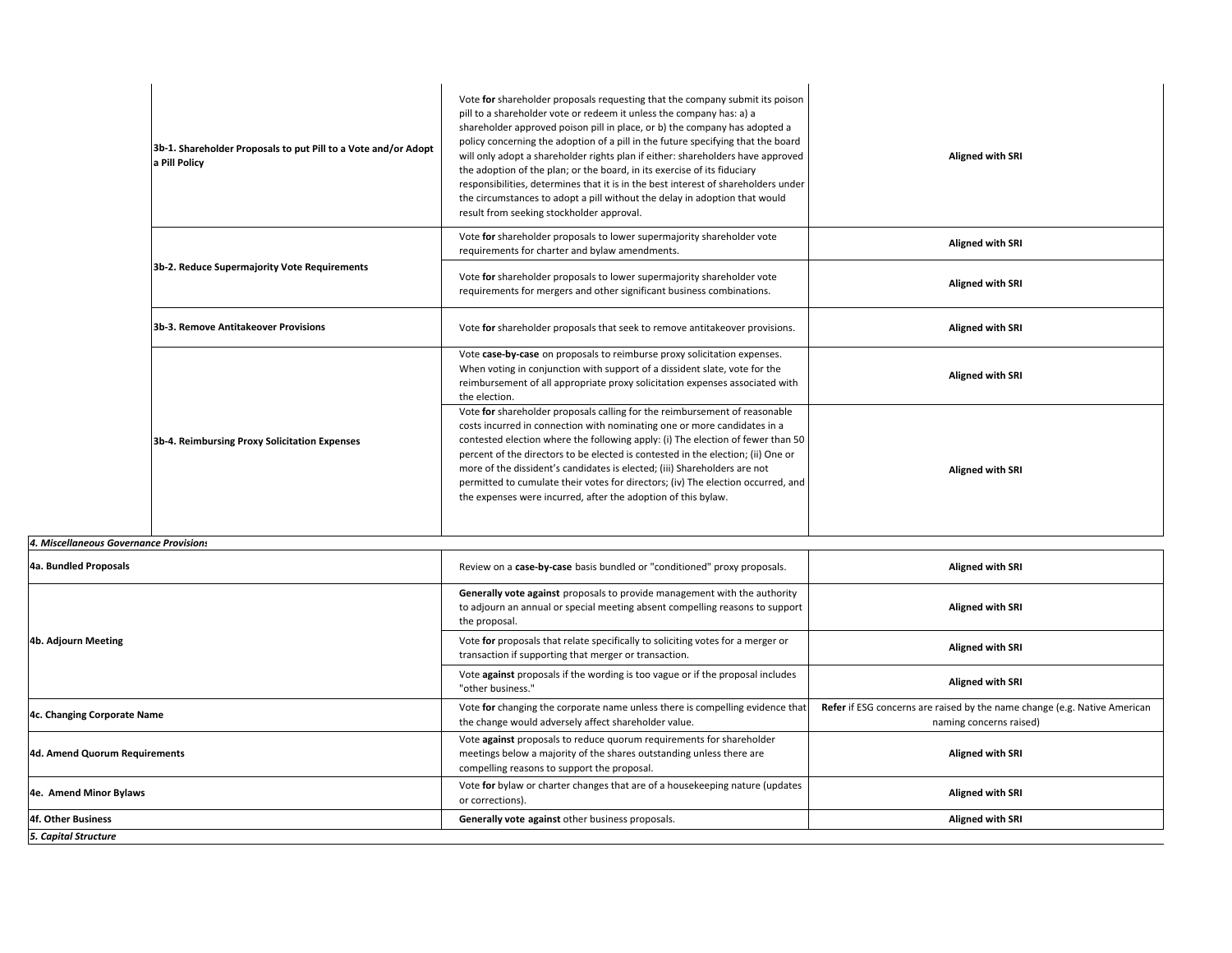| 3b-1. Shareholder Proposals to put Pill to a Vote and/or Adopt<br>a Pill Policy | Vote for shareholder proposals requesting that the company submit its poison<br>pill to a shareholder vote or redeem it unless the company has: a) a<br>shareholder approved poison pill in place, or b) the company has adopted a<br>policy concerning the adoption of a pill in the future specifying that the board<br>will only adopt a shareholder rights plan if either: shareholders have approved<br>the adoption of the plan; or the board, in its exercise of its fiduciary<br>responsibilities, determines that it is in the best interest of shareholders under<br>the circumstances to adopt a pill without the delay in adoption that would<br>result from seeking stockholder approval. | <b>Aligned with SRI</b> |
|---------------------------------------------------------------------------------|--------------------------------------------------------------------------------------------------------------------------------------------------------------------------------------------------------------------------------------------------------------------------------------------------------------------------------------------------------------------------------------------------------------------------------------------------------------------------------------------------------------------------------------------------------------------------------------------------------------------------------------------------------------------------------------------------------|-------------------------|
|                                                                                 | Vote for shareholder proposals to lower supermajority shareholder vote<br>requirements for charter and bylaw amendments.                                                                                                                                                                                                                                                                                                                                                                                                                                                                                                                                                                               | <b>Aligned with SRI</b> |
| 3b-2. Reduce Supermajority Vote Requirements                                    | Vote for shareholder proposals to lower supermajority shareholder vote<br>requirements for mergers and other significant business combinations.                                                                                                                                                                                                                                                                                                                                                                                                                                                                                                                                                        | <b>Aligned with SRI</b> |
| 3b-3. Remove Antitakeover Provisions                                            | Vote for shareholder proposals that seek to remove antitakeover provisions.                                                                                                                                                                                                                                                                                                                                                                                                                                                                                                                                                                                                                            | <b>Aligned with SRI</b> |
|                                                                                 | Vote case-by-case on proposals to reimburse proxy solicitation expenses.<br>When voting in conjunction with support of a dissident slate, vote for the<br>reimbursement of all appropriate proxy solicitation expenses associated with<br>the election.                                                                                                                                                                                                                                                                                                                                                                                                                                                | <b>Aligned with SRI</b> |
| 3b-4. Reimbursing Proxy Solicitation Expenses                                   | Vote for shareholder proposals calling for the reimbursement of reasonable<br>costs incurred in connection with nominating one or more candidates in a<br>contested election where the following apply: (i) The election of fewer than 50<br>percent of the directors to be elected is contested in the election; (ii) One or<br>more of the dissident's candidates is elected; (iii) Shareholders are not<br>permitted to cumulate their votes for directors; (iv) The election occurred, and<br>the expenses were incurred, after the adoption of this bylaw.                                                                                                                                        | <b>Aligned with SRI</b> |

## *4. Miscellaneous Governance Provisions*

| 4a. Bundled Proposals         |                                                                                                     | Review on a case-by-case basis bundled or "conditioned" proxy proposals.                                                                                                          | <b>Aligned with SRI</b>                                                                              |
|-------------------------------|-----------------------------------------------------------------------------------------------------|-----------------------------------------------------------------------------------------------------------------------------------------------------------------------------------|------------------------------------------------------------------------------------------------------|
|                               |                                                                                                     | <b>Generally vote against</b> proposals to provide management with the authority<br>to adjourn an annual or special meeting absent compelling reasons to support<br>the proposal. | <b>Aligned with SRI</b>                                                                              |
| 4b. Adjourn Meeting           |                                                                                                     | Vote for proposals that relate specifically to soliciting votes for a merger or<br>transaction if supporting that merger or transaction.                                          | <b>Aligned with SRI</b>                                                                              |
|                               | Vote against proposals if the wording is too vague or if the proposal includes<br>"other business." | <b>Aligned with SRI</b>                                                                                                                                                           |                                                                                                      |
| 4c. Changing Corporate Name   |                                                                                                     | Vote for changing the corporate name unless there is compelling evidence that<br>the change would adversely affect shareholder value.                                             | Refer if ESG concerns are raised by the name change (e.g. Native American<br>naming concerns raised) |
| 4d. Amend Quorum Requirements |                                                                                                     | Vote against proposals to reduce quorum requirements for shareholder<br>meetings below a majority of the shares outstanding unless there are                                      | <b>Aligned with SRI</b>                                                                              |
|                               |                                                                                                     | compelling reasons to support the proposal.                                                                                                                                       |                                                                                                      |
| 4e. Amend Minor Bylaws        |                                                                                                     | Vote for bylaw or charter changes that are of a housekeeping nature (updates<br>or corrections).                                                                                  | <b>Aligned with SRI</b>                                                                              |
| 4f. Other Business            |                                                                                                     | Generally vote against other business proposals.                                                                                                                                  | <b>Aligned with SRI</b>                                                                              |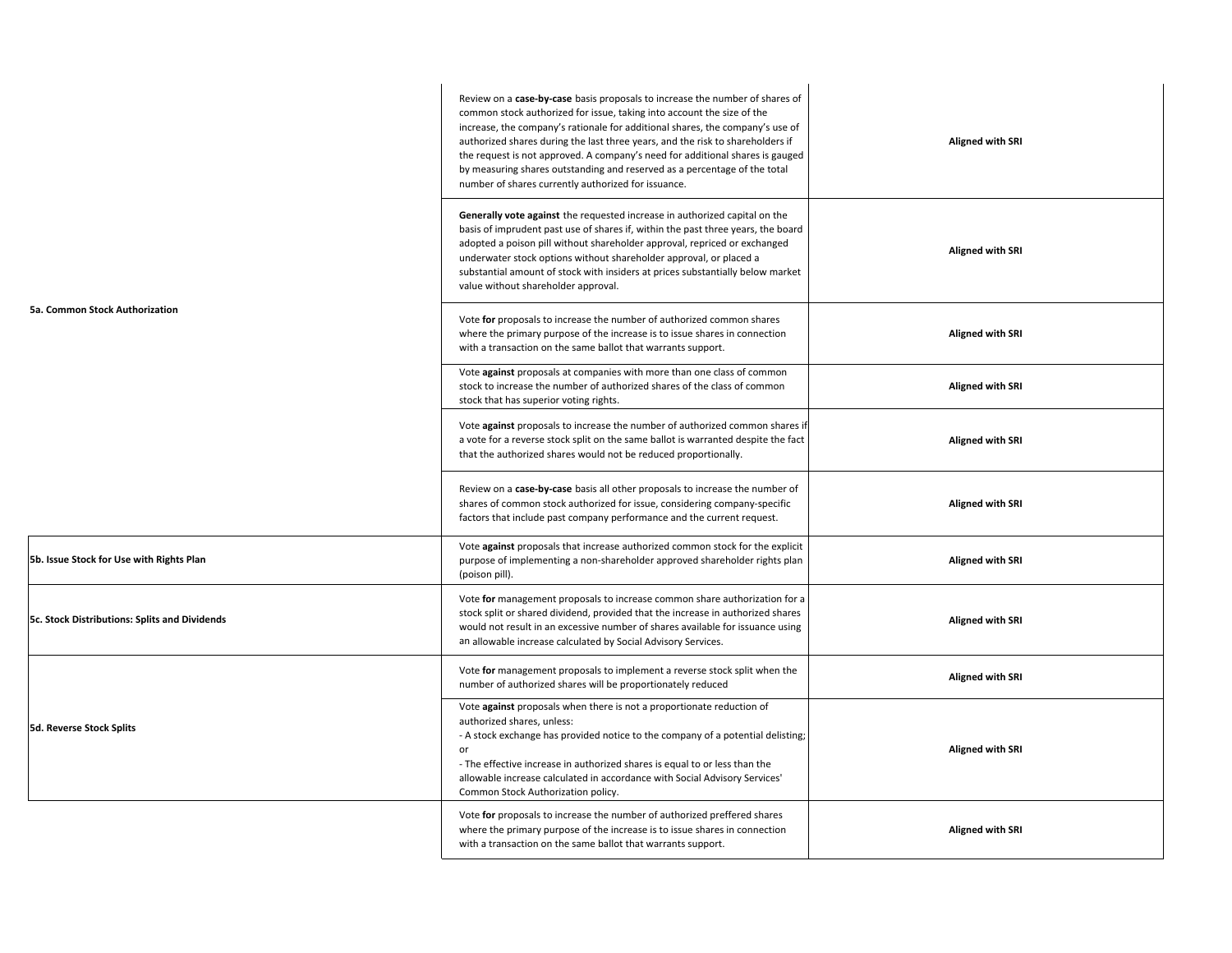|                                               | Review on a case-by-case basis proposals to increase the number of shares of<br>common stock authorized for issue, taking into account the size of the<br>increase, the company's rationale for additional shares, the company's use of<br>authorized shares during the last three years, and the risk to shareholders if<br>the request is not approved. A company's need for additional shares is gauged<br>by measuring shares outstanding and reserved as a percentage of the total<br>number of shares currently authorized for issuance. | <b>Aligned with SRI</b> |
|-----------------------------------------------|------------------------------------------------------------------------------------------------------------------------------------------------------------------------------------------------------------------------------------------------------------------------------------------------------------------------------------------------------------------------------------------------------------------------------------------------------------------------------------------------------------------------------------------------|-------------------------|
|                                               | Generally vote against the requested increase in authorized capital on the<br>basis of imprudent past use of shares if, within the past three years, the board<br>adopted a poison pill without shareholder approval, repriced or exchanged<br>underwater stock options without shareholder approval, or placed a<br>substantial amount of stock with insiders at prices substantially below market<br>value without shareholder approval.                                                                                                     | <b>Aligned with SRI</b> |
| 5a. Common Stock Authorization                | Vote for proposals to increase the number of authorized common shares<br>where the primary purpose of the increase is to issue shares in connection<br>with a transaction on the same ballot that warrants support.                                                                                                                                                                                                                                                                                                                            | <b>Aligned with SRI</b> |
|                                               | Vote against proposals at companies with more than one class of common<br>stock to increase the number of authorized shares of the class of common<br>stock that has superior voting rights.                                                                                                                                                                                                                                                                                                                                                   | <b>Aligned with SRI</b> |
|                                               | Vote against proposals to increase the number of authorized common shares if<br>a vote for a reverse stock split on the same ballot is warranted despite the fact<br>that the authorized shares would not be reduced proportionally.                                                                                                                                                                                                                                                                                                           | <b>Aligned with SRI</b> |
|                                               | Review on a case-by-case basis all other proposals to increase the number of<br>shares of common stock authorized for issue, considering company-specific<br>factors that include past company performance and the current request.                                                                                                                                                                                                                                                                                                            | <b>Aligned with SRI</b> |
| 5b. Issue Stock for Use with Rights Plan      | Vote against proposals that increase authorized common stock for the explicit<br>purpose of implementing a non-shareholder approved shareholder rights plan<br>(poison pill).                                                                                                                                                                                                                                                                                                                                                                  | <b>Aligned with SRI</b> |
| 5c. Stock Distributions: Splits and Dividends | Vote for management proposals to increase common share authorization for a<br>stock split or shared dividend, provided that the increase in authorized shares<br>would not result in an excessive number of shares available for issuance using<br>an allowable increase calculated by Social Advisory Services.                                                                                                                                                                                                                               | <b>Aligned with SRI</b> |
|                                               | Vote for management proposals to implement a reverse stock split when the<br>number of authorized shares will be proportionately reduced                                                                                                                                                                                                                                                                                                                                                                                                       | <b>Aligned with SRI</b> |
| 5d. Reverse Stock Splits                      | Vote against proposals when there is not a proportionate reduction of<br>authorized shares, unless:<br>- A stock exchange has provided notice to the company of a potential delisting;<br>or<br>- The effective increase in authorized shares is equal to or less than the<br>allowable increase calculated in accordance with Social Advisory Services'<br>Common Stock Authorization policy.                                                                                                                                                 | <b>Aligned with SRI</b> |
|                                               | Vote for proposals to increase the number of authorized preffered shares<br>where the primary purpose of the increase is to issue shares in connection<br>with a transaction on the same ballot that warrants support.                                                                                                                                                                                                                                                                                                                         | <b>Aligned with SRI</b> |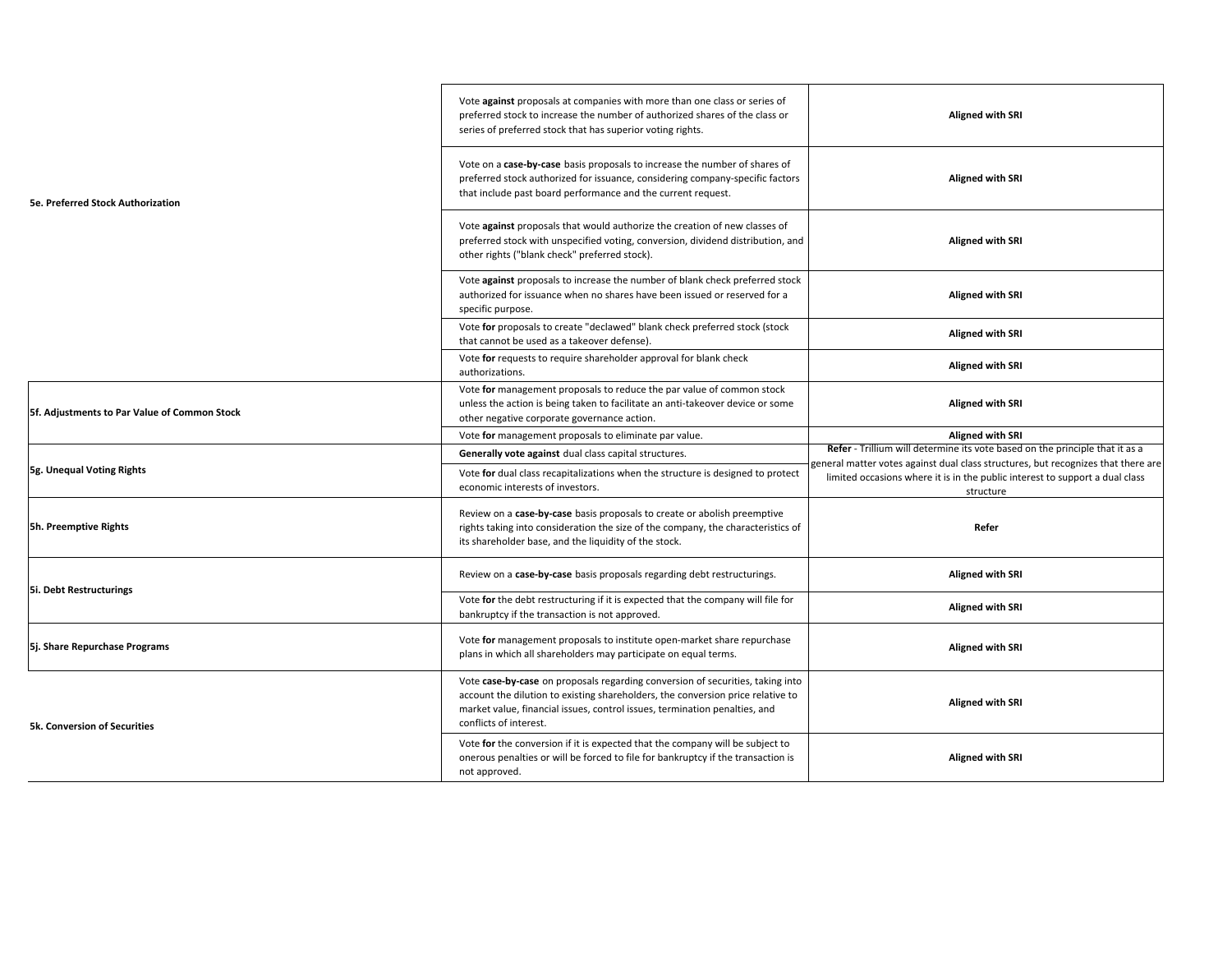|                                              | Vote against proposals at companies with more than one class or series of<br>preferred stock to increase the number of authorized shares of the class or<br>series of preferred stock that has superior voting rights.                                                    | <b>Aligned with SRI</b>                                                                                                                                                        |
|----------------------------------------------|---------------------------------------------------------------------------------------------------------------------------------------------------------------------------------------------------------------------------------------------------------------------------|--------------------------------------------------------------------------------------------------------------------------------------------------------------------------------|
| <b>5e. Preferred Stock Authorization</b>     | Vote on a case-by-case basis proposals to increase the number of shares of<br>preferred stock authorized for issuance, considering company-specific factors<br>that include past board performance and the current request.                                               | <b>Aligned with SRI</b>                                                                                                                                                        |
|                                              | Vote against proposals that would authorize the creation of new classes of<br>preferred stock with unspecified voting, conversion, dividend distribution, and<br>other rights ("blank check" preferred stock).                                                            | <b>Aligned with SRI</b>                                                                                                                                                        |
|                                              | Vote against proposals to increase the number of blank check preferred stock<br>authorized for issuance when no shares have been issued or reserved for a<br>specific purpose.                                                                                            | <b>Aligned with SRI</b>                                                                                                                                                        |
|                                              | Vote for proposals to create "declawed" blank check preferred stock (stock<br>that cannot be used as a takeover defense).                                                                                                                                                 | <b>Aligned with SRI</b>                                                                                                                                                        |
|                                              | Vote for requests to require shareholder approval for blank check<br>authorizations.                                                                                                                                                                                      | <b>Aligned with SRI</b>                                                                                                                                                        |
| 5f. Adjustments to Par Value of Common Stock | Vote for management proposals to reduce the par value of common stock<br>unless the action is being taken to facilitate an anti-takeover device or some<br>other negative corporate governance action.                                                                    | <b>Aligned with SRI</b>                                                                                                                                                        |
|                                              | Vote for management proposals to eliminate par value.                                                                                                                                                                                                                     | Aligned with SRI                                                                                                                                                               |
|                                              | <b>Generally vote against</b> dual class capital structures.                                                                                                                                                                                                              | Refer - Trillium will determine its vote based on the principle that it as a                                                                                                   |
| 5g. Unequal Voting Rights                    | Vote for dual class recapitalizations when the structure is designed to protect<br>economic interests of investors.                                                                                                                                                       | general matter votes against dual class structures, but recognizes that there are<br>limited occasions where it is in the public interest to support a dual class<br>structure |
| 5h. Preemptive Rights                        | Review on a case-by-case basis proposals to create or abolish preemptive<br>rights taking into consideration the size of the company, the characteristics of<br>its shareholder base, and the liquidity of the stock.                                                     | Refer                                                                                                                                                                          |
|                                              | Review on a case-by-case basis proposals regarding debt restructurings.                                                                                                                                                                                                   | <b>Aligned with SRI</b>                                                                                                                                                        |
| <b>5i. Debt Restructurings</b>               | Vote for the debt restructuring if it is expected that the company will file for<br>bankruptcy if the transaction is not approved.                                                                                                                                        | Aligned with SRI                                                                                                                                                               |
| 5j. Share Repurchase Programs                | Vote for management proposals to institute open-market share repurchase<br>plans in which all shareholders may participate on equal terms.                                                                                                                                | <b>Aligned with SRI</b>                                                                                                                                                        |
| <b>5k. Conversion of Securities</b>          | Vote case-by-case on proposals regarding conversion of securities, taking into<br>account the dilution to existing shareholders, the conversion price relative to<br>market value, financial issues, control issues, termination penalties, and<br>conflicts of interest. | <b>Aligned with SRI</b>                                                                                                                                                        |
|                                              | Vote for the conversion if it is expected that the company will be subject to<br>onerous penalties or will be forced to file for bankruptcy if the transaction is<br>not approved.                                                                                        | <b>Aligned with SRI</b>                                                                                                                                                        |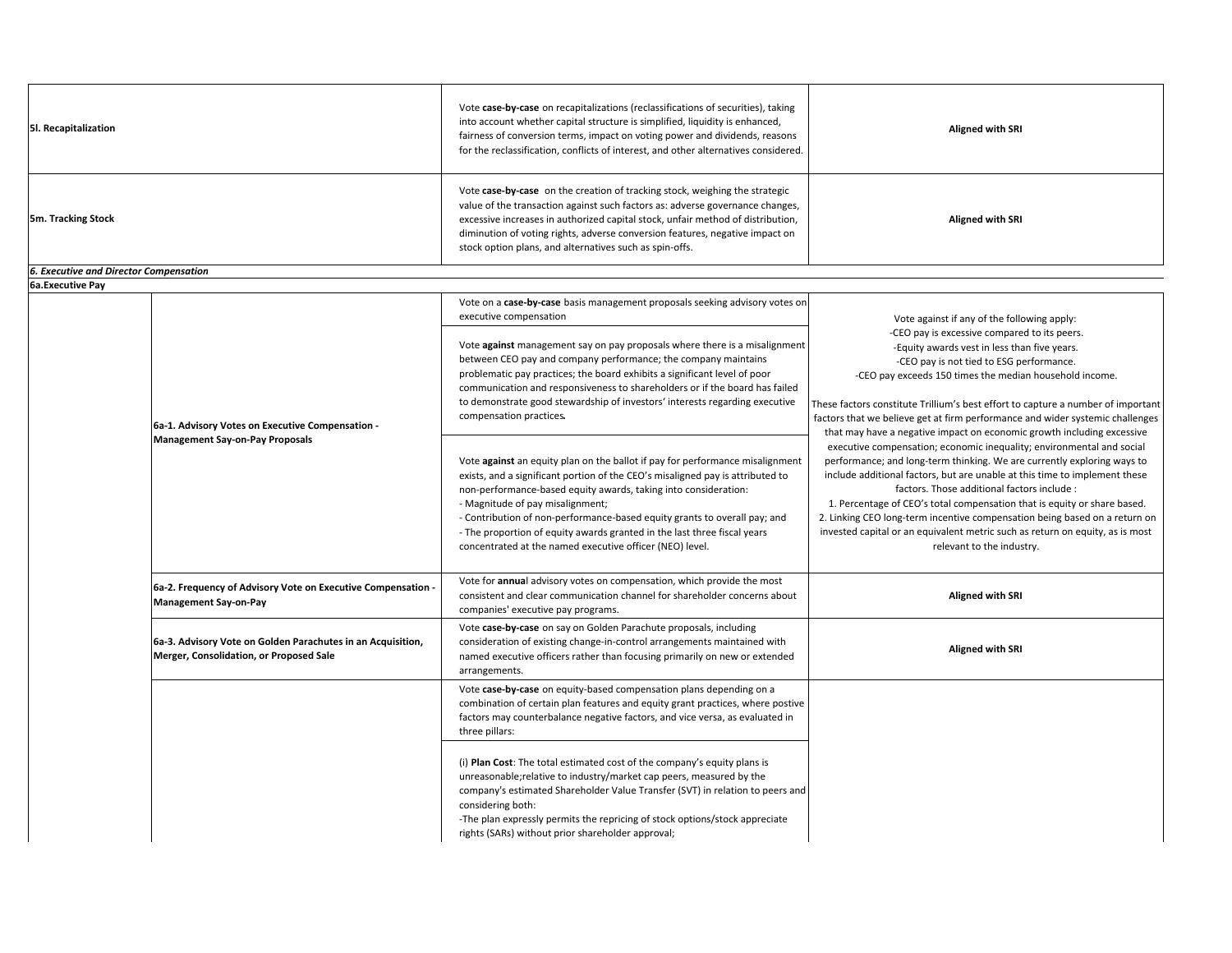| 5l. Recapitalization                          |                                                                                                        | Vote case-by-case on recapitalizations (reclassifications of securities), taking<br>into account whether capital structure is simplified, liquidity is enhanced,<br>fairness of conversion terms, impact on voting power and dividends, reasons<br>for the reclassification, conflicts of interest, and other alternatives considered.                                                                                                                                                      | <b>Aligned with SRI</b>                                                                                                                                                                                                                                                                                                                                                                                                                                                                                                                                                                                                         |
|-----------------------------------------------|--------------------------------------------------------------------------------------------------------|---------------------------------------------------------------------------------------------------------------------------------------------------------------------------------------------------------------------------------------------------------------------------------------------------------------------------------------------------------------------------------------------------------------------------------------------------------------------------------------------|---------------------------------------------------------------------------------------------------------------------------------------------------------------------------------------------------------------------------------------------------------------------------------------------------------------------------------------------------------------------------------------------------------------------------------------------------------------------------------------------------------------------------------------------------------------------------------------------------------------------------------|
| 5m. Tracking Stock                            |                                                                                                        | Vote case-by-case on the creation of tracking stock, weighing the strategic<br>value of the transaction against such factors as: adverse governance changes,<br>excessive increases in authorized capital stock, unfair method of distribution,<br>diminution of voting rights, adverse conversion features, negative impact on<br>stock option plans, and alternatives such as spin-offs.                                                                                                  | <b>Aligned with SRI</b>                                                                                                                                                                                                                                                                                                                                                                                                                                                                                                                                                                                                         |
| <b>6. Executive and Director Compensation</b> |                                                                                                        |                                                                                                                                                                                                                                                                                                                                                                                                                                                                                             |                                                                                                                                                                                                                                                                                                                                                                                                                                                                                                                                                                                                                                 |
| 6a.Executive Pay                              |                                                                                                        | Vote on a case-by-case basis management proposals seeking advisory votes on<br>executive compensation                                                                                                                                                                                                                                                                                                                                                                                       | Vote against if any of the following apply:                                                                                                                                                                                                                                                                                                                                                                                                                                                                                                                                                                                     |
|                                               |                                                                                                        | Vote against management say on pay proposals where there is a misalignment<br>between CEO pay and company performance; the company maintains<br>problematic pay practices; the board exhibits a significant level of poor<br>communication and responsiveness to shareholders or if the board has failed<br>to demonstrate good stewardship of investors' interests regarding executive<br>compensation practices.                                                                          | -CEO pay is excessive compared to its peers.<br>-Equity awards vest in less than five years.<br>-CEO pay is not tied to ESG performance.<br>-CEO pay exceeds 150 times the median household income.<br>These factors constitute Trillium's best effort to capture a number of important<br>factors that we believe get at firm performance and wider systemic challenges                                                                                                                                                                                                                                                        |
|                                               | 6a-1. Advisory Votes on Executive Compensation -<br><b>Management Say-on-Pay Proposals</b>             | Vote against an equity plan on the ballot if pay for performance misalignment<br>exists, and a significant portion of the CEO's misaligned pay is attributed to<br>non-performance-based equity awards, taking into consideration:<br>- Magnitude of pay misalignment;<br>- Contribution of non-performance-based equity grants to overall pay; and<br>- The proportion of equity awards granted in the last three fiscal years<br>concentrated at the named executive officer (NEO) level. | that may have a negative impact on economic growth including excessive<br>executive compensation; economic inequality; environmental and social<br>performance; and long-term thinking. We are currently exploring ways to<br>include additional factors, but are unable at this time to implement these<br>factors. Those additional factors include :<br>1. Percentage of CEO's total compensation that is equity or share based.<br>2. Linking CEO long-term incentive compensation being based on a return on<br>invested capital or an equivalent metric such as return on equity, as is most<br>relevant to the industry. |
|                                               | 6a-2. Frequency of Advisory Vote on Executive Compensation<br><b>Management Say-on-Pay</b>             | Vote for annual advisory votes on compensation, which provide the most<br>consistent and clear communication channel for shareholder concerns about<br>companies' executive pay programs.                                                                                                                                                                                                                                                                                                   | <b>Aligned with SRI</b>                                                                                                                                                                                                                                                                                                                                                                                                                                                                                                                                                                                                         |
|                                               | 6a-3. Advisory Vote on Golden Parachutes in an Acquisition,<br>Merger, Consolidation, or Proposed Sale | Vote case-by-case on say on Golden Parachute proposals, including<br>consideration of existing change-in-control arrangements maintained with<br>named executive officers rather than focusing primarily on new or extended<br>arrangements.                                                                                                                                                                                                                                                | <b>Aligned with SRI</b>                                                                                                                                                                                                                                                                                                                                                                                                                                                                                                                                                                                                         |
|                                               |                                                                                                        | Vote case-by-case on equity-based compensation plans depending on a<br>combination of certain plan features and equity grant practices, where postive<br>factors may counterbalance negative factors, and vice versa, as evaluated in<br>three pillars:                                                                                                                                                                                                                                     |                                                                                                                                                                                                                                                                                                                                                                                                                                                                                                                                                                                                                                 |
|                                               |                                                                                                        | (i) Plan Cost: The total estimated cost of the company's equity plans is<br>unreasonable; relative to industry/market cap peers, measured by the<br>company's estimated Shareholder Value Transfer (SVT) in relation to peers and<br>considering both:<br>-The plan expressly permits the repricing of stock options/stock appreciate<br>rights (SARs) without prior shareholder approval;                                                                                                  |                                                                                                                                                                                                                                                                                                                                                                                                                                                                                                                                                                                                                                 |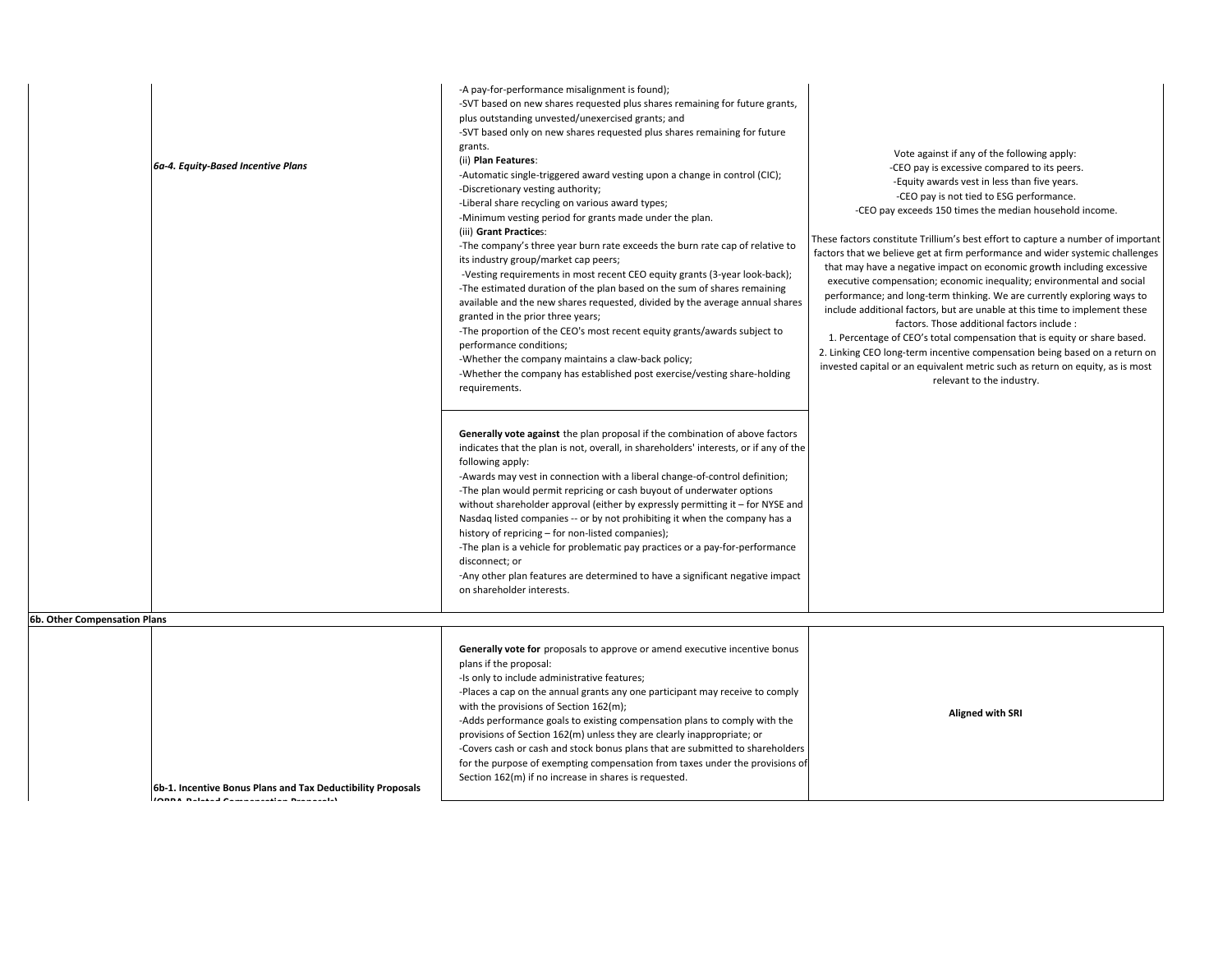| 6b. Other Compensation Plans | 6a-4. Equity-Based Incentive Plans                                                                       | -A pay-for-performance misalignment is found);<br>-SVT based on new shares requested plus shares remaining for future grants,<br>plus outstanding unvested/unexercised grants; and<br>-SVT based only on new shares requested plus shares remaining for future<br>grants.<br>(ii) Plan Features:<br>-Automatic single-triggered award vesting upon a change in control (CIC);<br>-Discretionary vesting authority;<br>-Liberal share recycling on various award types;<br>-Minimum vesting period for grants made under the plan.<br>(iii) Grant Practices:<br>-The company's three year burn rate exceeds the burn rate cap of relative to<br>its industry group/market cap peers;<br>-Vesting requirements in most recent CEO equity grants (3-year look-back);<br>-The estimated duration of the plan based on the sum of shares remaining<br>available and the new shares requested, divided by the average annual shares<br>granted in the prior three years;<br>-The proportion of the CEO's most recent equity grants/awards subject to<br>performance conditions;<br>-Whether the company maintains a claw-back policy;<br>-Whether the company has established post exercise/vesting share-holding<br>requirements.<br>Generally vote against the plan proposal if the combination of above factors<br>indicates that the plan is not, overall, in shareholders' interests, or if any of the<br>following apply:<br>-Awards may vest in connection with a liberal change-of-control definition;<br>-The plan would permit repricing or cash buyout of underwater options<br>without shareholder approval (either by expressly permitting it - for NYSE and<br>Nasdaq listed companies -- or by not prohibiting it when the company has a<br>history of repricing - for non-listed companies);<br>-The plan is a vehicle for problematic pay practices or a pay-for-performance<br>disconnect; or<br>-Any other plan features are determined to have a significant negative impact<br>on shareholder interests. | Vote against if any of the following apply:<br>-CEO pay is excessive compared to its peers.<br>-Equity awards vest in less than five years.<br>-CEO pay is not tied to ESG performance.<br>-CEO pay exceeds 150 times the median household income.<br>These factors constitute Trillium's best effort to capture a number of important<br>factors that we believe get at firm performance and wider systemic challenges<br>that may have a negative impact on economic growth including excessive<br>executive compensation; economic inequality; environmental and social<br>performance; and long-term thinking. We are currently exploring ways to<br>include additional factors, but are unable at this time to implement these<br>factors. Those additional factors include :<br>1. Percentage of CEO's total compensation that is equity or share based.<br>2. Linking CEO long-term incentive compensation being based on a return on<br>invested capital or an equivalent metric such as return on equity, as is most<br>relevant to the industry. |
|------------------------------|----------------------------------------------------------------------------------------------------------|-------------------------------------------------------------------------------------------------------------------------------------------------------------------------------------------------------------------------------------------------------------------------------------------------------------------------------------------------------------------------------------------------------------------------------------------------------------------------------------------------------------------------------------------------------------------------------------------------------------------------------------------------------------------------------------------------------------------------------------------------------------------------------------------------------------------------------------------------------------------------------------------------------------------------------------------------------------------------------------------------------------------------------------------------------------------------------------------------------------------------------------------------------------------------------------------------------------------------------------------------------------------------------------------------------------------------------------------------------------------------------------------------------------------------------------------------------------------------------------------------------------------------------------------------------------------------------------------------------------------------------------------------------------------------------------------------------------------------------------------------------------------------------------------------------------------------------------------------------------------------------------------------------------------------------------------------------------------------------------------------------------------------|------------------------------------------------------------------------------------------------------------------------------------------------------------------------------------------------------------------------------------------------------------------------------------------------------------------------------------------------------------------------------------------------------------------------------------------------------------------------------------------------------------------------------------------------------------------------------------------------------------------------------------------------------------------------------------------------------------------------------------------------------------------------------------------------------------------------------------------------------------------------------------------------------------------------------------------------------------------------------------------------------------------------------------------------------------|
|                              | 6b-1. Incentive Bonus Plans and Tax Deductibility Proposals<br>IGRAS Belekeel According to the concelled | Generally vote for proposals to approve or amend executive incentive bonus<br>plans if the proposal:<br>-Is only to include administrative features;<br>-Places a cap on the annual grants any one participant may receive to comply<br>with the provisions of Section 162(m);<br>-Adds performance goals to existing compensation plans to comply with the<br>provisions of Section 162(m) unless they are clearly inappropriate; or<br>-Covers cash or cash and stock bonus plans that are submitted to shareholders<br>for the purpose of exempting compensation from taxes under the provisions of<br>Section 162(m) if no increase in shares is requested.                                                                                                                                                                                                                                                                                                                                                                                                                                                                                                                                                                                                                                                                                                                                                                                                                                                                                                                                                                                                                                                                                                                                                                                                                                                                                                                                                         | <b>Aligned with SRI</b>                                                                                                                                                                                                                                                                                                                                                                                                                                                                                                                                                                                                                                                                                                                                                                                                                                                                                                                                                                                                                                    |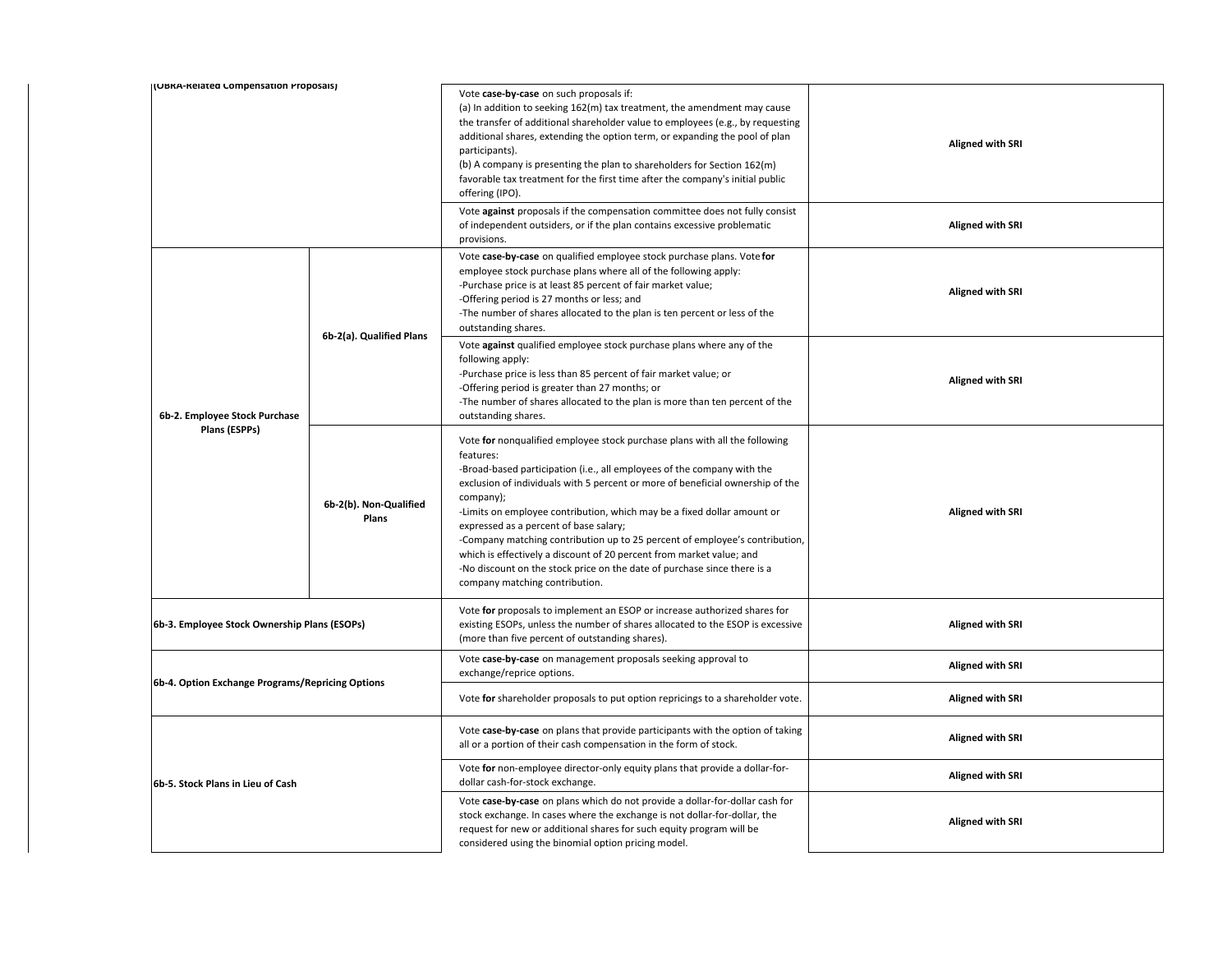| I(UBKA-Kelated Compensation Proposais)           |                                 | Vote case-by-case on such proposals if:<br>(a) In addition to seeking 162(m) tax treatment, the amendment may cause<br>the transfer of additional shareholder value to employees (e.g., by requesting<br>additional shares, extending the option term, or expanding the pool of plan<br>participants).<br>(b) A company is presenting the plan to shareholders for Section 162(m)<br>favorable tax treatment for the first time after the company's initial public<br>offering (IPO).                                                                                                                                                                       | <b>Aligned with SRI</b> |
|--------------------------------------------------|---------------------------------|-------------------------------------------------------------------------------------------------------------------------------------------------------------------------------------------------------------------------------------------------------------------------------------------------------------------------------------------------------------------------------------------------------------------------------------------------------------------------------------------------------------------------------------------------------------------------------------------------------------------------------------------------------------|-------------------------|
|                                                  |                                 | Vote against proposals if the compensation committee does not fully consist<br>of independent outsiders, or if the plan contains excessive problematic<br>provisions.                                                                                                                                                                                                                                                                                                                                                                                                                                                                                       | <b>Aligned with SRI</b> |
|                                                  | 6b-2(a). Qualified Plans        | Vote case-by-case on qualified employee stock purchase plans. Vote for<br>employee stock purchase plans where all of the following apply:<br>-Purchase price is at least 85 percent of fair market value;<br>-Offering period is 27 months or less; and<br>-The number of shares allocated to the plan is ten percent or less of the<br>outstanding shares.                                                                                                                                                                                                                                                                                                 | <b>Aligned with SRI</b> |
| 6b-2. Employee Stock Purchase                    |                                 | Vote against qualified employee stock purchase plans where any of the<br>following apply:<br>-Purchase price is less than 85 percent of fair market value; or<br>-Offering period is greater than 27 months; or<br>-The number of shares allocated to the plan is more than ten percent of the<br>outstanding shares.                                                                                                                                                                                                                                                                                                                                       | <b>Aligned with SRI</b> |
| Plans (ESPPs)                                    | 6b-2(b). Non-Qualified<br>Plans | Vote for nonqualified employee stock purchase plans with all the following<br>features:<br>-Broad-based participation (i.e., all employees of the company with the<br>exclusion of individuals with 5 percent or more of beneficial ownership of the<br>company);<br>-Limits on employee contribution, which may be a fixed dollar amount or<br>expressed as a percent of base salary;<br>-Company matching contribution up to 25 percent of employee's contribution,<br>which is effectively a discount of 20 percent from market value; and<br>-No discount on the stock price on the date of purchase since there is a<br>company matching contribution. | <b>Aligned with SRI</b> |
| 6b-3. Employee Stock Ownership Plans (ESOPs)     |                                 | Vote for proposals to implement an ESOP or increase authorized shares for<br>existing ESOPs, unless the number of shares allocated to the ESOP is excessive<br>(more than five percent of outstanding shares).                                                                                                                                                                                                                                                                                                                                                                                                                                              | <b>Aligned with SRI</b> |
| 6b-4. Option Exchange Programs/Repricing Options |                                 | Vote case-by-case on management proposals seeking approval to<br>exchange/reprice options.                                                                                                                                                                                                                                                                                                                                                                                                                                                                                                                                                                  | <b>Aligned with SRI</b> |
|                                                  |                                 | Vote for shareholder proposals to put option repricings to a shareholder vote.                                                                                                                                                                                                                                                                                                                                                                                                                                                                                                                                                                              | <b>Aligned with SRI</b> |
| 6b-5. Stock Plans in Lieu of Cash                |                                 | Vote case-by-case on plans that provide participants with the option of taking<br>all or a portion of their cash compensation in the form of stock.                                                                                                                                                                                                                                                                                                                                                                                                                                                                                                         | <b>Aligned with SRI</b> |
|                                                  |                                 | Vote for non-employee director-only equity plans that provide a dollar-for-<br>dollar cash-for-stock exchange.                                                                                                                                                                                                                                                                                                                                                                                                                                                                                                                                              | <b>Aligned with SRI</b> |
|                                                  |                                 | Vote case-by-case on plans which do not provide a dollar-for-dollar cash for<br>stock exchange. In cases where the exchange is not dollar-for-dollar, the<br>request for new or additional shares for such equity program will be<br>considered using the binomial option pricing model.                                                                                                                                                                                                                                                                                                                                                                    | <b>Aligned with SRI</b> |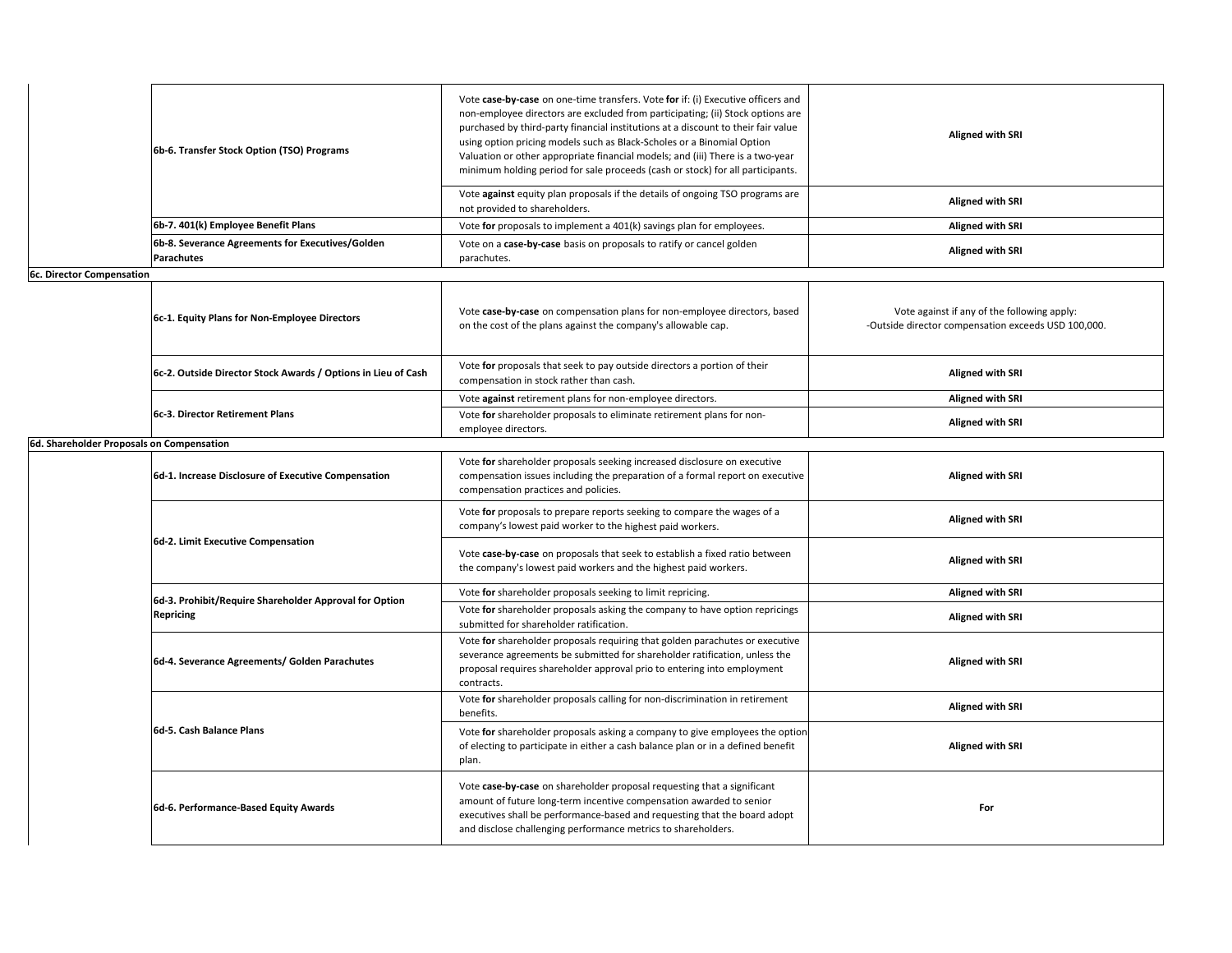| 6b-6. Transfer Stock Option (TSO) Programs                     | Vote case-by-case on one-time transfers. Vote for if: (i) Executive officers and<br>non-employee directors are excluded from participating; (ii) Stock options are<br>purchased by third-party financial institutions at a discount to their fair value<br>using option pricing models such as Black-Scholes or a Binomial Option<br>Valuation or other appropriate financial models; and (iii) There is a two-year<br>minimum holding period for sale proceeds (cash or stock) for all participants. | <b>Aligned with SRI</b> |
|----------------------------------------------------------------|-------------------------------------------------------------------------------------------------------------------------------------------------------------------------------------------------------------------------------------------------------------------------------------------------------------------------------------------------------------------------------------------------------------------------------------------------------------------------------------------------------|-------------------------|
|                                                                | Vote against equity plan proposals if the details of ongoing TSO programs are<br>not provided to shareholders.                                                                                                                                                                                                                                                                                                                                                                                        | <b>Aligned with SRI</b> |
| 6b-7. 401(k) Employee Benefit Plans                            | Vote for proposals to implement a 401(k) savings plan for employees.                                                                                                                                                                                                                                                                                                                                                                                                                                  | <b>Aligned with SRI</b> |
| 6b-8. Severance Agreements for Executives/Golden<br>Parachutes | Vote on a case-by-case basis on proposals to ratify or cancel golden<br>parachutes.                                                                                                                                                                                                                                                                                                                                                                                                                   | <b>Aligned with SRI</b> |

Τ

**6c. Director Compensation** ┓

|                                           | 6c-1. Equity Plans for Non-Employee Directors                 | Vote case-by-case on compensation plans for non-employee directors, based<br>on the cost of the plans against the company's allowable cap. | Vote against if any of the following apply:<br>-Outside director compensation exceeds USD 100,000. |
|-------------------------------------------|---------------------------------------------------------------|--------------------------------------------------------------------------------------------------------------------------------------------|----------------------------------------------------------------------------------------------------|
|                                           | 6c-2. Outside Director Stock Awards / Options in Lieu of Cash | Vote for proposals that seek to pay outside directors a portion of their<br>compensation in stock rather than cash.                        | <b>Aligned with SRI</b>                                                                            |
|                                           |                                                               | Vote against retirement plans for non-employee directors.                                                                                  | <b>Aligned with SRI</b>                                                                            |
|                                           | 6c-3. Director Retirement Plans                               | Vote for shareholder proposals to eliminate retirement plans for non-<br>employee directors.                                               | <b>Aligned with SRI</b>                                                                            |
| 6d. Shareholder Proposals on Compensation |                                                               |                                                                                                                                            |                                                                                                    |
|                                           |                                                               |                                                                                                                                            |                                                                                                    |

Τ

| 6d-1. Increase Disclosure of Executive Compensation    | Vote for shareholder proposals seeking increased disclosure on executive<br>compensation issues including the preparation of a formal report on executive<br>compensation practices and policies.                                                                                            | <b>Aligned with SRI</b> |
|--------------------------------------------------------|----------------------------------------------------------------------------------------------------------------------------------------------------------------------------------------------------------------------------------------------------------------------------------------------|-------------------------|
|                                                        | Vote for proposals to prepare reports seeking to compare the wages of a<br>company's lowest paid worker to the highest paid workers.                                                                                                                                                         | <b>Aligned with SRI</b> |
| 6d-2. Limit Executive Compensation                     | Vote case-by-case on proposals that seek to establish a fixed ratio between<br>the company's lowest paid workers and the highest paid workers.                                                                                                                                               | <b>Aligned with SRI</b> |
| 6d-3. Prohibit/Require Shareholder Approval for Option | Vote for shareholder proposals seeking to limit repricing.                                                                                                                                                                                                                                   | <b>Aligned with SRI</b> |
| <b>Repricing</b>                                       | Vote for shareholder proposals asking the company to have option repricings<br>submitted for shareholder ratification.                                                                                                                                                                       | <b>Aligned with SRI</b> |
| 6d-4. Severance Agreements/ Golden Parachutes          | Vote for shareholder proposals requiring that golden parachutes or executive<br>severance agreements be submitted for shareholder ratification, unless the<br>proposal requires shareholder approval prio to entering into employment<br>contracts.                                          | <b>Aligned with SRI</b> |
|                                                        | Vote for shareholder proposals calling for non-discrimination in retirement<br>benefits.                                                                                                                                                                                                     | <b>Aligned with SRI</b> |
| 6d-5. Cash Balance Plans                               | Vote for shareholder proposals asking a company to give employees the option<br>of electing to participate in either a cash balance plan or in a defined benefit<br>plan.                                                                                                                    | <b>Aligned with SRI</b> |
| 6d-6. Performance-Based Equity Awards                  | Vote case-by-case on shareholder proposal requesting that a significant<br>amount of future long-term incentive compensation awarded to senior<br>executives shall be performance-based and requesting that the board adopt<br>and disclose challenging performance metrics to shareholders. | For                     |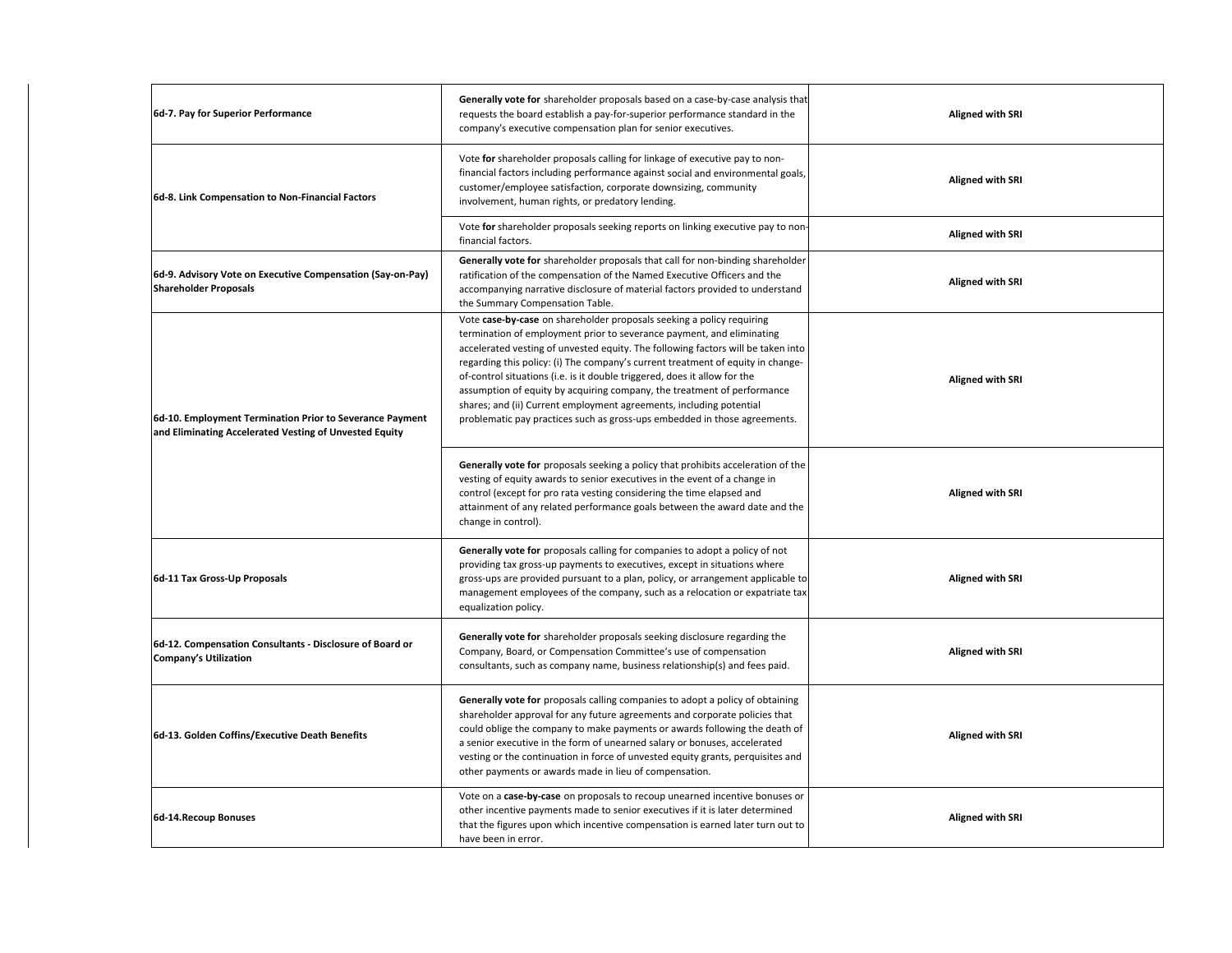| 6d-7. Pay for Superior Performance                                                                                 | Generally vote for shareholder proposals based on a case-by-case analysis that<br>requests the board establish a pay-for-superior performance standard in the<br>company's executive compensation plan for senior executives.                                                                                                                                                                                                                                                                                                                                                                                                     | <b>Aligned with SRI</b> |
|--------------------------------------------------------------------------------------------------------------------|-----------------------------------------------------------------------------------------------------------------------------------------------------------------------------------------------------------------------------------------------------------------------------------------------------------------------------------------------------------------------------------------------------------------------------------------------------------------------------------------------------------------------------------------------------------------------------------------------------------------------------------|-------------------------|
| 6d-8. Link Compensation to Non-Financial Factors                                                                   | Vote for shareholder proposals calling for linkage of executive pay to non-<br>financial factors including performance against social and environmental goals,<br>customer/employee satisfaction, corporate downsizing, community<br>involvement, human rights, or predatory lending.                                                                                                                                                                                                                                                                                                                                             | <b>Aligned with SRI</b> |
|                                                                                                                    | Vote for shareholder proposals seeking reports on linking executive pay to non-<br>financial factors.                                                                                                                                                                                                                                                                                                                                                                                                                                                                                                                             | <b>Aligned with SRI</b> |
| 6d-9. Advisory Vote on Executive Compensation (Say-on-Pay)<br><b>Shareholder Proposals</b>                         | Generally vote for shareholder proposals that call for non-binding shareholder<br>ratification of the compensation of the Named Executive Officers and the<br>accompanying narrative disclosure of material factors provided to understand<br>the Summary Compensation Table.                                                                                                                                                                                                                                                                                                                                                     | <b>Aligned with SRI</b> |
| 6d-10. Employment Termination Prior to Severance Payment<br>and Eliminating Accelerated Vesting of Unvested Equity | Vote case-by-case on shareholder proposals seeking a policy requiring<br>termination of employment prior to severance payment, and eliminating<br>accelerated vesting of unvested equity. The following factors will be taken into<br>regarding this policy: (i) The company's current treatment of equity in change-<br>of-control situations (i.e. is it double triggered, does it allow for the<br>assumption of equity by acquiring company, the treatment of performance<br>shares; and (ii) Current employment agreements, including potential<br>problematic pay practices such as gross-ups embedded in those agreements. | <b>Aligned with SRI</b> |
|                                                                                                                    | Generally vote for proposals seeking a policy that prohibits acceleration of the<br>vesting of equity awards to senior executives in the event of a change in<br>control (except for pro rata vesting considering the time elapsed and<br>attainment of any related performance goals between the award date and the<br>change in control).                                                                                                                                                                                                                                                                                       | <b>Aligned with SRI</b> |
| 6d-11 Tax Gross-Up Proposals                                                                                       | Generally vote for proposals calling for companies to adopt a policy of not<br>providing tax gross-up payments to executives, except in situations where<br>gross-ups are provided pursuant to a plan, policy, or arrangement applicable to<br>management employees of the company, such as a relocation or expatriate tax<br>equalization policy.                                                                                                                                                                                                                                                                                | <b>Aligned with SRI</b> |
| 6d-12. Compensation Consultants - Disclosure of Board or<br>Company's Utilization                                  | Generally vote for shareholder proposals seeking disclosure regarding the<br>Company, Board, or Compensation Committee's use of compensation<br>consultants, such as company name, business relationship(s) and fees paid.                                                                                                                                                                                                                                                                                                                                                                                                        | <b>Aligned with SRI</b> |
| 6d-13. Golden Coffins/Executive Death Benefits                                                                     | <b>Generally vote for</b> proposals calling companies to adopt a policy of obtaining<br>shareholder approval for any future agreements and corporate policies that<br>could oblige the company to make payments or awards following the death of<br>a senior executive in the form of unearned salary or bonuses, accelerated<br>vesting or the continuation in force of unvested equity grants, perquisites and<br>other payments or awards made in lieu of compensation.                                                                                                                                                        | <b>Aligned with SRI</b> |
| 6d-14. Recoup Bonuses                                                                                              | Vote on a case-by-case on proposals to recoup unearned incentive bonuses or<br>other incentive payments made to senior executives if it is later determined<br>that the figures upon which incentive compensation is earned later turn out to<br>have been in error.                                                                                                                                                                                                                                                                                                                                                              | <b>Aligned with SRI</b> |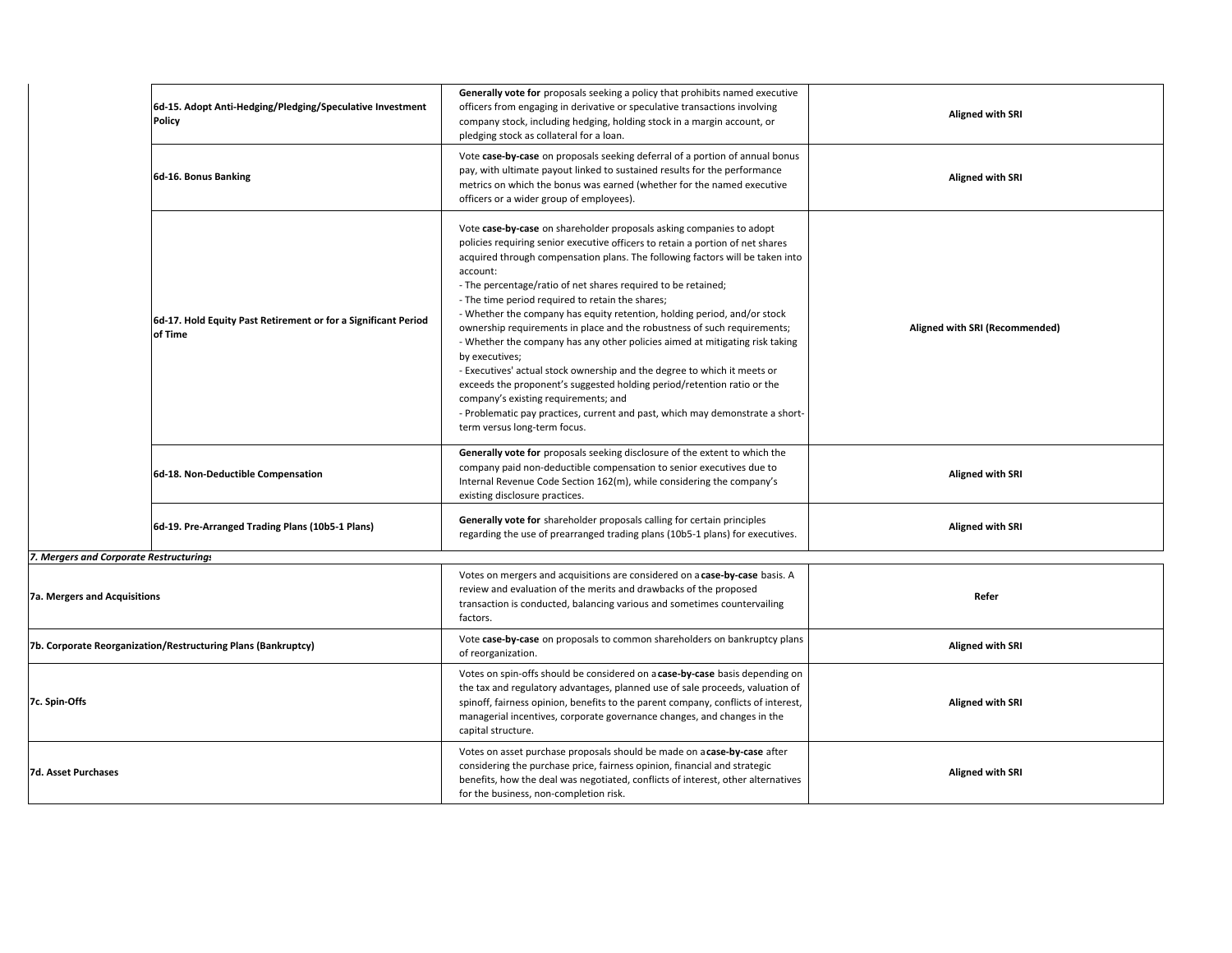|                                                               | 6d-15. Adopt Anti-Hedging/Pledging/Speculative Investment<br>Policy       | Generally vote for proposals seeking a policy that prohibits named executive<br>officers from engaging in derivative or speculative transactions involving<br>company stock, including hedging, holding stock in a margin account, or<br>pledging stock as collateral for a loan.                                                                                                                                                                                                                                                                                                                                                                                                                                                                                                                                                                                                                                                                  | <b>Aligned with SRI</b>        |
|---------------------------------------------------------------|---------------------------------------------------------------------------|----------------------------------------------------------------------------------------------------------------------------------------------------------------------------------------------------------------------------------------------------------------------------------------------------------------------------------------------------------------------------------------------------------------------------------------------------------------------------------------------------------------------------------------------------------------------------------------------------------------------------------------------------------------------------------------------------------------------------------------------------------------------------------------------------------------------------------------------------------------------------------------------------------------------------------------------------|--------------------------------|
|                                                               | 6d-16. Bonus Banking                                                      | Vote case-by-case on proposals seeking deferral of a portion of annual bonus<br>pay, with ultimate payout linked to sustained results for the performance<br>metrics on which the bonus was earned (whether for the named executive<br>officers or a wider group of employees).                                                                                                                                                                                                                                                                                                                                                                                                                                                                                                                                                                                                                                                                    | <b>Aligned with SRI</b>        |
|                                                               | 6d-17. Hold Equity Past Retirement or for a Significant Period<br>of Time | Vote case-by-case on shareholder proposals asking companies to adopt<br>policies requiring senior executive officers to retain a portion of net shares<br>acquired through compensation plans. The following factors will be taken into<br>account:<br>- The percentage/ratio of net shares required to be retained;<br>- The time period required to retain the shares;<br>- Whether the company has equity retention, holding period, and/or stock<br>ownership requirements in place and the robustness of such requirements;<br>- Whether the company has any other policies aimed at mitigating risk taking<br>by executives;<br>- Executives' actual stock ownership and the degree to which it meets or<br>exceeds the proponent's suggested holding period/retention ratio or the<br>company's existing requirements; and<br>- Problematic pay practices, current and past, which may demonstrate a short-<br>term versus long-term focus. | Aligned with SRI (Recommended) |
|                                                               | 6d-18. Non-Deductible Compensation                                        | Generally vote for proposals seeking disclosure of the extent to which the<br>company paid non-deductible compensation to senior executives due to<br>Internal Revenue Code Section 162(m), while considering the company's<br>existing disclosure practices.                                                                                                                                                                                                                                                                                                                                                                                                                                                                                                                                                                                                                                                                                      | <b>Aligned with SRI</b>        |
|                                                               | 6d-19. Pre-Arranged Trading Plans (10b5-1 Plans)                          | Generally vote for shareholder proposals calling for certain principles<br>regarding the use of prearranged trading plans (10b5-1 plans) for executives.                                                                                                                                                                                                                                                                                                                                                                                                                                                                                                                                                                                                                                                                                                                                                                                           | <b>Aligned with SRI</b>        |
| 7. Mergers and Corporate Restructurings                       |                                                                           |                                                                                                                                                                                                                                                                                                                                                                                                                                                                                                                                                                                                                                                                                                                                                                                                                                                                                                                                                    |                                |
| <b>7a. Mergers and Acquisitions</b>                           |                                                                           | Votes on mergers and acquisitions are considered on a case-by-case basis. A<br>review and evaluation of the merits and drawbacks of the proposed<br>transaction is conducted, balancing various and sometimes countervailing<br>factors.                                                                                                                                                                                                                                                                                                                                                                                                                                                                                                                                                                                                                                                                                                           | Refer                          |
| 7b. Corporate Reorganization/Restructuring Plans (Bankruptcy) |                                                                           | Vote case-by-case on proposals to common shareholders on bankruptcy plans<br>of reorganization.                                                                                                                                                                                                                                                                                                                                                                                                                                                                                                                                                                                                                                                                                                                                                                                                                                                    | <b>Aligned with SRI</b>        |
| 7c. Spin-Offs                                                 |                                                                           | Votes on spin-offs should be considered on a case-by-case basis depending on<br>the tax and regulatory advantages, planned use of sale proceeds, valuation of<br>spinoff, fairness opinion, benefits to the parent company, conflicts of interest,<br>managerial incentives, corporate governance changes, and changes in the<br>capital structure.                                                                                                                                                                                                                                                                                                                                                                                                                                                                                                                                                                                                | <b>Aligned with SRI</b>        |
| 7d. Asset Purchases                                           |                                                                           | Votes on asset purchase proposals should be made on acase-by-case after<br>considering the purchase price, fairness opinion, financial and strategic<br>benefits, how the deal was negotiated, conflicts of interest, other alternatives<br>for the business, non-completion risk.                                                                                                                                                                                                                                                                                                                                                                                                                                                                                                                                                                                                                                                                 | <b>Aligned with SRI</b>        |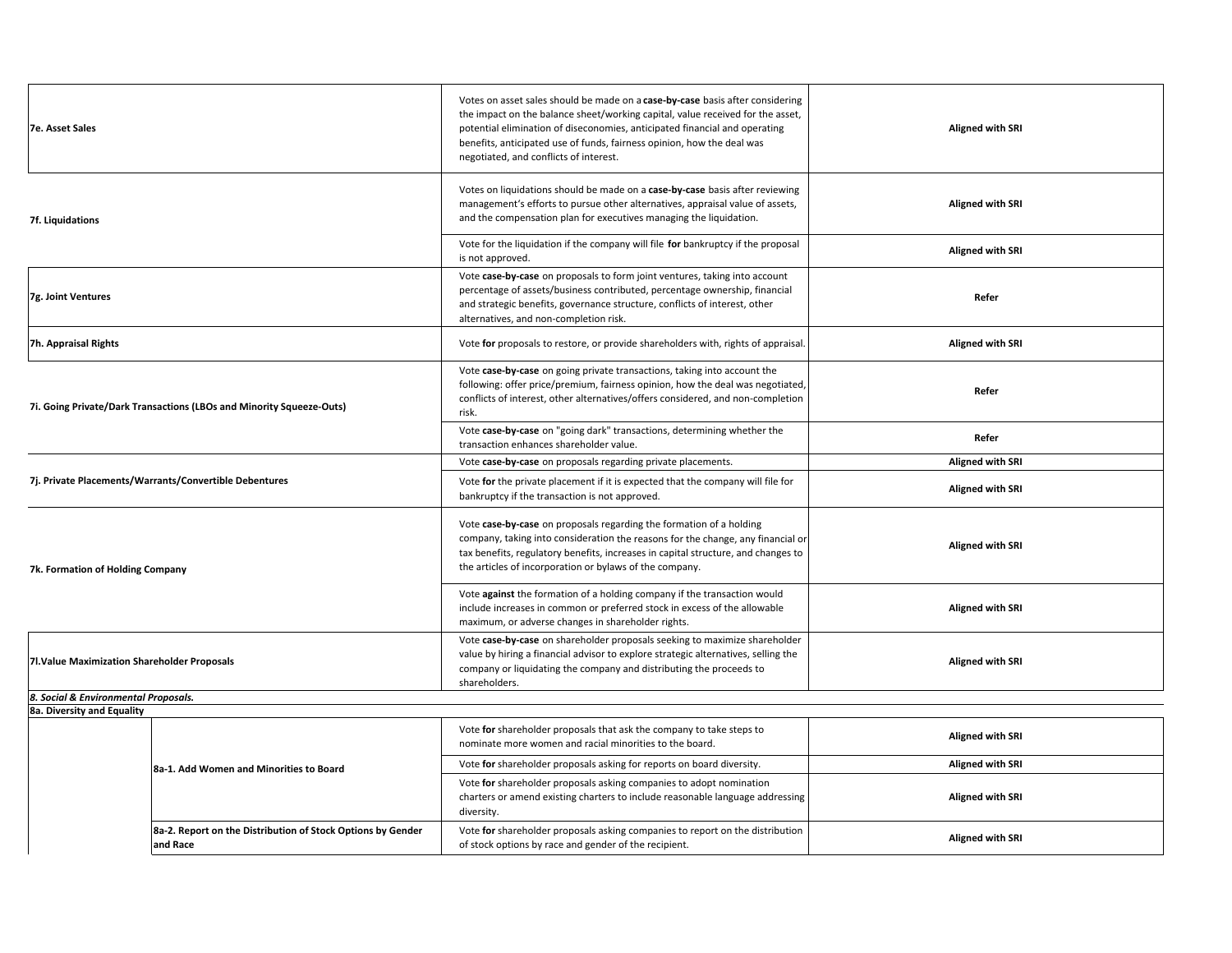| <b>7e. Asset Sales</b>                                               | Votes on asset sales should be made on a case-by-case basis after considering<br>the impact on the balance sheet/working capital, value received for the asset,<br>potential elimination of diseconomies, anticipated financial and operating<br>benefits, anticipated use of funds, fairness opinion, how the deal was<br>negotiated, and conflicts of interest. | <b>Aligned with SRI</b> |
|----------------------------------------------------------------------|-------------------------------------------------------------------------------------------------------------------------------------------------------------------------------------------------------------------------------------------------------------------------------------------------------------------------------------------------------------------|-------------------------|
| 7f. Liquidations                                                     | Votes on liquidations should be made on a case-by-case basis after reviewing<br>management's efforts to pursue other alternatives, appraisal value of assets,<br>and the compensation plan for executives managing the liquidation.                                                                                                                               | <b>Aligned with SRI</b> |
|                                                                      | Vote for the liquidation if the company will file for bankruptcy if the proposal<br>is not approved.                                                                                                                                                                                                                                                              | <b>Aligned with SRI</b> |
| 7g. Joint Ventures                                                   | Vote case-by-case on proposals to form joint ventures, taking into account<br>percentage of assets/business contributed, percentage ownership, financial<br>and strategic benefits, governance structure, conflicts of interest, other<br>alternatives, and non-completion risk.                                                                                  | Refer                   |
| 7h. Appraisal Rights                                                 | Vote for proposals to restore, or provide shareholders with, rights of appraisal.                                                                                                                                                                                                                                                                                 | <b>Aligned with SRI</b> |
| 7i. Going Private/Dark Transactions (LBOs and Minority Squeeze-Outs) | Vote case-by-case on going private transactions, taking into account the<br>following: offer price/premium, fairness opinion, how the deal was negotiated,<br>conflicts of interest, other alternatives/offers considered, and non-completion<br>risk.                                                                                                            | Refer                   |
|                                                                      | Vote case-by-case on "going dark" transactions, determining whether the<br>transaction enhances shareholder value.                                                                                                                                                                                                                                                | Refer                   |
|                                                                      | Vote case-by-case on proposals regarding private placements.                                                                                                                                                                                                                                                                                                      | <b>Aligned with SRI</b> |
| 7j. Private Placements/Warrants/Convertible Debentures               | Vote for the private placement if it is expected that the company will file for<br>bankruptcy if the transaction is not approved.                                                                                                                                                                                                                                 | <b>Aligned with SRI</b> |
| 7k. Formation of Holding Company                                     | Vote case-by-case on proposals regarding the formation of a holding<br>company, taking into consideration the reasons for the change, any financial or<br>tax benefits, regulatory benefits, increases in capital structure, and changes to<br>the articles of incorporation or bylaws of the company.                                                            | <b>Aligned with SRI</b> |
|                                                                      | Vote against the formation of a holding company if the transaction would<br>include increases in common or preferred stock in excess of the allowable<br>maximum, or adverse changes in shareholder rights.                                                                                                                                                       | <b>Aligned with SRI</b> |
| 7l. Value Maximization Shareholder Proposals                         | Vote case-by-case on shareholder proposals seeking to maximize shareholder<br>value by hiring a financial advisor to explore strategic alternatives, selling the<br>company or liquidating the company and distributing the proceeds to<br>shareholders.                                                                                                          | <b>Aligned with SRI</b> |
| 8. Social & Environmental Proposals.                                 |                                                                                                                                                                                                                                                                                                                                                                   |                         |

**8a. Diversity and Equality**

|                                                                         | Vote for shareholder proposals that ask the company to take steps to<br>nominate more women and racial minorities to the board.                                    | <b>Aligned with SRI</b> |
|-------------------------------------------------------------------------|--------------------------------------------------------------------------------------------------------------------------------------------------------------------|-------------------------|
| 8a-1. Add Women and Minorities to Board                                 | Vote for shareholder proposals asking for reports on board diversity.                                                                                              | <b>Aligned with SRI</b> |
|                                                                         | Vote for shareholder proposals asking companies to adopt nomination<br>charters or amend existing charters to include reasonable language addressing<br>diversity. | <b>Aligned with SRI</b> |
| 8a-2. Report on the Distribution of Stock Options by Gender<br>and Race | Vote for shareholder proposals asking companies to report on the distribution<br>of stock options by race and gender of the recipient.                             | <b>Aligned with SRI</b> |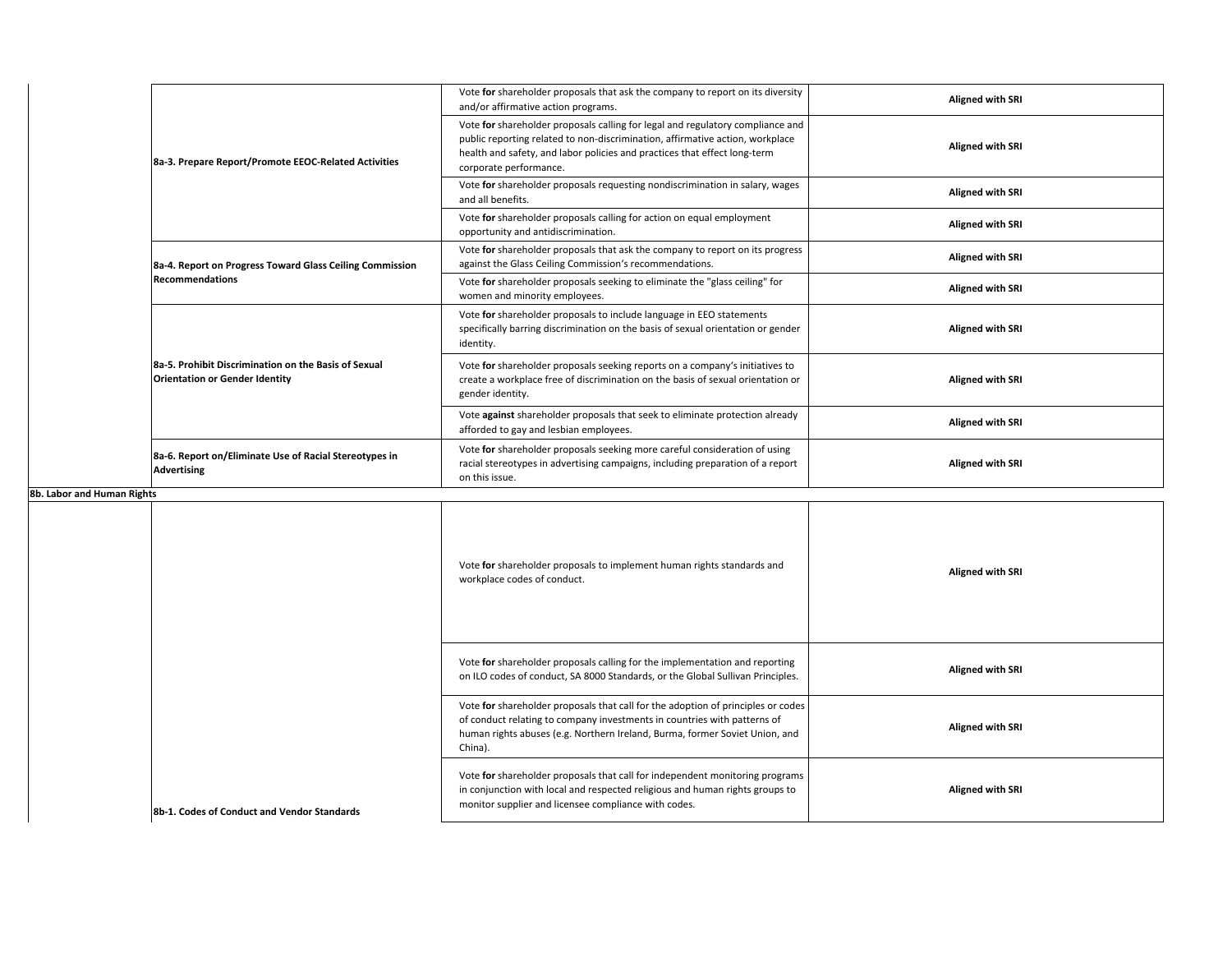|                            | 8a-3. Prepare Report/Promote EEOC-Related Activities                                          | Vote for shareholder proposals that ask the company to report on its diversity<br>and/or affirmative action programs.                                                                                                                                                  | Aligned with SRI        |
|----------------------------|-----------------------------------------------------------------------------------------------|------------------------------------------------------------------------------------------------------------------------------------------------------------------------------------------------------------------------------------------------------------------------|-------------------------|
|                            |                                                                                               | Vote for shareholder proposals calling for legal and regulatory compliance and<br>public reporting related to non-discrimination, affirmative action, workplace<br>health and safety, and labor policies and practices that effect long-term<br>corporate performance. | <b>Aligned with SRI</b> |
|                            |                                                                                               | Vote for shareholder proposals requesting nondiscrimination in salary, wages<br>and all benefits.                                                                                                                                                                      | Aligned with SRI        |
|                            |                                                                                               | Vote for shareholder proposals calling for action on equal employment<br>opportunity and antidiscrimination.                                                                                                                                                           | Aligned with SRI        |
|                            | 8a-4. Report on Progress Toward Glass Ceiling Commission                                      | Vote for shareholder proposals that ask the company to report on its progress<br>against the Glass Ceiling Commission's recommendations.                                                                                                                               | Aligned with SRI        |
|                            | Recommendations                                                                               | Vote for shareholder proposals seeking to eliminate the "glass ceiling" for<br>women and minority employees.                                                                                                                                                           | Aligned with SRI        |
|                            | 8a-5. Prohibit Discrimination on the Basis of Sexual<br><b>Orientation or Gender Identity</b> | Vote for shareholder proposals to include language in EEO statements<br>specifically barring discrimination on the basis of sexual orientation or gender<br>identity.                                                                                                  | Aligned with SRI        |
|                            |                                                                                               | Vote for shareholder proposals seeking reports on a company's initiatives to<br>create a workplace free of discrimination on the basis of sexual orientation or<br>gender identity.                                                                                    | <b>Aligned with SRI</b> |
|                            |                                                                                               | Vote against shareholder proposals that seek to eliminate protection already<br>afforded to gay and lesbian employees.                                                                                                                                                 | <b>Aligned with SRI</b> |
|                            | 8a-6. Report on/Eliminate Use of Racial Stereotypes in<br><b>Advertising</b>                  | Vote for shareholder proposals seeking more careful consideration of using<br>racial stereotypes in advertising campaigns, including preparation of a report<br>on this issue.                                                                                         | Aligned with SRI        |
| 8b. Labor and Human Rights |                                                                                               |                                                                                                                                                                                                                                                                        |                         |
|                            |                                                                                               | Vote for shareholder proposals to implement human rights standards and<br>workplace codes of conduct.                                                                                                                                                                  | Aligned with SRI        |
|                            |                                                                                               | Vote for shareholder proposals calling for the implementation and reporting<br>on ILO sodos of sandust. SA 8000 Standards, or the Global Sullivan Drinsiples                                                                                                           | <b>Aligned with SRI</b> |

|                                             | on ILO codes of conduct, SA 8000 Standards, or the Global Sullivan Principles.                                                                                                                                                                         | <b>Aligned with SRI</b> |
|---------------------------------------------|--------------------------------------------------------------------------------------------------------------------------------------------------------------------------------------------------------------------------------------------------------|-------------------------|
|                                             | Vote for shareholder proposals that call for the adoption of principles or codes<br>of conduct relating to company investments in countries with patterns of<br>human rights abuses (e.g. Northern Ireland, Burma, former Soviet Union, and<br>China). | <b>Aligned with SRI</b> |
| 8b-1. Codes of Conduct and Vendor Standards | Vote for shareholder proposals that call for independent monitoring programs<br>in conjunction with local and respected religious and human rights groups to<br>monitor supplier and licensee compliance with codes.                                   | <b>Aligned with SRI</b> |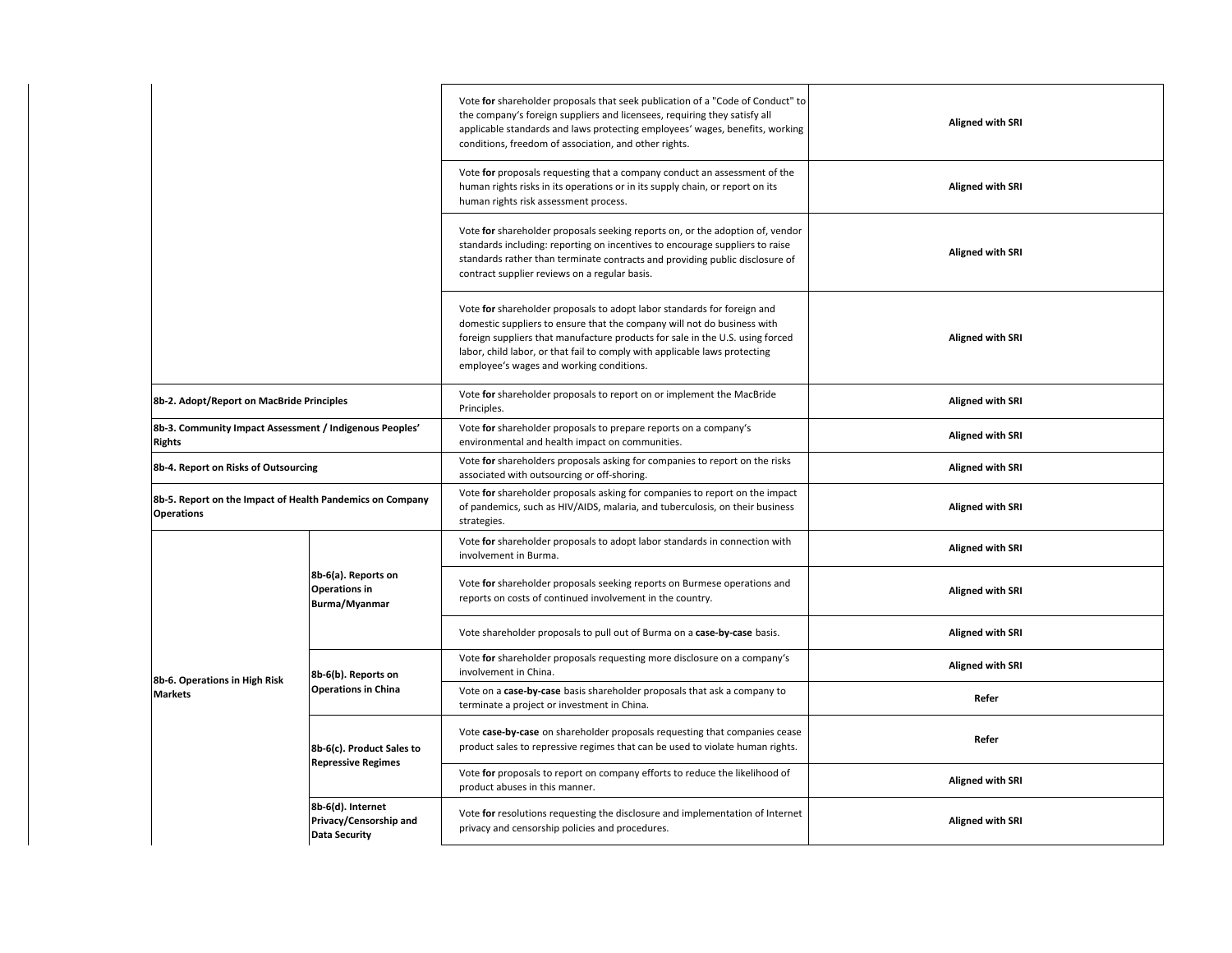|                                                                                |                                                                     | Vote for shareholder proposals that seek publication of a "Code of Conduct" to<br>the company's foreign suppliers and licensees, requiring they satisfy all<br>applicable standards and laws protecting employees' wages, benefits, working<br>conditions, freedom of association, and other rights.                                                          | <b>Aligned with SRI</b> |
|--------------------------------------------------------------------------------|---------------------------------------------------------------------|---------------------------------------------------------------------------------------------------------------------------------------------------------------------------------------------------------------------------------------------------------------------------------------------------------------------------------------------------------------|-------------------------|
|                                                                                |                                                                     | Vote for proposals requesting that a company conduct an assessment of the<br>human rights risks in its operations or in its supply chain, or report on its<br>human rights risk assessment process.                                                                                                                                                           | <b>Aligned with SRI</b> |
|                                                                                |                                                                     | Vote for shareholder proposals seeking reports on, or the adoption of, vendor<br>standards including: reporting on incentives to encourage suppliers to raise<br>standards rather than terminate contracts and providing public disclosure of<br>contract supplier reviews on a regular basis.                                                                | <b>Aligned with SRI</b> |
|                                                                                |                                                                     | Vote for shareholder proposals to adopt labor standards for foreign and<br>domestic suppliers to ensure that the company will not do business with<br>foreign suppliers that manufacture products for sale in the U.S. using forced<br>labor, child labor, or that fail to comply with applicable laws protecting<br>employee's wages and working conditions. | <b>Aligned with SRI</b> |
| 8b-2. Adopt/Report on MacBride Principles                                      |                                                                     | Vote for shareholder proposals to report on or implement the MacBride<br>Principles.                                                                                                                                                                                                                                                                          | <b>Aligned with SRI</b> |
| 8b-3. Community Impact Assessment / Indigenous Peoples'<br><b>Rights</b>       |                                                                     | Vote for shareholder proposals to prepare reports on a company's<br>environmental and health impact on communities.                                                                                                                                                                                                                                           | <b>Aligned with SRI</b> |
| 8b-4. Report on Risks of Outsourcing                                           |                                                                     | Vote for shareholders proposals asking for companies to report on the risks<br>associated with outsourcing or off-shoring.                                                                                                                                                                                                                                    | <b>Aligned with SRI</b> |
| 8b-5. Report on the Impact of Health Pandemics on Company<br><b>Operations</b> |                                                                     | Vote for shareholder proposals asking for companies to report on the impact<br>of pandemics, such as HIV/AIDS, malaria, and tuberculosis, on their business<br>strategies.                                                                                                                                                                                    | <b>Aligned with SRI</b> |
|                                                                                |                                                                     | Vote for shareholder proposals to adopt labor standards in connection with<br>involvement in Burma.                                                                                                                                                                                                                                                           | <b>Aligned with SRI</b> |
|                                                                                | 8b-6(a). Reports on<br><b>Operations in</b><br><b>Burma/Myanmar</b> | Vote for shareholder proposals seeking reports on Burmese operations and<br>reports on costs of continued involvement in the country.                                                                                                                                                                                                                         | <b>Aligned with SRI</b> |
|                                                                                |                                                                     | Vote shareholder proposals to pull out of Burma on a case-by-case basis.                                                                                                                                                                                                                                                                                      | <b>Aligned with SRI</b> |
| 8b-6. Operations in High Risk                                                  | 8b-6(b). Reports on                                                 | Vote for shareholder proposals requesting more disclosure on a company's<br>involvement in China.                                                                                                                                                                                                                                                             | <b>Aligned with SRI</b> |
| <b>Markets</b>                                                                 | <b>Operations in China</b>                                          | Vote on a case-by-case basis shareholder proposals that ask a company to<br>terminate a project or investment in China.                                                                                                                                                                                                                                       | Refer                   |
|                                                                                | 8b-6(c). Product Sales to<br><b>Repressive Regimes</b>              | Vote case-by-case on shareholder proposals requesting that companies cease<br>product sales to repressive regimes that can be used to violate human rights.                                                                                                                                                                                                   | Refer                   |
|                                                                                |                                                                     | Vote for proposals to report on company efforts to reduce the likelihood of<br>product abuses in this manner.                                                                                                                                                                                                                                                 | <b>Aligned with SRI</b> |
|                                                                                | 8b-6(d). Internet<br>Privacy/Censorship and<br><b>Data Security</b> | Vote for resolutions requesting the disclosure and implementation of Internet<br>privacy and censorship policies and procedures.                                                                                                                                                                                                                              | <b>Aligned with SRI</b> |
|                                                                                |                                                                     |                                                                                                                                                                                                                                                                                                                                                               |                         |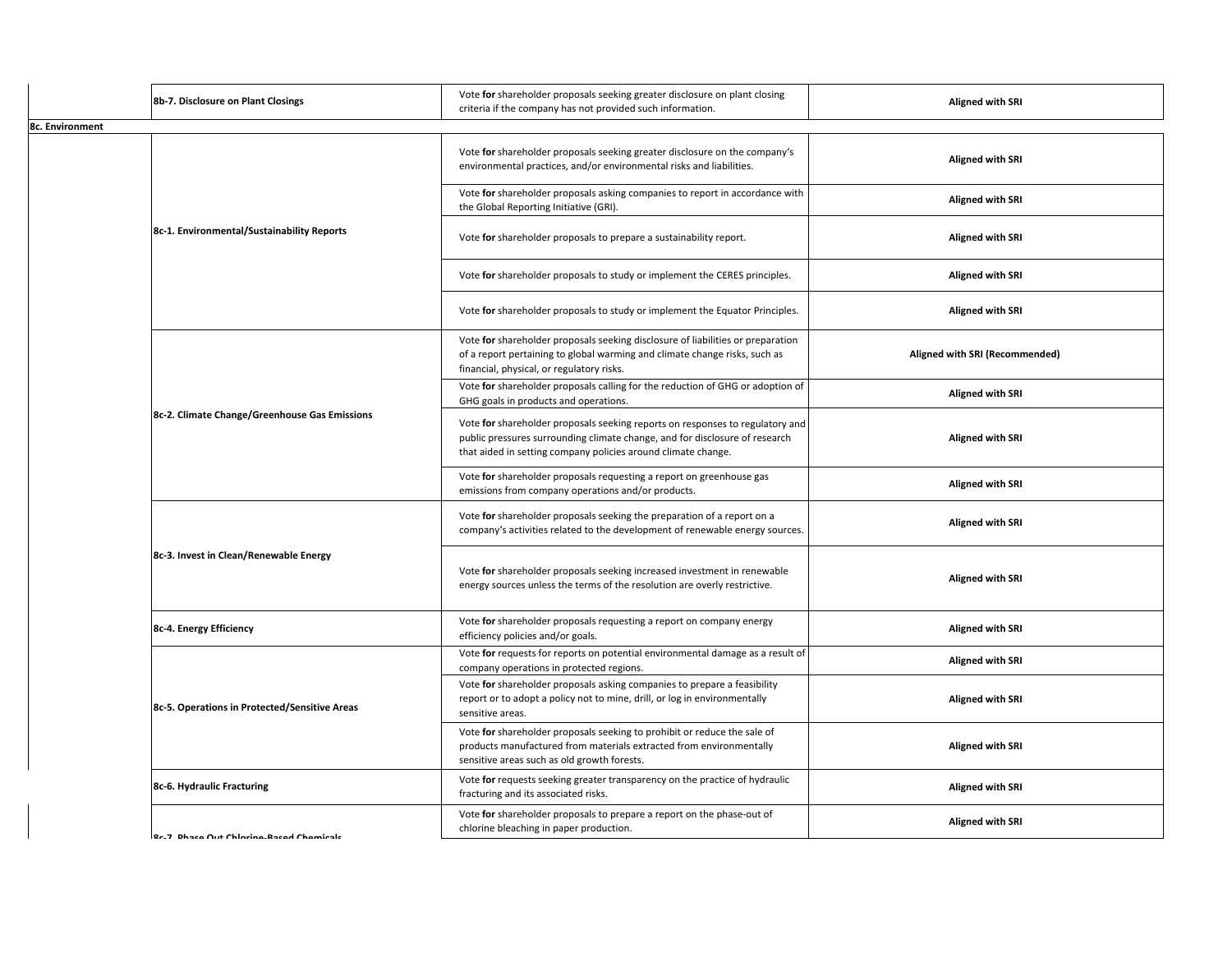|                                               | 8b-7. Disclosure on Plant Closings            | Vote for shareholder proposals seeking greater disclosure on plant closing<br>criteria if the company has not provided such information.                                                                                      | <b>Aligned with SRI</b>        |
|-----------------------------------------------|-----------------------------------------------|-------------------------------------------------------------------------------------------------------------------------------------------------------------------------------------------------------------------------------|--------------------------------|
| 8c. Environment                               |                                               |                                                                                                                                                                                                                               |                                |
|                                               |                                               | Vote for shareholder proposals seeking greater disclosure on the company's<br>environmental practices, and/or environmental risks and liabilities.                                                                            | <b>Aligned with SRI</b>        |
|                                               |                                               | Vote for shareholder proposals asking companies to report in accordance with<br>the Global Reporting Initiative (GRI).                                                                                                        | <b>Aligned with SRI</b>        |
|                                               | 8c-1. Environmental/Sustainability Reports    | Vote for shareholder proposals to prepare a sustainability report.                                                                                                                                                            | <b>Aligned with SRI</b>        |
|                                               |                                               | Vote for shareholder proposals to study or implement the CERES principles.                                                                                                                                                    | <b>Aligned with SRI</b>        |
|                                               |                                               | Vote for shareholder proposals to study or implement the Equator Principles.                                                                                                                                                  | <b>Aligned with SRI</b>        |
|                                               |                                               | Vote for shareholder proposals seeking disclosure of liabilities or preparation<br>of a report pertaining to global warming and climate change risks, such as<br>financial, physical, or regulatory risks.                    | Aligned with SRI (Recommended) |
|                                               |                                               | Vote for shareholder proposals calling for the reduction of GHG or adoption of<br>GHG goals in products and operations.                                                                                                       | <b>Aligned with SRI</b>        |
|                                               | 8c-2. Climate Change/Greenhouse Gas Emissions | Vote for shareholder proposals seeking reports on responses to regulatory and<br>public pressures surrounding climate change, and for disclosure of research<br>that aided in setting company policies around climate change. | <b>Aligned with SRI</b>        |
|                                               |                                               | Vote for shareholder proposals requesting a report on greenhouse gas<br>emissions from company operations and/or products.                                                                                                    | <b>Aligned with SRI</b>        |
|                                               |                                               | Vote for shareholder proposals seeking the preparation of a report on a<br>company's activities related to the development of renewable energy sources.                                                                       | <b>Aligned with SRI</b>        |
|                                               | 8c-3. Invest in Clean/Renewable Energy        | Vote for shareholder proposals seeking increased investment in renewable<br>energy sources unless the terms of the resolution are overly restrictive.                                                                         | <b>Aligned with SRI</b>        |
|                                               | 8c-4. Energy Efficiency                       | Vote for shareholder proposals requesting a report on company energy<br>efficiency policies and/or goals.                                                                                                                     | <b>Aligned with SRI</b>        |
|                                               |                                               | Vote for requests for reports on potential environmental damage as a result of<br>company operations in protected regions.                                                                                                    | <b>Aligned with SRI</b>        |
| 8c-5. Operations in Protected/Sensitive Areas |                                               | Vote for shareholder proposals asking companies to prepare a feasibility<br>report or to adopt a policy not to mine, drill, or log in environmentally<br>sensitive areas.                                                     | <b>Aligned with SRI</b>        |
|                                               |                                               | Vote for shareholder proposals seeking to prohibit or reduce the sale of<br>products manufactured from materials extracted from environmentally<br>sensitive areas such as old growth forests.                                | <b>Aligned with SRI</b>        |
|                                               | 8c-6. Hydraulic Fracturing                    | Vote for requests seeking greater transparency on the practice of hydraulic<br>fracturing and its associated risks.                                                                                                           | <b>Aligned with SRI</b>        |
|                                               | Rr.7 Dhace Out Chlorine. Raced Chemicale      | Vote for shareholder proposals to prepare a report on the phase-out of<br>chlorine bleaching in paper production.                                                                                                             | <b>Aligned with SRI</b>        |
|                                               |                                               |                                                                                                                                                                                                                               |                                |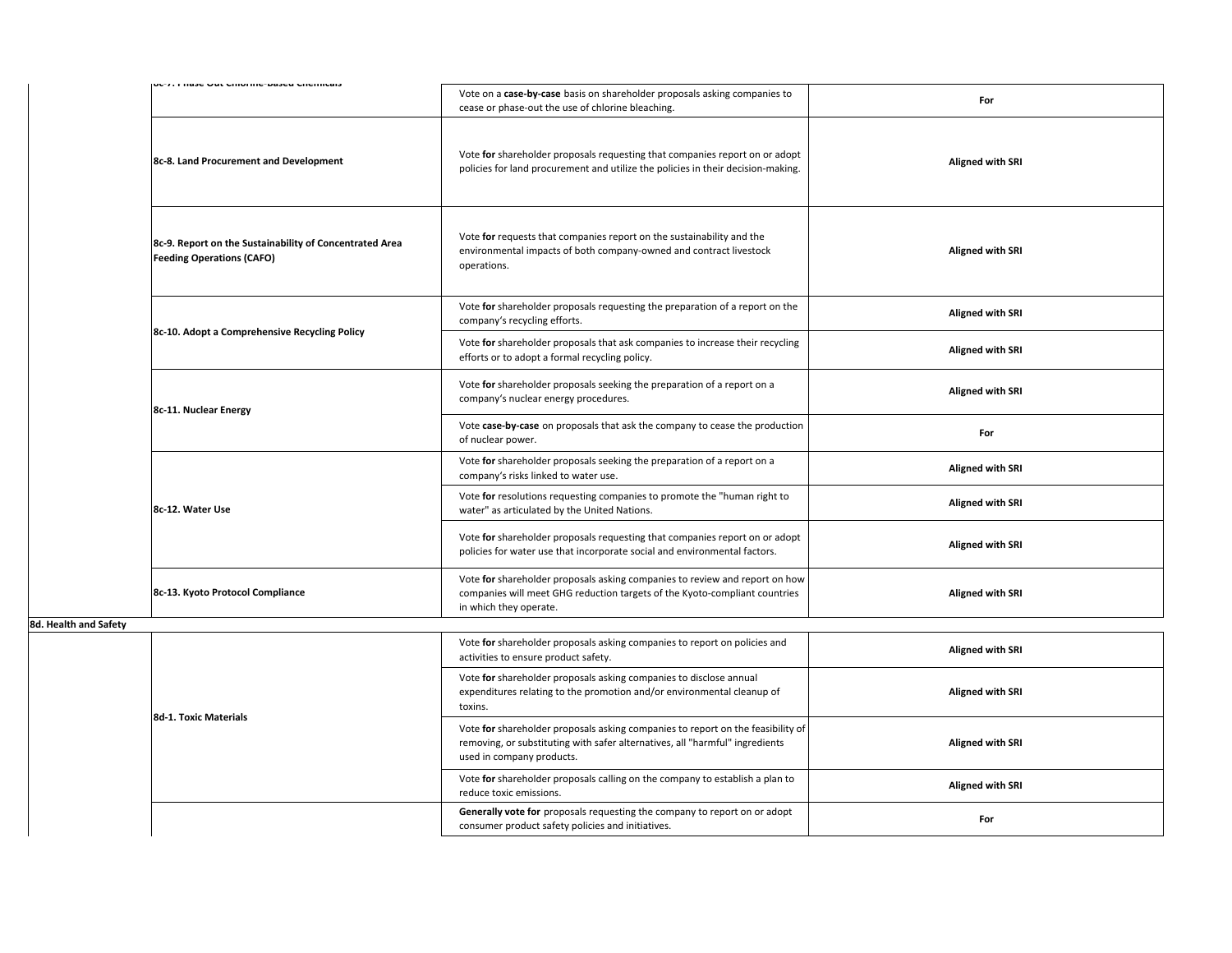|                       | סטיז, רווסטכ טעג טוווטווווכיטפטכע טווכווווטפוט                                              | Vote on a case-by-case basis on shareholder proposals asking companies to<br>cease or phase-out the use of chlorine bleaching.                                                               | For                     |
|-----------------------|---------------------------------------------------------------------------------------------|----------------------------------------------------------------------------------------------------------------------------------------------------------------------------------------------|-------------------------|
|                       | 8c-8. Land Procurement and Development                                                      | Vote for shareholder proposals requesting that companies report on or adopt<br>policies for land procurement and utilize the policies in their decision-making.                              | <b>Aligned with SRI</b> |
|                       | 8c-9. Report on the Sustainability of Concentrated Area<br><b>Feeding Operations (CAFO)</b> | Vote for requests that companies report on the sustainability and the<br>environmental impacts of both company-owned and contract livestock<br>operations.                                   | <b>Aligned with SRI</b> |
|                       |                                                                                             | Vote for shareholder proposals requesting the preparation of a report on the<br>company's recycling efforts.                                                                                 | <b>Aligned with SRI</b> |
|                       | 8c-10. Adopt a Comprehensive Recycling Policy                                               | Vote for shareholder proposals that ask companies to increase their recycling<br>efforts or to adopt a formal recycling policy.                                                              | <b>Aligned with SRI</b> |
|                       | 8c-11. Nuclear Energy                                                                       | Vote for shareholder proposals seeking the preparation of a report on a<br>company's nuclear energy procedures.                                                                              | <b>Aligned with SRI</b> |
|                       |                                                                                             | Vote case-by-case on proposals that ask the company to cease the production<br>of nuclear power.                                                                                             | For                     |
|                       | 8c-12. Water Use                                                                            | Vote for shareholder proposals seeking the preparation of a report on a<br>company's risks linked to water use.                                                                              | Aligned with SRI        |
|                       |                                                                                             | Vote for resolutions requesting companies to promote the "human right to<br>water" as articulated by the United Nations.                                                                     | <b>Aligned with SRI</b> |
|                       |                                                                                             | Vote for shareholder proposals requesting that companies report on or adopt<br>policies for water use that incorporate social and environmental factors.                                     | Aligned with SRI        |
|                       | 8c-13. Kyoto Protocol Compliance                                                            | Vote for shareholder proposals asking companies to review and report on how<br>companies will meet GHG reduction targets of the Kyoto-compliant countries<br>in which they operate.          | <b>Aligned with SRI</b> |
| 8d. Health and Safety |                                                                                             |                                                                                                                                                                                              |                         |
|                       |                                                                                             | Vote for shareholder proposals asking companies to report on policies and<br>activities to ensure product safety.                                                                            | <b>Aligned with SRI</b> |
|                       | 8d-1. Toxic Materials                                                                       | Vote for shareholder proposals asking companies to disclose annual<br>expenditures relating to the promotion and/or environmental cleanup of<br>toxins.                                      | <b>Aligned with SRI</b> |
|                       |                                                                                             | Vote for shareholder proposals asking companies to report on the feasibility of<br>removing, or substituting with safer alternatives, all "harmful" ingredients<br>used in company products. | <b>Aligned with SRI</b> |
|                       |                                                                                             | Vote for shareholder proposals calling on the company to establish a plan to<br>reduce toxic emissions.                                                                                      | <b>Aligned with SRI</b> |
|                       |                                                                                             | Generally vote for proposals requesting the company to report on or adopt<br>consumer product safety policies and initiatives.                                                               | For                     |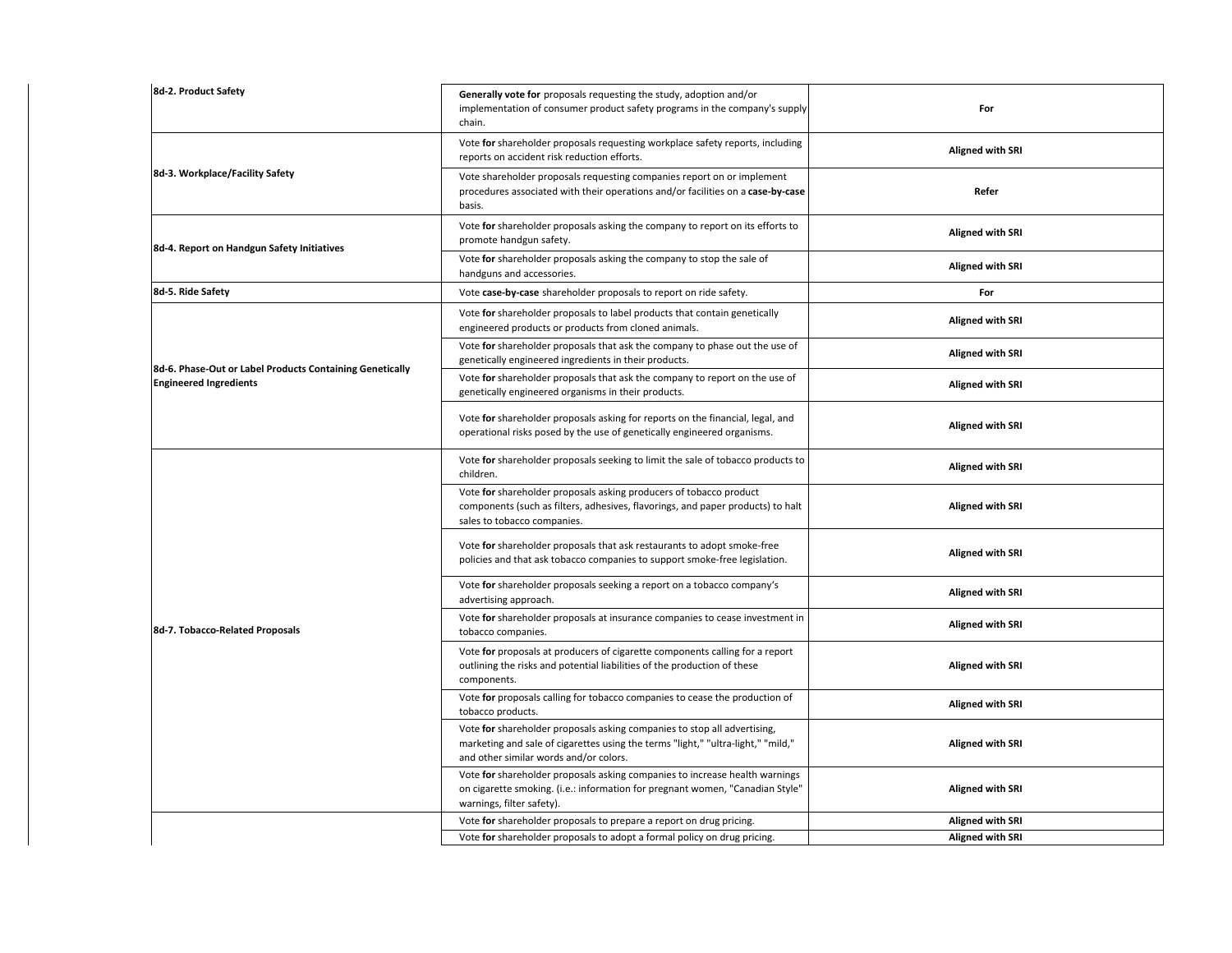| 8d-2. Product Safety                                     | Generally vote for proposals requesting the study, adoption and/or<br>implementation of consumer product safety programs in the company's supply<br>chain.                                             | For                     |
|----------------------------------------------------------|--------------------------------------------------------------------------------------------------------------------------------------------------------------------------------------------------------|-------------------------|
|                                                          | Vote for shareholder proposals requesting workplace safety reports, including<br>reports on accident risk reduction efforts.                                                                           | <b>Aligned with SRI</b> |
| 8d-3. Workplace/Facility Safety                          | Vote shareholder proposals requesting companies report on or implement<br>procedures associated with their operations and/or facilities on a case-by-case<br>basis.                                    | Refer                   |
| 8d-4. Report on Handgun Safety Initiatives               | Vote for shareholder proposals asking the company to report on its efforts to<br>promote handgun safety.                                                                                               | <b>Aligned with SRI</b> |
|                                                          | Vote for shareholder proposals asking the company to stop the sale of<br>handguns and accessories.                                                                                                     | <b>Aligned with SRI</b> |
| 8d-5. Ride Safety                                        | Vote case-by-case shareholder proposals to report on ride safety.                                                                                                                                      | For                     |
|                                                          | Vote for shareholder proposals to label products that contain genetically<br>engineered products or products from cloned animals.                                                                      | <b>Aligned with SRI</b> |
| 8d-6. Phase-Out or Label Products Containing Genetically | Vote for shareholder proposals that ask the company to phase out the use of<br>genetically engineered ingredients in their products.                                                                   | <b>Aligned with SRI</b> |
| <b>Engineered Ingredients</b>                            | Vote for shareholder proposals that ask the company to report on the use of<br>genetically engineered organisms in their products.                                                                     | <b>Aligned with SRI</b> |
|                                                          | Vote for shareholder proposals asking for reports on the financial, legal, and<br>operational risks posed by the use of genetically engineered organisms.                                              | <b>Aligned with SRI</b> |
|                                                          | Vote for shareholder proposals seeking to limit the sale of tobacco products to<br>children.                                                                                                           | <b>Aligned with SRI</b> |
|                                                          | Vote for shareholder proposals asking producers of tobacco product<br>components (such as filters, adhesives, flavorings, and paper products) to halt<br>sales to tobacco companies.                   | <b>Aligned with SRI</b> |
|                                                          | Vote for shareholder proposals that ask restaurants to adopt smoke-free<br>policies and that ask tobacco companies to support smoke-free legislation.                                                  | <b>Aligned with SRI</b> |
|                                                          | Vote for shareholder proposals seeking a report on a tobacco company's<br>advertising approach.                                                                                                        | <b>Aligned with SRI</b> |
| 8d-7. Tobacco-Related Proposals                          | Vote for shareholder proposals at insurance companies to cease investment in<br>tobacco companies.                                                                                                     | <b>Aligned with SRI</b> |
|                                                          | Vote for proposals at producers of cigarette components calling for a report<br>outlining the risks and potential liabilities of the production of these<br>components.                                | Aligned with SRI        |
|                                                          | Vote for proposals calling for tobacco companies to cease the production of<br>tobacco products.                                                                                                       | <b>Aligned with SRI</b> |
|                                                          | Vote for shareholder proposals asking companies to stop all advertising,<br>marketing and sale of cigarettes using the terms "light," "ultra-light," "mild,"<br>and other similar words and/or colors. | <b>Aligned with SRI</b> |
|                                                          | Vote for shareholder proposals asking companies to increase health warnings<br>on cigarette smoking. (i.e.: information for pregnant women, "Canadian Style"<br>warnings, filter safety).              | <b>Aligned with SRI</b> |
|                                                          | Vote for shareholder proposals to prepare a report on drug pricing.                                                                                                                                    | <b>Aligned with SRI</b> |
|                                                          | Vote for shareholder proposals to adopt a formal policy on drug pricing.                                                                                                                               | <b>Aligned with SRI</b> |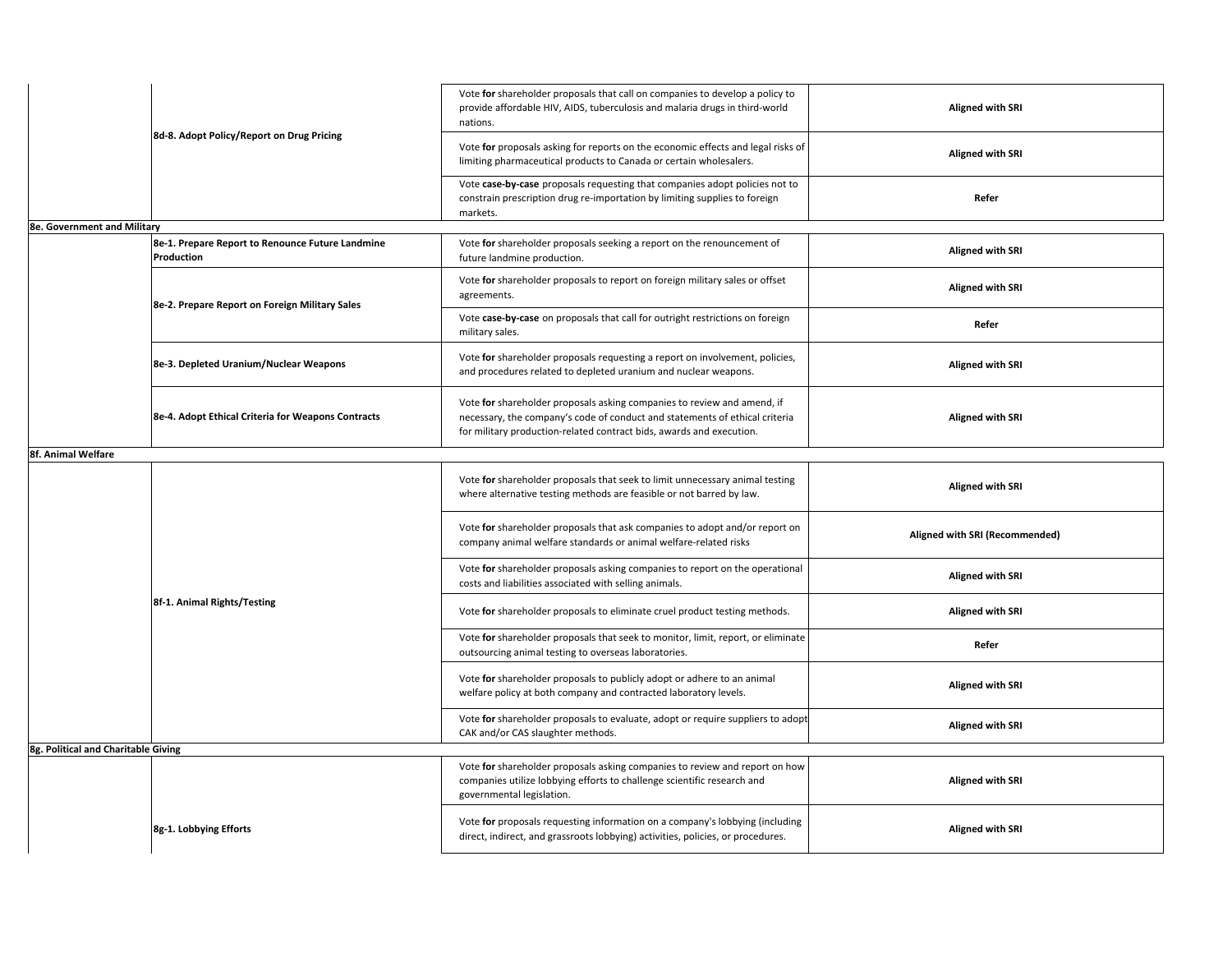|                                     | 8d-8. Adopt Policy/Report on Drug Pricing                      | Vote for shareholder proposals that call on companies to develop a policy to<br>provide affordable HIV, AIDS, tuberculosis and malaria drugs in third-world<br>nations.                                                        | <b>Aligned with SRI</b>        |
|-------------------------------------|----------------------------------------------------------------|--------------------------------------------------------------------------------------------------------------------------------------------------------------------------------------------------------------------------------|--------------------------------|
|                                     |                                                                | Vote for proposals asking for reports on the economic effects and legal risks of<br>limiting pharmaceutical products to Canada or certain wholesalers.                                                                         | <b>Aligned with SRI</b>        |
|                                     |                                                                | Vote case-by-case proposals requesting that companies adopt policies not to<br>constrain prescription drug re-importation by limiting supplies to foreign<br>markets.                                                          | Refer                          |
| <b>8e. Government and Military</b>  |                                                                |                                                                                                                                                                                                                                |                                |
|                                     | 8e-1. Prepare Report to Renounce Future Landmine<br>Production | Vote for shareholder proposals seeking a report on the renouncement of<br>future landmine production.                                                                                                                          | <b>Aligned with SRI</b>        |
|                                     | 8e-2. Prepare Report on Foreign Military Sales                 | Vote for shareholder proposals to report on foreign military sales or offset<br>agreements.                                                                                                                                    | <b>Aligned with SRI</b>        |
|                                     |                                                                | Vote case-by-case on proposals that call for outright restrictions on foreign<br>military sales.                                                                                                                               | Refer                          |
|                                     | 8e-3. Depleted Uranium/Nuclear Weapons                         | Vote for shareholder proposals requesting a report on involvement, policies,<br>and procedures related to depleted uranium and nuclear weapons.                                                                                | <b>Aligned with SRI</b>        |
|                                     | 8e-4. Adopt Ethical Criteria for Weapons Contracts             | Vote for shareholder proposals asking companies to review and amend, if<br>necessary, the company's code of conduct and statements of ethical criteria<br>for military production-related contract bids, awards and execution. | <b>Aligned with SRI</b>        |
| 8f. Animal Welfare                  |                                                                |                                                                                                                                                                                                                                |                                |
|                                     |                                                                | Vote for shareholder proposals that seek to limit unnecessary animal testing<br>where alternative testing methods are feasible or not barred by law.                                                                           | <b>Aligned with SRI</b>        |
|                                     |                                                                | Vote for shareholder proposals that ask companies to adopt and/or report on<br>company animal welfare standards or animal welfare-related risks                                                                                | Aligned with SRI (Recommended) |
|                                     |                                                                | Vote for shareholder proposals asking companies to report on the operational<br>costs and liabilities associated with selling animals.                                                                                         | <b>Aligned with SRI</b>        |
|                                     | 8f-1. Animal Rights/Testing                                    | Vote for shareholder proposals to eliminate cruel product testing methods.                                                                                                                                                     | <b>Aligned with SRI</b>        |
|                                     |                                                                | Vote for shareholder proposals that seek to monitor, limit, report, or eliminate<br>outsourcing animal testing to overseas laboratories.                                                                                       | Refer                          |
|                                     |                                                                | Vote for shareholder proposals to publicly adopt or adhere to an animal<br>welfare policy at both company and contracted laboratory levels.                                                                                    | <b>Aligned with SRI</b>        |
|                                     |                                                                | Vote for shareholder proposals to evaluate, adopt or require suppliers to adopt<br>CAK and/or CAS slaughter methods.                                                                                                           | <b>Aligned with SRI</b>        |
| 8g. Political and Charitable Giving |                                                                |                                                                                                                                                                                                                                |                                |
|                                     |                                                                | Vote for shareholder proposals asking companies to review and report on how<br>companies utilize lobbying efforts to challenge scientific research and<br>governmental legislation.                                            | <b>Aligned with SRI</b>        |
|                                     | 8g-1. Lobbying Efforts                                         | Vote for proposals requesting information on a company's lobbying (including<br>direct, indirect, and grassroots lobbying) activities, policies, or procedures.                                                                | <b>Aligned with SRI</b>        |
|                                     |                                                                |                                                                                                                                                                                                                                |                                |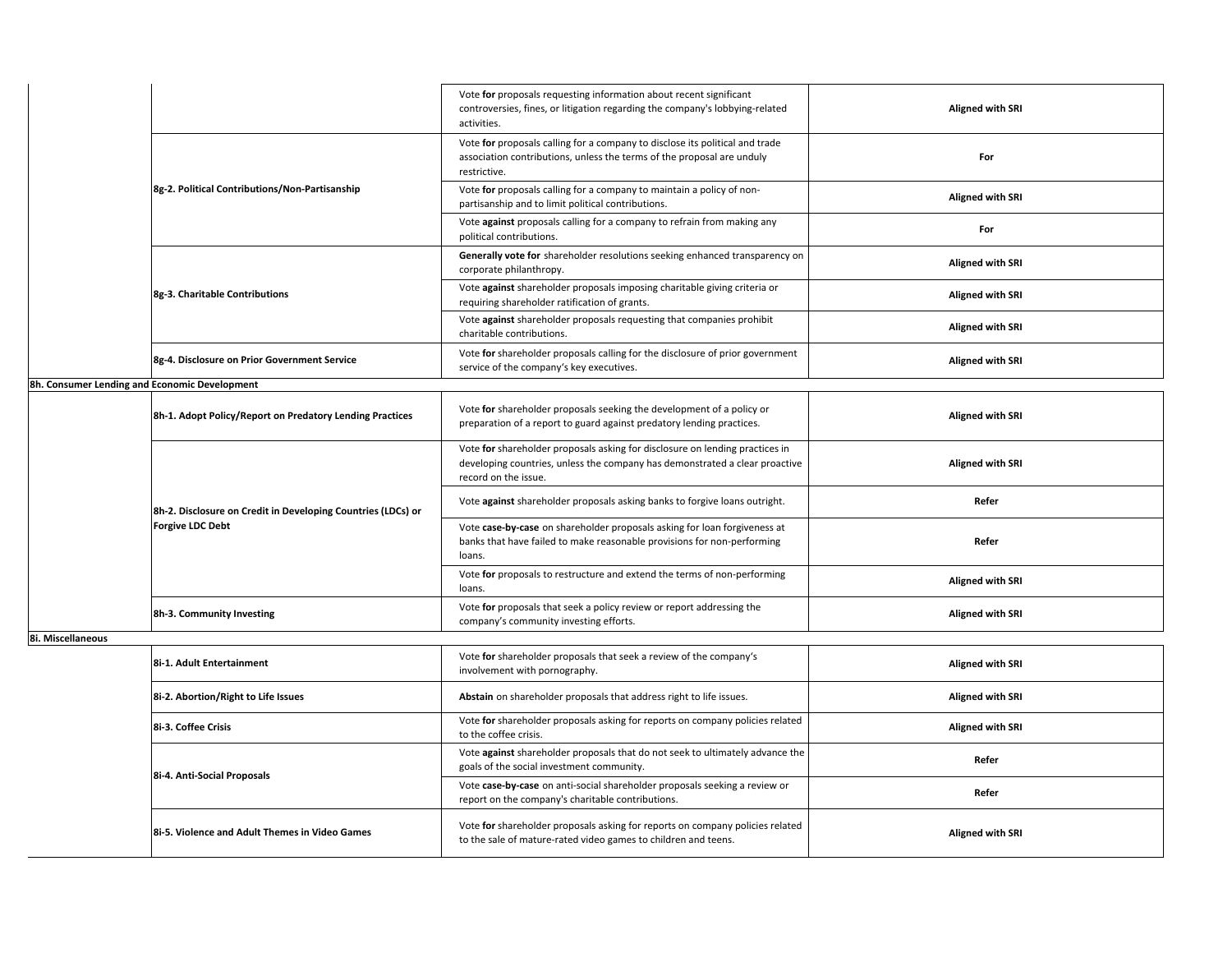|                                                | Vote for proposals requesting information about recent significant<br>controversies, fines, or litigation regarding the company's lobbying-related<br>activities.      | <b>Aligned with SRI</b> |
|------------------------------------------------|------------------------------------------------------------------------------------------------------------------------------------------------------------------------|-------------------------|
|                                                | Vote for proposals calling for a company to disclose its political and trade<br>association contributions, unless the terms of the proposal are unduly<br>restrictive. | For                     |
| 8g-2. Political Contributions/Non-Partisanship | Vote for proposals calling for a company to maintain a policy of non-<br>partisanship and to limit political contributions.                                            | <b>Aligned with SRI</b> |
|                                                | Vote against proposals calling for a company to refrain from making any<br>political contributions.                                                                    | For                     |
|                                                | Generally vote for shareholder resolutions seeking enhanced transparency on<br>corporate philanthropy.                                                                 | <b>Aligned with SRI</b> |
| 8g-3. Charitable Contributions                 | Vote against shareholder proposals imposing charitable giving criteria or<br>requiring shareholder ratification of grants.                                             | <b>Aligned with SRI</b> |
|                                                | Vote against shareholder proposals requesting that companies prohibit<br>charitable contributions.                                                                     | Aligned with SRI        |
| 8g-4. Disclosure on Prior Government Service   | Vote for shareholder proposals calling for the disclosure of prior government<br>service of the company's key executives.                                              | <b>Aligned with SRI</b> |
|                                                |                                                                                                                                                                        |                         |

**8h. Consumer Lending and Economic Development**

|                           | 8h-1. Adopt Policy/Report on Predatory Lending Practices                                | Vote for shareholder proposals seeking the development of a policy or<br>preparation of a report to guard against predatory lending practices.                                      | <b>Aligned with SRI</b> |
|---------------------------|-----------------------------------------------------------------------------------------|-------------------------------------------------------------------------------------------------------------------------------------------------------------------------------------|-------------------------|
|                           | 8h-2. Disclosure on Credit in Developing Countries (LDCs) or<br><b>Forgive LDC Debt</b> | Vote for shareholder proposals asking for disclosure on lending practices in<br>developing countries, unless the company has demonstrated a clear proactive<br>record on the issue. | <b>Aligned with SRI</b> |
|                           |                                                                                         | Vote against shareholder proposals asking banks to forgive loans outright.                                                                                                          | Refer                   |
|                           |                                                                                         | Vote case-by-case on shareholder proposals asking for loan forgiveness at<br>banks that have failed to make reasonable provisions for non-performing<br>loans.                      | Refer                   |
|                           |                                                                                         | Vote for proposals to restructure and extend the terms of non-performing<br>loans.                                                                                                  | <b>Aligned with SRI</b> |
| 8h-3. Community Investing |                                                                                         | Vote for proposals that seek a policy review or report addressing the<br>company's community investing efforts.                                                                     | <b>Aligned with SRI</b> |

**8i. Miscellaneous**

| 8i-1. Adult Entertainment                      | Vote for shareholder proposals that seek a review of the company's<br>involvement with pornography.                                             | <b>Aligned with SRI</b> |
|------------------------------------------------|-------------------------------------------------------------------------------------------------------------------------------------------------|-------------------------|
| 8i-2. Abortion/Right to Life Issues            | Abstain on shareholder proposals that address right to life issues.                                                                             | <b>Aligned with SRI</b> |
| 8i-3. Coffee Crisis                            | Vote for shareholder proposals asking for reports on company policies related<br>to the coffee crisis.                                          | <b>Aligned with SRI</b> |
| 8i-4. Anti-Social Proposals                    | Vote against shareholder proposals that do not seek to ultimately advance the<br>goals of the social investment community.                      | Refer                   |
|                                                | Vote case-by-case on anti-social shareholder proposals seeking a review or<br>report on the company's charitable contributions.                 | Refer                   |
| 8i-5. Violence and Adult Themes in Video Games | Vote for shareholder proposals asking for reports on company policies related<br>to the sale of mature-rated video games to children and teens. | <b>Aligned with SRI</b> |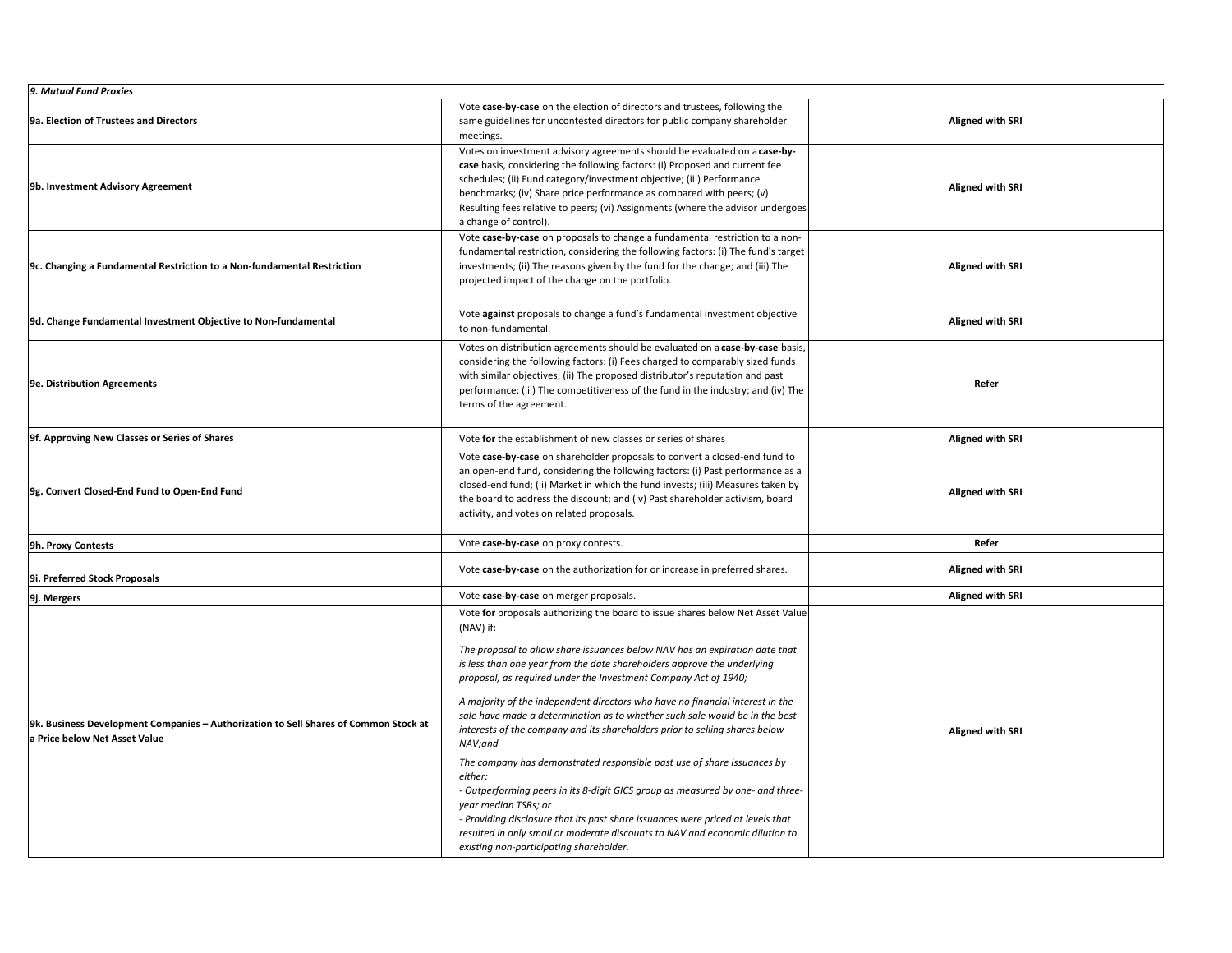| 9. Mutual Fund Proxies                                                                                                |                                                                                                                                                                                                                                                                                                                                                                                                                                                                                                                                                                                                                                                                                                                                                                                                                                                                                                                                                                                                  |                         |
|-----------------------------------------------------------------------------------------------------------------------|--------------------------------------------------------------------------------------------------------------------------------------------------------------------------------------------------------------------------------------------------------------------------------------------------------------------------------------------------------------------------------------------------------------------------------------------------------------------------------------------------------------------------------------------------------------------------------------------------------------------------------------------------------------------------------------------------------------------------------------------------------------------------------------------------------------------------------------------------------------------------------------------------------------------------------------------------------------------------------------------------|-------------------------|
| 9a. Election of Trustees and Directors                                                                                | Vote case-by-case on the election of directors and trustees, following the<br>same guidelines for uncontested directors for public company shareholder<br>meetings.                                                                                                                                                                                                                                                                                                                                                                                                                                                                                                                                                                                                                                                                                                                                                                                                                              | <b>Aligned with SRI</b> |
| 9b. Investment Advisory Agreement                                                                                     | Votes on investment advisory agreements should be evaluated on a case-by-<br>case basis, considering the following factors: (i) Proposed and current fee<br>schedules; (ii) Fund category/investment objective; (iii) Performance<br>benchmarks; (iv) Share price performance as compared with peers; (v)<br>Resulting fees relative to peers; (vi) Assignments (where the advisor undergoes<br>a change of control).                                                                                                                                                                                                                                                                                                                                                                                                                                                                                                                                                                            | <b>Aligned with SRI</b> |
| 9c. Changing a Fundamental Restriction to a Non-fundamental Restriction                                               | Vote case-by-case on proposals to change a fundamental restriction to a non-<br>fundamental restriction, considering the following factors: (i) The fund's target<br>investments; (ii) The reasons given by the fund for the change; and (iii) The<br>projected impact of the change on the portfolio.                                                                                                                                                                                                                                                                                                                                                                                                                                                                                                                                                                                                                                                                                           | <b>Aligned with SRI</b> |
| 9d. Change Fundamental Investment Objective to Non-fundamental                                                        | Vote against proposals to change a fund's fundamental investment objective<br>to non-fundamental.                                                                                                                                                                                                                                                                                                                                                                                                                                                                                                                                                                                                                                                                                                                                                                                                                                                                                                | <b>Aligned with SRI</b> |
| 9e. Distribution Agreements                                                                                           | Votes on distribution agreements should be evaluated on a case-by-case basis,<br>considering the following factors: (i) Fees charged to comparably sized funds<br>with similar objectives; (ii) The proposed distributor's reputation and past<br>performance; (iii) The competitiveness of the fund in the industry; and (iv) The<br>terms of the agreement.                                                                                                                                                                                                                                                                                                                                                                                                                                                                                                                                                                                                                                    | Refer                   |
| 9f. Approving New Classes or Series of Shares                                                                         | Vote for the establishment of new classes or series of shares                                                                                                                                                                                                                                                                                                                                                                                                                                                                                                                                                                                                                                                                                                                                                                                                                                                                                                                                    | <b>Aligned with SRI</b> |
| 9g. Convert Closed-End Fund to Open-End Fund                                                                          | Vote case-by-case on shareholder proposals to convert a closed-end fund to<br>an open-end fund, considering the following factors: (i) Past performance as a<br>closed-end fund; (ii) Market in which the fund invests; (iii) Measures taken by<br>the board to address the discount; and (iv) Past shareholder activism, board<br>activity, and votes on related proposals.                                                                                                                                                                                                                                                                                                                                                                                                                                                                                                                                                                                                                     | <b>Aligned with SRI</b> |
| 9h. Proxy Contests                                                                                                    | Vote case-by-case on proxy contests.                                                                                                                                                                                                                                                                                                                                                                                                                                                                                                                                                                                                                                                                                                                                                                                                                                                                                                                                                             | Refer                   |
| 9i. Preferred Stock Proposals                                                                                         | Vote case-by-case on the authorization for or increase in preferred shares.                                                                                                                                                                                                                                                                                                                                                                                                                                                                                                                                                                                                                                                                                                                                                                                                                                                                                                                      | <b>Aligned with SRI</b> |
| 9j. Mergers                                                                                                           | Vote case-by-case on merger proposals.                                                                                                                                                                                                                                                                                                                                                                                                                                                                                                                                                                                                                                                                                                                                                                                                                                                                                                                                                           | <b>Aligned with SRI</b> |
| 9k. Business Development Companies - Authorization to Sell Shares of Common Stock at<br>a Price below Net Asset Value | Vote for proposals authorizing the board to issue shares below Net Asset Value<br>(NAV) if:<br>The proposal to allow share issuances below NAV has an expiration date that<br>is less than one year from the date shareholders approve the underlying<br>proposal, as required under the Investment Company Act of 1940;<br>A majority of the independent directors who have no financial interest in the<br>sale have made a determination as to whether such sale would be in the best<br>interests of the company and its shareholders prior to selling shares below<br>NAV;and<br>The company has demonstrated responsible past use of share issuances by<br>either:<br>- Outperforming peers in its 8-digit GICS group as measured by one- and three-<br>year median TSRs; or<br>- Providing disclosure that its past share issuances were priced at levels that<br>resulted in only small or moderate discounts to NAV and economic dilution to<br>existing non-participating shareholder. | <b>Aligned with SRI</b> |